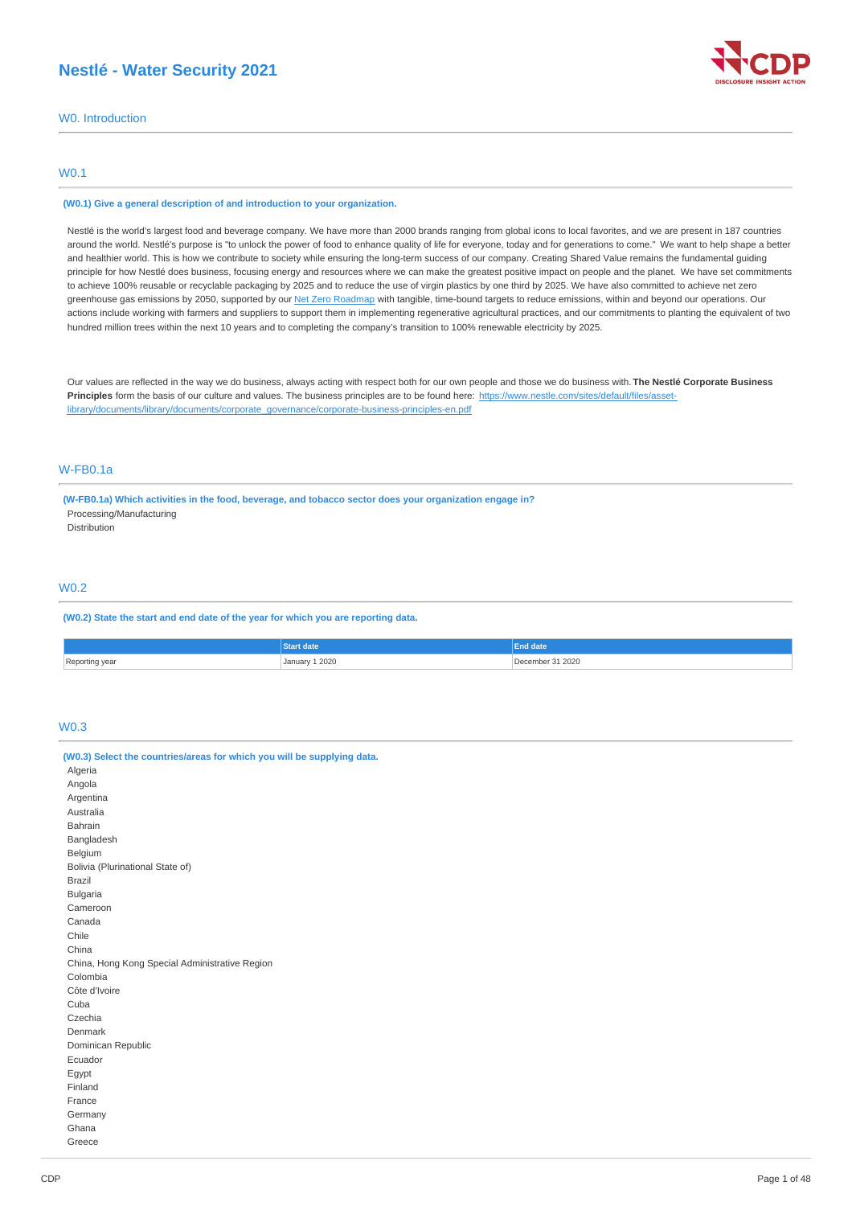## **Nestlé - Water Security 2021**



W0. Introduction

## W0.1

#### **(W0.1) Give a general description of and introduction to your organization.**

Nestlé is the world's largest food and beverage company. We have more than 2000 brands ranging from global icons to local favorites, and we are present in 187 countries around the world. Nestlé's purpose is "to unlock the power of food to enhance quality of life for everyone, today and for generations to come." We want to help shape a better and healthier world. This is how we contribute to society while ensuring the long-term success of our company. Creating Shared Value remains the fundamental guiding principle for how Nestlé does business, focusing energy and resources where we can make the greatest positive impact on people and the planet. We have set commitments to achieve 100% reusable or recyclable packaging by 2025 and to reduce the use of virgin plastics by one third by 2025. We have also committed to achieve net zero greenhouse gas emissions by 2050, supported by our Net Zero [Roadmap](https://www.nestle.com/sites/default/files/2020-12/nestle-net-zero-roadmap-en.pdf) with tangible, time-bound targets to reduce emissions, within and beyond our operations. Our actions include working with farmers and suppliers to support them in implementing regenerative agricultural practices, and our commitments to planting the equivalent of two hundred million trees within the next 10 years and to completing the company's transition to 100% renewable electricity by 2025.

Our values are reflected in the way we do business, always acting with respect both for our own people and those we do business with. **The Nestlé Corporate Business** Principles form the basis of our culture and values. The business principles are to be found here: https://www.nestle.com/sites/default/files/asset[library/documents/library/documents/corporate\\_governance/corporate-business-principles-en.pdf](https://www.nestle.com/sites/default/files/asset-library/documents/library/documents/corporate_governance/corporate-business-principles-en.pdf)

## W-FB0.1a

**(W-FB0.1a) Which activities in the food, beverage, and tobacco sector does your organization engage in?** Processing/Manufacturing

**Distribution** 

## W0.2

**(W0.2) State the start and end date of the year for which you are reporting data.**

|                          |                        | ---<br>=na aate |
|--------------------------|------------------------|-----------------|
| Reporting<br>year<br>. כ | 1 2020<br>January<br>. | cember 31 2020  |

## W0.3

| (W0.3) Select the countries/areas for which you will be supplying data. |
|-------------------------------------------------------------------------|
| Algeria                                                                 |
| Angola                                                                  |
| Argentina                                                               |
| Australia                                                               |
| Bahrain                                                                 |
| Bangladesh                                                              |
| Belgium                                                                 |
| Bolivia (Plurinational State of)                                        |
| <b>Brazil</b>                                                           |
| <b>Bulgaria</b>                                                         |
| Cameroon                                                                |
| Canada                                                                  |
| Chile                                                                   |
| China                                                                   |
| China, Hong Kong Special Administrative Region                          |
| Colombia                                                                |
| Côte d'Ivoire                                                           |
| Cuba                                                                    |
| Czechia                                                                 |
| Denmark                                                                 |
| Dominican Republic                                                      |
| Ecuador                                                                 |
| Egypt                                                                   |
| Finland                                                                 |
| France                                                                  |
| Germany                                                                 |
| Ghana                                                                   |
| Greece                                                                  |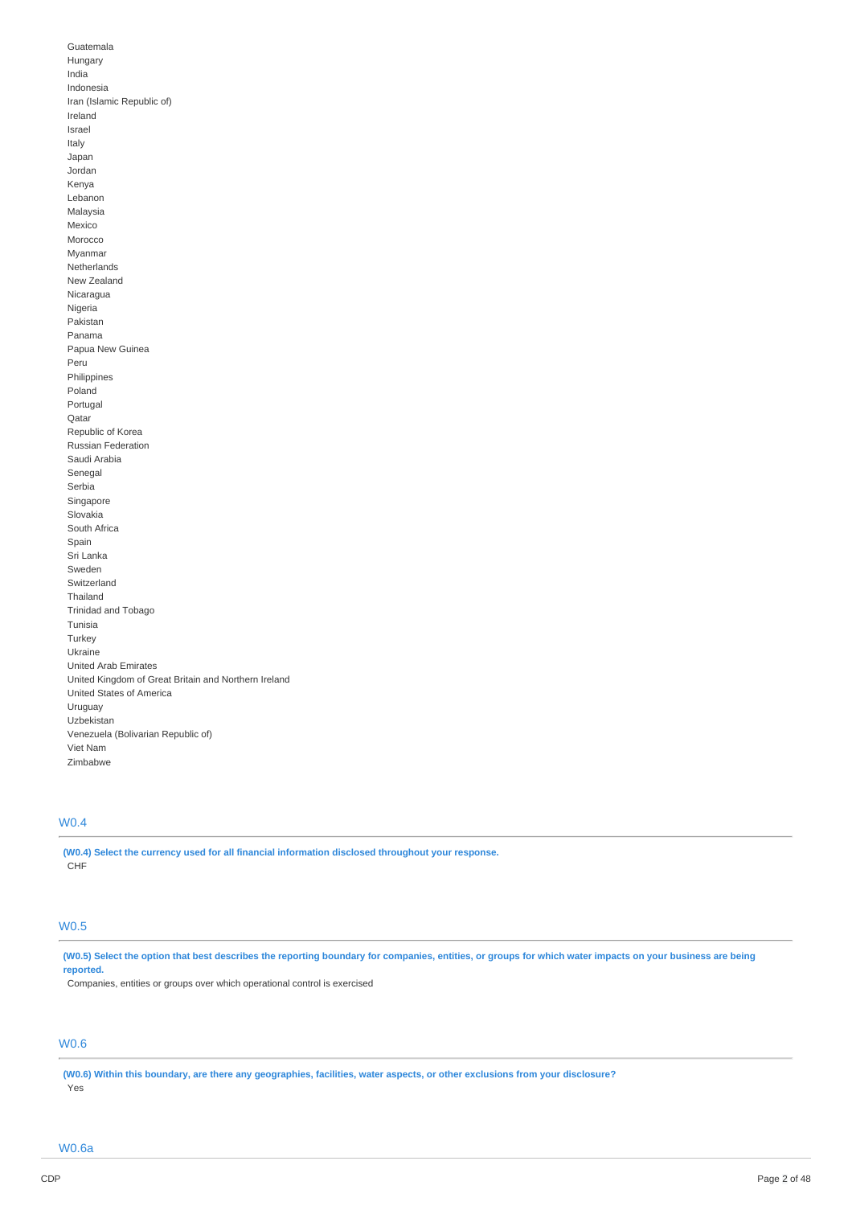Guatemala Hungary India Indonesia Iran (Islamic Republic of) Ireland Israel Italy Japan Jordan Kenya Lebanon Malaysia Mexico Morocco Myanmar Netherlands New Zealand Nicaragua Nigeria Pakistan Panama Papua New Guinea Peru Philippines Poland Portugal Qatar Republic of Korea Russian Federation Saudi Arabia Senegal Serbia Singapore Slovakia South Africa Spain Sri Lanka Sweden Switzerland Thailand Trinidad and Tobago Tunisia Turkey Ukraine United Arab Emirates United Kingdom of Great Britain and Northern Ireland United States of America Uruguay Uzbekistan Venezuela (Bolivarian Republic of) Viet Nam Zimbabwe

## W0.4

**(W0.4) Select the currency used for all financial information disclosed throughout your response.** CHF

## W0.5

(W0.5) Select the option that best describes the reporting boundary for companies, entities, or groups for which water impacts on your business are being **reported.**

Companies, entities or groups over which operational control is exercised

# W0.6

(W0.6) Within this boundary, are there any geographies, facilities, water aspects, or other exclusions from your disclosure? Yes

W0.6a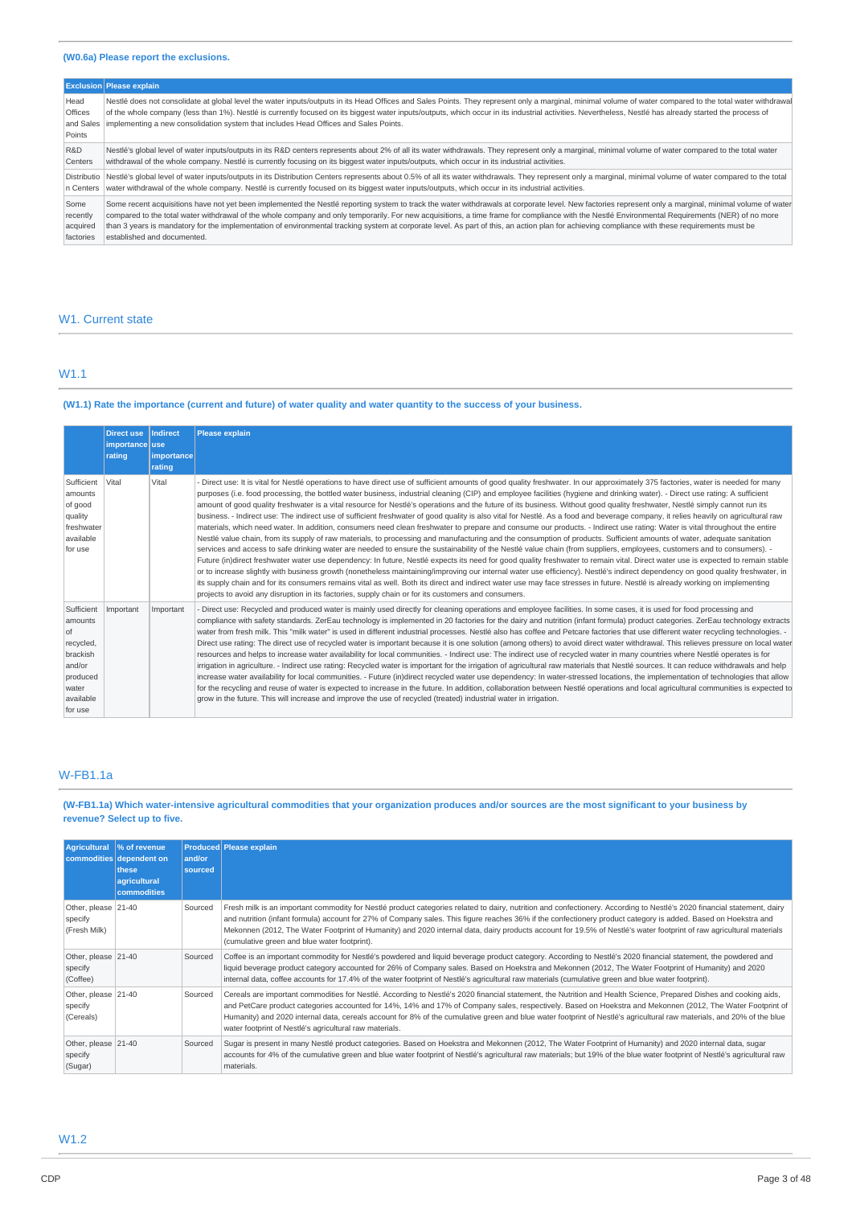## **(W0.6a) Please report the exclusions.**

|                                               | <b>Exclusion Please explain</b>                                                                                                                                                                                                                                                                                                                                                                                                                                                                              |
|-----------------------------------------------|--------------------------------------------------------------------------------------------------------------------------------------------------------------------------------------------------------------------------------------------------------------------------------------------------------------------------------------------------------------------------------------------------------------------------------------------------------------------------------------------------------------|
| Head<br><b>Offices</b><br>and Sales<br>Points | Nestlé does not consolidate at global level the water inputs/outputs in its Head Offices and Sales Points. They represent only a marginal, minimal volume of water compared to the total water withdrawal<br>of the whole company (less than 1%). Nestlé is currently focused on its biggest water inputs/outputs, which occur in its industrial activities. Nevertheless, Nestlé has already started the process of<br>implementing a new consolidation system that includes Head Offices and Sales Points. |
| R&D                                           | Nestlé's global level of water inputs/outputs in its R&D centers represents about 2% of all its water withdrawals. They represent only a marginal, minimal volume of water compared to the total water                                                                                                                                                                                                                                                                                                       |
| Centers                                       | withdrawal of the whole company. Nestlé is currently focusing on its biggest water inputs/outputs, which occur in its industrial activities.                                                                                                                                                                                                                                                                                                                                                                 |
| Distributio                                   | Nestlé's global level of water inputs/outputs in its Distribution Centers represents about 0.5% of all its water withdrawals. They represent only a marginal, minimal volume of water compared to the total                                                                                                                                                                                                                                                                                                  |
| In Centers                                    | water withdrawal of the whole company. Nestlé is currently focused on its biggest water inputs/outputs, which occur in its industrial activities.                                                                                                                                                                                                                                                                                                                                                            |
| Some                                          | Some recent acquisitions have not yet been implemented the Nestlé reporting system to track the water withdrawals at corporate level. New factories represent only a marginal, minimal volume of water                                                                                                                                                                                                                                                                                                       |
| recently                                      | compared to the total water withdrawal of the whole company and only temporarily. For new acquisitions, a time frame for compliance with the Nestlé Environmental Requirements (NER) of no more                                                                                                                                                                                                                                                                                                              |
| acquired                                      | than 3 years is mandatory for the implementation of environmental tracking system at corporate level. As part of this, an action plan for achieving compliance with these requirements must be                                                                                                                                                                                                                                                                                                               |
| factories                                     | established and documented.                                                                                                                                                                                                                                                                                                                                                                                                                                                                                  |

## W<sub>1</sub>. Current state

## W1.1

## (W1.1) Rate the importance (current and future) of water quality and water quantity to the success of your business.

|                                                                                                               | <b>Direct use</b><br>importance use<br>rating | <b>Indirect</b><br>importance | <b>Please explain</b>                                                                                                                                                                                                                                                                                                                                                                                                                                                                                                                                                                                                                                                                                                                                                                                                                                                                                                                                                                                                                                                                                                                                                                                                                                                                                                                                                                                                                                                                                                                                                                                                                                                                                                                                                                                                                                                                                                                   |
|---------------------------------------------------------------------------------------------------------------|-----------------------------------------------|-------------------------------|-----------------------------------------------------------------------------------------------------------------------------------------------------------------------------------------------------------------------------------------------------------------------------------------------------------------------------------------------------------------------------------------------------------------------------------------------------------------------------------------------------------------------------------------------------------------------------------------------------------------------------------------------------------------------------------------------------------------------------------------------------------------------------------------------------------------------------------------------------------------------------------------------------------------------------------------------------------------------------------------------------------------------------------------------------------------------------------------------------------------------------------------------------------------------------------------------------------------------------------------------------------------------------------------------------------------------------------------------------------------------------------------------------------------------------------------------------------------------------------------------------------------------------------------------------------------------------------------------------------------------------------------------------------------------------------------------------------------------------------------------------------------------------------------------------------------------------------------------------------------------------------------------------------------------------------------|
|                                                                                                               |                                               | rating                        |                                                                                                                                                                                                                                                                                                                                                                                                                                                                                                                                                                                                                                                                                                                                                                                                                                                                                                                                                                                                                                                                                                                                                                                                                                                                                                                                                                                                                                                                                                                                                                                                                                                                                                                                                                                                                                                                                                                                         |
| Sufficient<br>amounts<br>of good<br>quality<br>freshwater<br>available<br>for use                             | Vital                                         | Vital                         | Direct use: It is vital for Nestlé operations to have direct use of sufficient amounts of good quality freshwater. In our approximately 375 factories, water is needed for many<br>purposes (i.e. food processing, the bottled water business, industrial cleaning (CIP) and employee facilities (hygiene and drinking water). - Direct use rating: A sufficient<br>amount of good quality freshwater is a vital resource for Nestlé's operations and the future of its business. Without good quality freshwater, Nestlé simply cannot run its<br>business. - Indirect use: The indirect use of sufficient freshwater of good quality is also vital for Nestlé. As a food and beverage company, it relies heavily on agricultural raw<br>materials, which need water. In addition, consumers need clean freshwater to prepare and consume our products. - Indirect use rating: Water is vital throughout the entire<br>Nestlé value chain, from its supply of raw materials, to processing and manufacturing and the consumption of products. Sufficient amounts of water, adequate sanitation<br>services and access to safe drinking water are needed to ensure the sustainability of the Nestlé value chain (from suppliers, employees, customers and to consumers). -<br>Future (in)direct freshwater water use dependency: In future, Nestlé expects its need for good quality freshwater to remain vital. Direct water use is expected to remain stable<br>or to increase slightly with business growth (nonetheless maintaining/improving our internal water use efficiency). Nestlé's indirect dependency on good quality freshwater, in<br>its supply chain and for its consumers remains vital as well. Both its direct and indirect water use may face stresses in future. Nestlé is already working on implementing<br>projects to avoid any disruption in its factories, supply chain or for its customers and consumers. |
| Sufficient<br>amounts<br>l of<br>recycled,<br>brackish<br>and/or<br>produced<br>water<br>available<br>for use | Important                                     | Important                     | Direct use: Recycled and produced water is mainly used directly for cleaning operations and employee facilities. In some cases, it is used for food processing and<br>compliance with safety standards. ZerEau technology is implemented in 20 factories for the dairy and nutrition (infant formula) product categories. ZerEau technology extracts<br>water from fresh milk. This "milk water" is used in different industrial processes. Nestlé also has coffee and Petcare factories that use different water recycling technologies. -<br>Direct use rating: The direct use of recycled water is important because it is one solution (among others) to avoid direct water withdrawal. This relieves pressure on local water<br>resources and helps to increase water availability for local communities. - Indirect use: The indirect use of recycled water in many countries where Nestlé operates is for<br>irrigation in agriculture. - Indirect use rating: Recycled water is important for the irrigation of agricultural raw materials that Nestlé sources. It can reduce withdrawals and help<br>increase water availability for local communities. - Future (in)direct recycled water use dependency: In water-stressed locations, the implementation of technologies that allow<br>for the recycling and reuse of water is expected to increase in the future. In addition, collaboration between Nestlé operations and local agricultural communities is expected to<br>grow in the future. This will increase and improve the use of recycled (treated) industrial water in irrigation.                                                                                                                                                                                                                                                                                                                                |

## W-FB1.1a

(W-FB1.1a) Which water-intensive agricultural commodities that your organization produces and/or sources are the most significant to your business by **revenue? Select up to five.**

| <b>Agricultural</b>                            | % of revenue<br>commodities dependent on<br>these<br>agricultural<br>commodities | and/or<br>sourced | <b>Produced Please explain</b>                                                                                                                                                                                                                                                                                                                                                                                                                                                                                                                                      |
|------------------------------------------------|----------------------------------------------------------------------------------|-------------------|---------------------------------------------------------------------------------------------------------------------------------------------------------------------------------------------------------------------------------------------------------------------------------------------------------------------------------------------------------------------------------------------------------------------------------------------------------------------------------------------------------------------------------------------------------------------|
| Other, please 21-40<br>specify<br>(Fresh Milk) |                                                                                  | Sourced           | Fresh milk is an important commodity for Nestlé product categories related to dairy, nutrition and confectionery. According to Nestlé's 2020 financial statement, dairy<br>and nutrition (infant formula) account for 27% of Company sales. This figure reaches 36% if the confectionery product category is added. Based on Hoekstra and<br>Mekonnen (2012, The Water Footprint of Humanity) and 2020 internal data, dairy products account for 19.5% of Nestlé's water footprint of raw agricultural materials<br>(cumulative green and blue water footprint).    |
| Other, please 21-40<br>specify<br>(Coffee)     |                                                                                  | Sourced           | Coffee is an important commodity for Nestlé's powdered and liquid beverage product category. According to Nestlé's 2020 financial statement, the powdered and<br>liquid beverage product category accounted for 26% of Company sales. Based on Hoekstra and Mekonnen (2012, The Water Footprint of Humanity) and 2020<br>internal data, coffee accounts for 17.4% of the water footprint of Nestlé's agricultural raw materials (cumulative green and blue water footprint).                                                                                        |
| Other, please 21-40<br>specify<br>(Cereals)    |                                                                                  | Sourced           | Cereals are important commodities for Nestlé. According to Nestlé's 2020 financial statement, the Nutrition and Health Science, Prepared Dishes and cooking aids,<br>and PetCare product categories accounted for 14%, 14% and 17% of Company sales, respectively. Based on Hoekstra and Mekonnen (2012, The Water Footprint of<br>Humanity) and 2020 internal data, cereals account for 8% of the cumulative green and blue water footprint of Nestlé's agricultural raw materials, and 20% of the blue<br>water footprint of Nestlé's agricultural raw materials. |
| Other, please 21-40<br>specify<br>(Sugar)      |                                                                                  | Sourced           | Sugar is present in many Nestlé product categories. Based on Hoekstra and Mekonnen (2012, The Water Footprint of Humanity) and 2020 internal data, sugar<br>accounts for 4% of the cumulative green and blue water footprint of Nestlé's agricultural raw materials; but 19% of the blue water footprint of Nestlé's agricultural raw<br>materials.                                                                                                                                                                                                                 |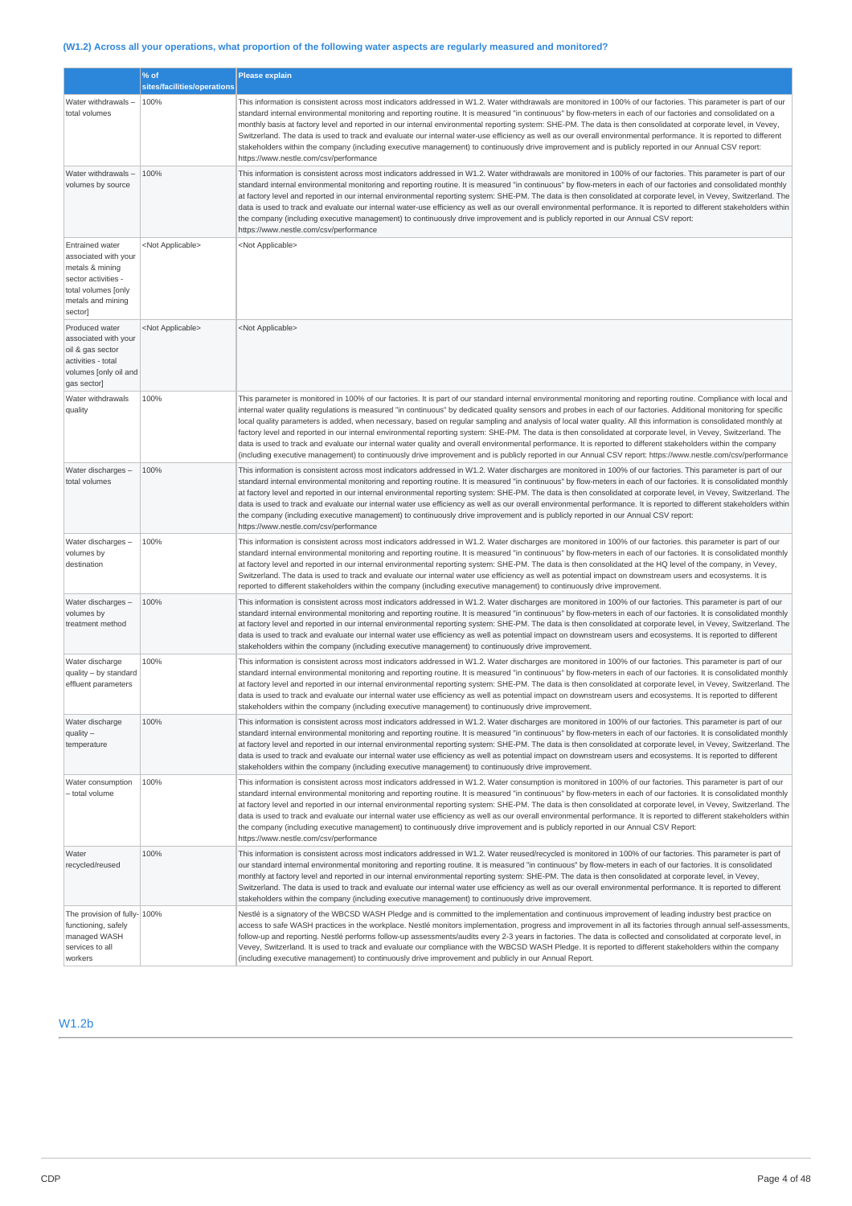## (W1.2) Across all your operations, what proportion of the following water aspects are regularly measured and monitored?

|                                                                                                                                                 | % of<br>sites/facilities/operations | <b>Please explain</b>                                                                                                                                                                                                                                                                                                                                                                                                                                                                                                                                                                                                                                                                                                                                                                                                                                                                                                                                                                                                  |
|-------------------------------------------------------------------------------------------------------------------------------------------------|-------------------------------------|------------------------------------------------------------------------------------------------------------------------------------------------------------------------------------------------------------------------------------------------------------------------------------------------------------------------------------------------------------------------------------------------------------------------------------------------------------------------------------------------------------------------------------------------------------------------------------------------------------------------------------------------------------------------------------------------------------------------------------------------------------------------------------------------------------------------------------------------------------------------------------------------------------------------------------------------------------------------------------------------------------------------|
| Water withdrawals -<br>total volumes                                                                                                            | 100%                                | This information is consistent across most indicators addressed in W1.2. Water withdrawals are monitored in 100% of our factories. This parameter is part of our<br>standard internal environmental monitoring and reporting routine. It is measured "in continuous" by flow-meters in each of our factories and consolidated on a<br>monthly basis at factory level and reported in our internal environmental reporting system: SHE-PM. The data is then consolidated at corporate level, in Vevey,<br>Switzerland. The data is used to track and evaluate our internal water-use efficiency as well as our overall environmental performance. It is reported to different<br>stakeholders within the company (including executive management) to continuously drive improvement and is publicly reported in our Annual CSV report:<br>https://www.nestle.com/csv/performance                                                                                                                                        |
| Water withdrawals -<br>volumes by source                                                                                                        | 100%                                | This information is consistent across most indicators addressed in W1.2. Water withdrawals are monitored in 100% of our factories. This parameter is part of our<br>standard internal environmental monitoring and reporting routine. It is measured "in continuous" by flow-meters in each of our factories and consolidated monthly<br>at factory level and reported in our internal environmental reporting system: SHE-PM. The data is then consolidated at corporate level, in Vevey, Switzerland. The<br>data is used to track and evaluate our internal water-use efficiency as well as our overall environmental performance. It is reported to different stakeholders within<br>the company (including executive management) to continuously drive improvement and is publicly reported in our Annual CSV report:<br>https://www.nestle.com/csv/performance                                                                                                                                                   |
| <b>Entrained water</b><br>associated with your<br>metals & mining<br>sector activities -<br>total volumes [only<br>metals and mining<br>sector] | <not applicable=""></not>           | <not applicable=""></not>                                                                                                                                                                                                                                                                                                                                                                                                                                                                                                                                                                                                                                                                                                                                                                                                                                                                                                                                                                                              |
| Produced water<br>associated with your<br>oil & gas sector<br>activities - total<br>volumes [only oil and<br>gas sector]                        | <not applicable=""></not>           | <not applicable=""></not>                                                                                                                                                                                                                                                                                                                                                                                                                                                                                                                                                                                                                                                                                                                                                                                                                                                                                                                                                                                              |
| Water withdrawals<br>quality                                                                                                                    | 100%                                | This parameter is monitored in 100% of our factories. It is part of our standard internal environmental monitoring and reporting routine. Compliance with local and<br>internal water quality regulations is measured "in continuous" by dedicated quality sensors and probes in each of our factories. Additional monitoring for specific<br>local quality parameters is added, when necessary, based on regular sampling and analysis of local water quality. All this information is consolidated monthly at<br>factory level and reported in our internal environmental reporting system: SHE-PM. The data is then consolidated at corporate level, in Vevey, Switzerland. The<br>data is used to track and evaluate our internal water quality and overall environmental performance. It is reported to different stakeholders within the company<br>(including executive management) to continuously drive improvement and is publicly reported in our Annual CSV report: https://www.nestle.com/csv/performance |
| Water discharges -<br>total volumes                                                                                                             | 100%                                | This information is consistent across most indicators addressed in W1.2. Water discharges are monitored in 100% of our factories. This parameter is part of our<br>standard internal environmental monitoring and reporting routine. It is measured "in continuous" by flow-meters in each of our factories. It is consolidated monthly<br>at factory level and reported in our internal environmental reporting system: SHE-PM. The data is then consolidated at corporate level, in Vevey, Switzerland. The<br>data is used to track and evaluate our internal water use efficiency as well as our overall environmental performance. It is reported to different stakeholders within<br>the company (including executive management) to continuously drive improvement and is publicly reported in our Annual CSV report:<br>https://www.nestle.com/csv/performance                                                                                                                                                 |
| Water discharges -<br>volumes by<br>destination                                                                                                 | 100%                                | This information is consistent across most indicators addressed in W1.2. Water discharges are monitored in 100% of our factories. this parameter is part of our<br>standard internal environmental monitoring and reporting routine. It is measured "in continuous" by flow-meters in each of our factories. It is consolidated monthly<br>at factory level and reported in our internal environmental reporting system: SHE-PM. The data is then consolidated at the HQ level of the company, in Vevey,<br>Switzerland. The data is used to track and evaluate our internal water use efficiency as well as potential impact on downstream users and ecosystems. It is<br>reported to different stakeholders within the company (including executive management) to continuously drive improvement.                                                                                                                                                                                                                   |
| Water discharges -<br>volumes by<br>treatment method                                                                                            | 100%                                | This information is consistent across most indicators addressed in W1.2. Water discharges are monitored in 100% of our factories. This parameter is part of our<br>standard internal environmental monitoring and reporting routine. It is measured "in continuous" by flow-meters in each of our factories. It is consolidated monthly<br>at factory level and reported in our internal environmental reporting system: SHE-PM. The data is then consolidated at corporate level, in Vevey, Switzerland. The<br>data is used to track and evaluate our internal water use efficiency as well as potential impact on downstream users and ecosystems. It is reported to different<br>stakeholders within the company (including executive management) to continuously drive improvement.                                                                                                                                                                                                                               |
| Water discharge<br>quality - by standard<br>effluent parameters                                                                                 | 100%                                | This information is consistent across most indicators addressed in W1.2. Water discharges are monitored in 100% of our factories. This parameter is part of our<br>standard internal environmental monitoring and reporting routine. It is measured "in continuous" by flow-meters in each of our factories. It is consolidated monthly<br>at factory level and reported in our internal environmental reporting system: SHE-PM. The data is then consolidated at corporate level, in Vevey, Switzerland. The<br>data is used to track and evaluate our internal water use efficiency as well as potential impact on downstream users and ecosystems. It is reported to different<br>stakeholders within the company (including executive management) to continuously drive improvement.                                                                                                                                                                                                                               |
| Water discharge<br>$quality -$<br>temperature                                                                                                   | 100%                                | This information is consistent across most indicators addressed in W1.2. Water discharges are monitored in 100% of our factories. This parameter is part of our<br>standard internal environmental monitoring and reporting routine. It is measured "in continuous" by flow-meters in each of our factories. It is consolidated monthly<br>at factory level and reported in our internal environmental reporting system: SHE-PM. The data is then consolidated at corporate level, in Vevey, Switzerland. The<br>data is used to track and evaluate our internal water use efficiency as well as potential impact on downstream users and ecosystems. It is reported to different<br>stakeholders within the company (including executive management) to continuously drive improvement.                                                                                                                                                                                                                               |
| Water consumption<br>- total volume                                                                                                             | 100%                                | This information is consistent across most indicators addressed in W1.2. Water consumption is monitored in 100% of our factories. This parameter is part of our<br>standard internal environmental monitoring and reporting routine. It is measured "in continuous" by flow-meters in each of our factories. It is consolidated monthly<br>at factory level and reported in our internal environmental reporting system: SHE-PM. The data is then consolidated at corporate level, in Vevey, Switzerland. The<br>data is used to track and evaluate our internal water use efficiency as well as our overall environmental performance. It is reported to different stakeholders within<br>the company (including executive management) to continuously drive improvement and is publicly reported in our Annual CSV Report:<br>https://www.nestle.com/csv/performance                                                                                                                                                 |
| Water<br>recycled/reused                                                                                                                        | 100%                                | This information is consistent across most indicators addressed in W1.2. Water reused/recycled is monitored in 100% of our factories. This parameter is part of<br>our standard internal environmental monitoring and reporting routine. It is measured "in continuous" by flow-meters in each of our factories. It is consolidated<br>monthly at factory level and reported in our internal environmental reporting system: SHE-PM. The data is then consolidated at corporate level, in Vevey,<br>Switzerland. The data is used to track and evaluate our internal water use efficiency as well as our overall environmental performance. It is reported to different<br>stakeholders within the company (including executive management) to continuously drive improvement.                                                                                                                                                                                                                                         |
| The provision of fully- 100%<br>functioning, safely<br>managed WASH<br>services to all<br>workers                                               |                                     | Nestlé is a signatory of the WBCSD WASH Pledge and is committed to the implementation and continuous improvement of leading industry best practice on<br>access to safe WASH practices in the workplace. Nestlé monitors implementation, progress and improvement in all its factories through annual self-assessments,<br>follow-up and reporting. Nestlé performs follow-up assessments/audits every 2-3 years in factories. The data is collected and consolidated at corporate level, in<br>Vevey, Switzerland. It is used to track and evaluate our compliance with the WBCSD WASH Pledge. It is reported to different stakeholders within the company<br>(including executive management) to continuously drive improvement and publicly in our Annual Report.                                                                                                                                                                                                                                                   |

## W1.2b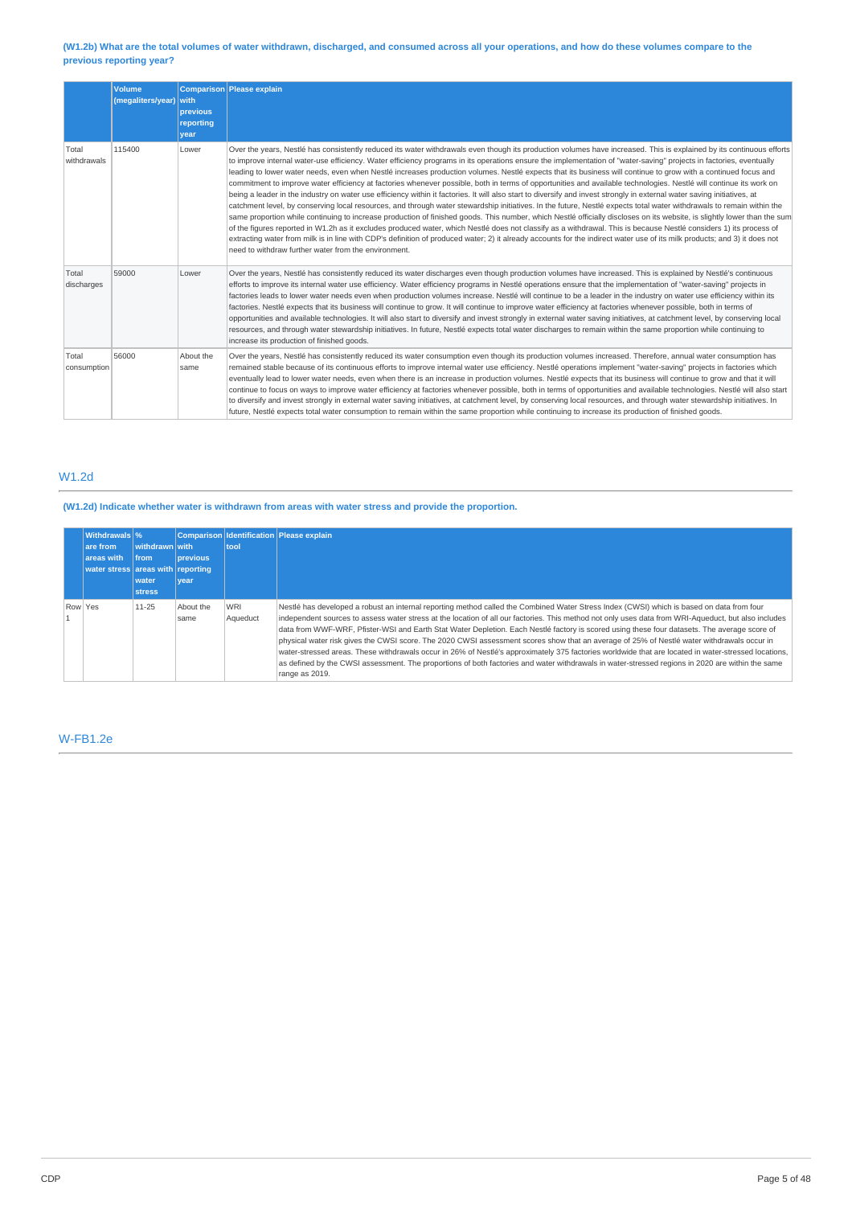## (W1.2b) What are the total volumes of water withdrawn, discharged, and consumed across all your operations, and how do these volumes compare to the **previous reporting year?**

|                      | <b>Volume</b><br>(megaliters/year) with | previous<br>reporting<br>vear | Comparison Please explain                                                                                                                                                                                                                                                                                                                                                                                                                                                                                                                                                                                                                                                                                                                                                                                                                                                                                                                                                                                                                                                                                                                                                                                                                                                                                                                                                                                                                                                                                                                                                                                                       |
|----------------------|-----------------------------------------|-------------------------------|---------------------------------------------------------------------------------------------------------------------------------------------------------------------------------------------------------------------------------------------------------------------------------------------------------------------------------------------------------------------------------------------------------------------------------------------------------------------------------------------------------------------------------------------------------------------------------------------------------------------------------------------------------------------------------------------------------------------------------------------------------------------------------------------------------------------------------------------------------------------------------------------------------------------------------------------------------------------------------------------------------------------------------------------------------------------------------------------------------------------------------------------------------------------------------------------------------------------------------------------------------------------------------------------------------------------------------------------------------------------------------------------------------------------------------------------------------------------------------------------------------------------------------------------------------------------------------------------------------------------------------|
| Total<br>withdrawals | 115400                                  | Lower                         | Over the years, Nestlé has consistently reduced its water withdrawals even though its production volumes have increased. This is explained by its continuous efforts<br>to improve internal water-use efficiency. Water efficiency programs in its operations ensure the implementation of "water-saving" projects in factories, eventually<br>leading to lower water needs, even when Nestlé increases production volumes. Nestlé expects that its business will continue to grow with a continued focus and<br>commitment to improve water efficiency at factories whenever possible, both in terms of opportunities and available technologies. Nestlé will continue its work on<br>being a leader in the industry on water use efficiency within it factories. It will also start to diversify and invest strongly in external water saving initiatives, at<br>catchment level, by conserving local resources, and through water stewardship initiatives. In the future, Nestlé expects total water withdrawals to remain within the<br>same proportion while continuing to increase production of finished goods. This number, which Nestlé officially discloses on its website, is slightly lower than the sum<br>of the figures reported in W1.2h as it excludes produced water, which Nestlé does not classify as a withdrawal. This is because Nestlé considers 1) its process of<br>extracting water from milk is in line with CDP's definition of produced water; 2) it already accounts for the indirect water use of its milk products; and 3) it does not<br>need to withdraw further water from the environment. |
| Total<br>discharges  | 59000                                   | Lower                         | Over the years, Nestlé has consistently reduced its water discharges even though production volumes have increased. This is explained by Nestlé's continuous<br>efforts to improve its internal water use efficiency. Water efficiency programs in Nestlé operations ensure that the implementation of "water-saving" projects in<br>factories leads to lower water needs even when production volumes increase. Nestlé will continue to be a leader in the industry on water use efficiency within its<br>factories. Nestlé expects that its business will continue to grow. It will continue to improve water efficiency at factories whenever possible, both in terms of<br>opportunities and available technologies. It will also start to diversify and invest strongly in external water saving initiatives, at catchment level, by conserving local<br>resources, and through water stewardship initiatives. In future, Nestlé expects total water discharges to remain within the same proportion while continuing to<br>increase its production of finished goods.                                                                                                                                                                                                                                                                                                                                                                                                                                                                                                                                                     |
| Total<br>consumption | 56000                                   | About the<br>same             | Over the years, Nestlé has consistently reduced its water consumption even though its production volumes increased. Therefore, annual water consumption has<br>remained stable because of its continuous efforts to improve internal water use efficiency. Nestlé operations implement "water-saving" projects in factories which<br>eventually lead to lower water needs, even when there is an increase in production volumes. Nestlé expects that its business will continue to grow and that it will<br>continue to focus on ways to improve water efficiency at factories whenever possible, both in terms of opportunities and available technologies. Nestlé will also start<br>to diversify and invest strongly in external water saving initiatives, at catchment level, by conserving local resources, and through water stewardship initiatives. In<br>future, Nestlé expects total water consumption to remain within the same proportion while continuing to increase its production of finished goods.                                                                                                                                                                                                                                                                                                                                                                                                                                                                                                                                                                                                            |

## W1.2d

## **(W1.2d) Indicate whether water is withdrawn from areas with water stress and provide the proportion.**

|         | <b>Withdrawals</b> %<br>are from<br>areas with<br>water stress areas with reporting | withdrawn with<br><b>Ifrom</b><br>water<br><b>stress</b> | <b>previous</b><br>vear | tool            | Comparison Identification Please explain                                                                                                                                                                                                                                                                                                                                                                                                                                                                                                                                                                                                                                                                                                                                                                                                                                                                                      |
|---------|-------------------------------------------------------------------------------------|----------------------------------------------------------|-------------------------|-----------------|-------------------------------------------------------------------------------------------------------------------------------------------------------------------------------------------------------------------------------------------------------------------------------------------------------------------------------------------------------------------------------------------------------------------------------------------------------------------------------------------------------------------------------------------------------------------------------------------------------------------------------------------------------------------------------------------------------------------------------------------------------------------------------------------------------------------------------------------------------------------------------------------------------------------------------|
| Row Yes |                                                                                     | $11 - 25$                                                | About the<br>same       | WRI<br>Aqueduct | Nestlé has developed a robust an internal reporting method called the Combined Water Stress Index (CWSI) which is based on data from four<br>independent sources to assess water stress at the location of all our factories. This method not only uses data from WRI-Aqueduct, but also includes<br>data from WWF-WRF, Pfister-WSI and Earth Stat Water Depletion. Each Nestlé factory is scored using these four datasets. The average score of<br>physical water risk gives the CWSI score. The 2020 CWSI assessment scores show that an average of 25% of Nestlé water withdrawals occur in<br>water-stressed areas. These withdrawals occur in 26% of Nestlé's approximately 375 factories worldwide that are located in water-stressed locations,<br>as defined by the CWSI assessment. The proportions of both factories and water withdrawals in water-stressed regions in 2020 are within the same<br>range as 2019. |

## W-FB1.2e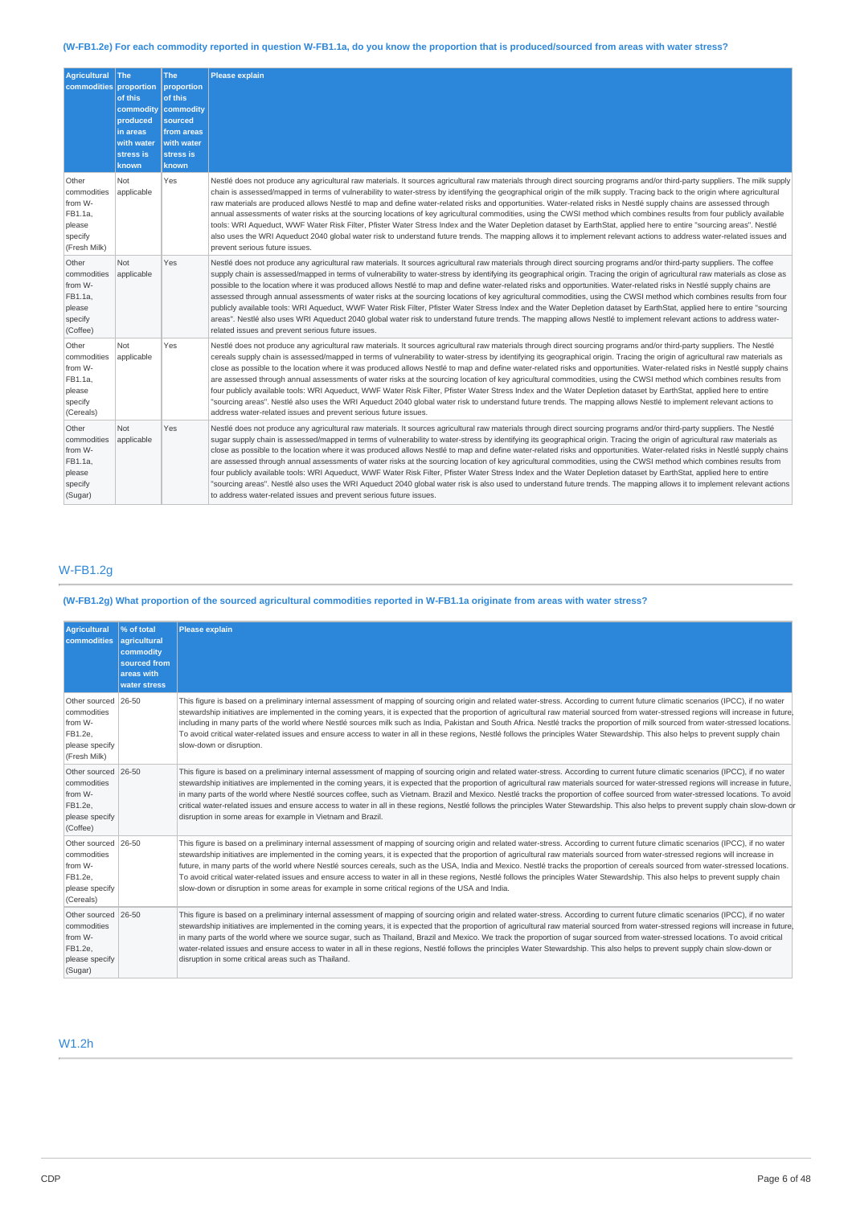## (W-FB1.2e) For each commodity reported in question W-FB1.1a, do you know the proportion that is produced/sourced from areas with water stress?

| <b>Agricultural</b><br>commodities                                              | <b>The</b><br>proportion<br>of this<br>commodity<br>produced<br>in areas<br>with water<br>stress is<br>known | <b>The</b><br>proportion<br>of this<br>commodity<br>sourced<br>from areas<br>with water<br>stress is<br>known | <b>Please explain</b>                                                                                                                                                                                                                                                                                                                                                                                                                                                                                                                                                                                                                                                                                                                                                                                                                                                                                                                                                                                                                                                                                                               |
|---------------------------------------------------------------------------------|--------------------------------------------------------------------------------------------------------------|---------------------------------------------------------------------------------------------------------------|-------------------------------------------------------------------------------------------------------------------------------------------------------------------------------------------------------------------------------------------------------------------------------------------------------------------------------------------------------------------------------------------------------------------------------------------------------------------------------------------------------------------------------------------------------------------------------------------------------------------------------------------------------------------------------------------------------------------------------------------------------------------------------------------------------------------------------------------------------------------------------------------------------------------------------------------------------------------------------------------------------------------------------------------------------------------------------------------------------------------------------------|
| Other<br>commodities<br>from W-<br>FB1.1a,<br>please<br>specify<br>(Fresh Milk) | <b>Not</b><br>applicable                                                                                     | Yes                                                                                                           | Nestlé does not produce any agricultural raw materials. It sources agricultural raw materials through direct sourcing programs and/or third-party suppliers. The milk supply<br>chain is assessed/mapped in terms of vulnerability to water-stress by identifying the geographical origin of the milk supply. Tracing back to the origin where agricultural<br>raw materials are produced allows Nestlé to map and define water-related risks and opportunities. Water-related risks in Nestlé supply chains are assessed through<br>annual assessments of water risks at the sourcing locations of key agricultural commodities, using the CWSI method which combines results from four publicly available<br>tools: WRI Aqueduct, WWF Water Risk Filter, Pfister Water Stress Index and the Water Depletion dataset by EarthStat, applied here to entire "sourcing areas". Nestlé<br>also uses the WRI Aqueduct 2040 global water risk to understand future trends. The mapping allows it to implement relevant actions to address water-related issues and<br>prevent serious future issues.                                     |
| Other<br>commodities<br>from W-<br>FB1.1a,<br>please<br>specify<br>(Coffee)     | <b>Not</b><br>applicable                                                                                     | Yes                                                                                                           | Nestlé does not produce any agricultural raw materials. It sources agricultural raw materials through direct sourcing programs and/or third-party suppliers. The coffee<br>supply chain is assessed/mapped in terms of vulnerability to water-stress by identifying its geographical origin. Tracing the origin of agricultural raw materials as close as<br>possible to the location where it was produced allows Nestlé to map and define water-related risks and opportunities. Water-related risks in Nestlé supply chains are<br>assessed through annual assessments of water risks at the sourcing locations of key agricultural commodities, using the CWSI method which combines results from four<br>publicly available tools: WRI Aqueduct, WWF Water Risk Filter, Pfister Water Stress Index and the Water Depletion dataset by EarthStat, applied here to entire "sourcing<br>areas". Nestlé also uses WRI Aqueduct 2040 global water risk to understand future trends. The mapping allows Nestlé to implement relevant actions to address water-<br>related issues and prevent serious future issues.                  |
| Other<br>commodities<br>from W-<br>FB1.1a,<br>please<br>specify<br>(Cereals)    | <b>Not</b><br>applicable                                                                                     | Yes                                                                                                           | Nestlé does not produce any agricultural raw materials. It sources agricultural raw materials through direct sourcing programs and/or third-party suppliers. The Nestlé<br>cereals supply chain is assessed/mapped in terms of vulnerability to water-stress by identifying its geographical origin. Tracing the origin of agricultural raw materials as<br>close as possible to the location where it was produced allows Nestlé to map and define water-related risks and opportunities. Water-related risks in Nestlé supply chains<br>are assessed through annual assessments of water risks at the sourcing location of key agricultural commodities, using the CWSI method which combines results from<br>four publicly available tools: WRI Aqueduct, WWF Water Risk Filter, Pfister Water Stress Index and the Water Depletion dataset by EarthStat, applied here to entire<br>"sourcing areas". Nestlé also uses the WRI Aqueduct 2040 global water risk to understand future trends. The mapping allows Nestlé to implement relevant actions to<br>address water-related issues and prevent serious future issues.        |
| Other<br>commodities<br>from W-<br>FB1.1a,<br>please<br>specify<br>(Sugar)      | <b>Not</b><br>applicable                                                                                     | Yes                                                                                                           | Nestlé does not produce any agricultural raw materials. It sources agricultural raw materials through direct sourcing programs and/or third-party suppliers. The Nestlé<br>sugar supply chain is assessed/mapped in terms of vulnerability to water-stress by identifying its geographical origin. Tracing the origin of agricultural raw materials as<br>close as possible to the location where it was produced allows Nestlé to map and define water-related risks and opportunities. Water-related risks in Nestlé supply chains<br>are assessed through annual assessments of water risks at the sourcing location of key agricultural commodities, using the CWSI method which combines results from<br>four publicly available tools: WRI Aqueduct, WWF Water Risk Filter, Pfister Water Stress Index and the Water Depletion dataset by EarthStat, applied here to entire<br>"sourcing areas". Nestlé also uses the WRI Aqueduct 2040 global water risk is also used to understand future trends. The mapping allows it to implement relevant actions<br>to address water-related issues and prevent serious future issues. |

## W-FB1.2g

## (W-FB1.2g) What proportion of the sourced agricultural commodities reported in W-FB1.1a originate from areas with water stress?

| <b>Agricultural</b><br>commodities                                                         | % of total<br>agricultural<br>commodity<br>sourced from<br>areas with<br>water stress | <b>Please explain</b>                                                                                                                                                                                                                                                                                                                                                                                                                                                                                                                                                                                                                                                                                                                                                                                                                                       |
|--------------------------------------------------------------------------------------------|---------------------------------------------------------------------------------------|-------------------------------------------------------------------------------------------------------------------------------------------------------------------------------------------------------------------------------------------------------------------------------------------------------------------------------------------------------------------------------------------------------------------------------------------------------------------------------------------------------------------------------------------------------------------------------------------------------------------------------------------------------------------------------------------------------------------------------------------------------------------------------------------------------------------------------------------------------------|
| Other sourced 26-50<br>commodities<br>from W-<br>FB1.2e.<br>please specify<br>(Fresh Milk) |                                                                                       | This figure is based on a preliminary internal assessment of mapping of sourcing origin and related water-stress. According to current future climatic scenarios (IPCC), if no water<br>stewardship initiatives are implemented in the coming years, it is expected that the proportion of agricultural raw material sourced from water-stressed regions will increase in future.<br>including in many parts of the world where Nestlé sources milk such as India, Pakistan and South Africa. Nestlé tracks the proportion of milk sourced from water-stressed locations.<br>To avoid critical water-related issues and ensure access to water in all in these regions, Nestlé follows the principles Water Stewardship. This also helps to prevent supply chain<br>slow-down or disruption.                                                                |
| Other sourced 26-50<br>commodities<br>from W-<br>FB1.2e.<br>please specify<br>(Coffee)     |                                                                                       | This figure is based on a preliminary internal assessment of mapping of sourcing origin and related water-stress. According to current future climatic scenarios (IPCC), if no water<br>stewardship initiatives are implemented in the coming years, it is expected that the proportion of agricultural raw materials sourced for water-stressed regions will increase in future,<br>in many parts of the world where Nestlé sources coffee, such as Vietnam. Brazil and Mexico. Nestlé tracks the proportion of coffee sourced from water-stressed locations. To avoid<br>critical water-related issues and ensure access to water in all in these regions, Nestlé follows the principles Water Stewardship. This also helps to prevent supply chain slow-down or<br>disruption in some areas for example in Vietnam and Brazil.                           |
| Other sourced 26-50<br>commodities<br>from W-<br>FB1.2e.<br>please specify<br>(Cereals)    |                                                                                       | This figure is based on a preliminary internal assessment of mapping of sourcing origin and related water-stress. According to current future climatic scenarios (IPCC), if no water<br>stewardship initiatives are implemented in the coming years, it is expected that the proportion of agricultural raw materials sourced from water-stressed regions will increase in<br>future, in many parts of the world where Nestlé sources cereals, such as the USA, India and Mexico. Nestlé tracks the proportion of cereals sourced from water-stressed locations.<br>To avoid critical water-related issues and ensure access to water in all in these regions, Nestlé follows the principles Water Stewardship. This also helps to prevent supply chain<br>slow-down or disruption in some areas for example in some critical regions of the USA and India. |
| Other sourced 26-50<br>commodities<br>from W-<br>FB1.2e.<br>please specify<br>(Sugar)      |                                                                                       | This figure is based on a preliminary internal assessment of mapping of sourcing origin and related water-stress. According to current future climatic scenarios (IPCC), if no water<br>stewardship initiatives are implemented in the coming years, it is expected that the proportion of agricultural raw material sourced from water-stressed regions will increase in future.<br>in many parts of the world where we source sugar, such as Thailand, Brazil and Mexico. We track the proportion of sugar sourced from water-stressed locations. To avoid critical<br>water-related issues and ensure access to water in all in these regions, Nestlé follows the principles Water Stewardship. This also helps to prevent supply chain slow-down or<br>disruption in some critical areas such as Thailand.                                              |

## W1.2h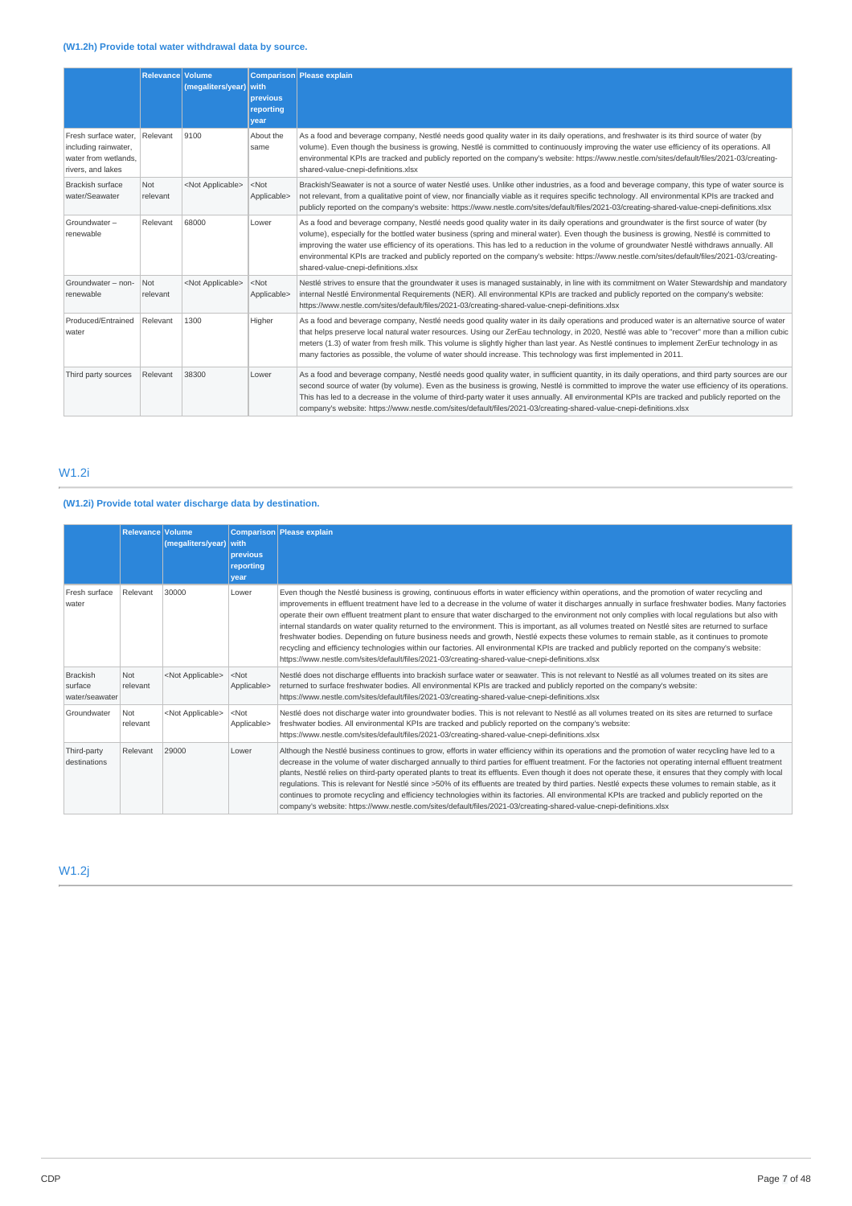## **(W1.2h) Provide total water withdrawal data by source.**

|                                                                                           | <b>Relevance Volume</b> | (megaliters/year)         | with.<br>previous<br>reporting<br>vear | Comparison Please explain                                                                                                                                                                                                                                                                                                                                                                                                                                                                                                                                                                                                     |
|-------------------------------------------------------------------------------------------|-------------------------|---------------------------|----------------------------------------|-------------------------------------------------------------------------------------------------------------------------------------------------------------------------------------------------------------------------------------------------------------------------------------------------------------------------------------------------------------------------------------------------------------------------------------------------------------------------------------------------------------------------------------------------------------------------------------------------------------------------------|
| Fresh surface water.<br>including rainwater,<br>water from wetlands.<br>rivers, and lakes | Relevant                | 9100                      | About the<br>same                      | As a food and beverage company, Nestlé needs good quality water in its daily operations, and freshwater is its third source of water (by<br>volume). Even though the business is growing, Nestlé is committed to continuously improving the water use efficiency of its operations. All<br>environmental KPIs are tracked and publicly reported on the company's website: https://www.nestle.com/sites/default/files/2021-03/creating-<br>shared-value-cnepi-definitions.xlsx                                                                                                                                                 |
| <b>Brackish surface</b><br>water/Seawater                                                 | Not<br>relevant         | <not applicable=""></not> | $<$ Not<br>Applicable>                 | Brackish/Seawater is not a source of water Nestlé uses. Unlike other industries, as a food and beverage company, this type of water source is<br>not relevant, from a qualitative point of view, nor financially viable as it requires specific technology. All environmental KPIs are tracked and<br>publicly reported on the company's website: https://www.nestle.com/sites/default/files/2021-03/creating-shared-value-cnepi-definitions.xlsx                                                                                                                                                                             |
| Groundwater-<br>renewable                                                                 | Relevant                | 68000                     | Lower                                  | As a food and beverage company, Nestlé needs good quality water in its daily operations and groundwater is the first source of water (by<br>volume), especially for the bottled water business (spring and mineral water). Even though the business is growing, Nestlé is committed to<br>improving the water use efficiency of its operations. This has led to a reduction in the volume of groundwater Nestlé withdraws annually. All<br>environmental KPIs are tracked and publicly reported on the company's website: https://www.nestle.com/sites/default/files/2021-03/creating-<br>shared-value-cnepi-definitions.xlsx |
| Groundwater - non-<br>renewable                                                           | Not<br>relevant         | <not applicable=""></not> | $<$ Not<br>Applicable>                 | Nestlé strives to ensure that the groundwater it uses is managed sustainably, in line with its commitment on Water Stewardship and mandatory<br>internal Nestlé Environmental Requirements (NER). All environmental KPIs are tracked and publicly reported on the company's website:<br>https://www.nestle.com/sites/default/files/2021-03/creating-shared-value-cnepi-definitions.xlsx                                                                                                                                                                                                                                       |
| Produced/Entrained<br>water                                                               | Relevant                | 1300                      | Higher                                 | As a food and beverage company, Nestlé needs good quality water in its daily operations and produced water is an alternative source of water<br>that helps preserve local natural water resources. Using our ZerEau technology, in 2020, Nestlé was able to "recover" more than a million cubic<br>meters (1.3) of water from fresh milk. This volume is slightly higher than last year. As Nestlé continues to implement ZerEur technology in as<br>many factories as possible, the volume of water should increase. This technology was first implemented in 2011.                                                          |
| Third party sources                                                                       | Relevant                | 38300                     | Lower                                  | As a food and beverage company, Nestlé needs good quality water, in sufficient quantity, in its daily operations, and third party sources are our<br>second source of water (by volume). Even as the business is growing, Nestlé is committed to improve the water use efficiency of its operations.<br>This has led to a decrease in the volume of third-party water it uses annually. All environmental KPIs are tracked and publicly reported on the<br>company's website: https://www.nestle.com/sites/default/files/2021-03/creating-shared-value-cnepi-definitions.xlsx                                                 |

## W1.2i

## **(W1.2i) Provide total water discharge data by destination.**

|                                              | Relevance Volume | (megaliters/year) with    | <b>previous</b><br>reporting<br>vear | Comparison Please explain                                                                                                                                                                                                                                                                                                                                                                                                                                                                                                                                                                                                                                                                                                                                                                                                                                                                                                                                                                                                |
|----------------------------------------------|------------------|---------------------------|--------------------------------------|--------------------------------------------------------------------------------------------------------------------------------------------------------------------------------------------------------------------------------------------------------------------------------------------------------------------------------------------------------------------------------------------------------------------------------------------------------------------------------------------------------------------------------------------------------------------------------------------------------------------------------------------------------------------------------------------------------------------------------------------------------------------------------------------------------------------------------------------------------------------------------------------------------------------------------------------------------------------------------------------------------------------------|
| Fresh surface<br>water                       | Relevant         | 30000                     | Lower                                | Even though the Nestlé business is growing, continuous efforts in water efficiency within operations, and the promotion of water recycling and<br>improvements in effluent treatment have led to a decrease in the volume of water it discharges annually in surface freshwater bodies. Many factories<br>operate their own effluent treatment plant to ensure that water discharged to the environment not only complies with local regulations but also with<br>internal standards on water quality returned to the environment. This is important, as all volumes treated on Nestlé sites are returned to surface<br>freshwater bodies. Depending on future business needs and growth, Nestlé expects these volumes to remain stable, as it continues to promote<br>recycling and efficiency technologies within our factories. All environmental KPIs are tracked and publicly reported on the company's website:<br>https://www.nestle.com/sites/default/files/2021-03/creating-shared-value-cnepi-definitions.xlsx |
| <b>Brackish</b><br>surface<br>water/seawater | Not<br>relevant  | <not applicable=""></not> | $<$ Not<br>Applicable>               | Nestlé does not discharge effluents into brackish surface water or seawater. This is not relevant to Nestlé as all volumes treated on its sites are<br>returned to surface freshwater bodies. All environmental KPIs are tracked and publicly reported on the company's website:<br>https://www.nestle.com/sites/default/files/2021-03/creating-shared-value-cnepi-definitions.xlsx                                                                                                                                                                                                                                                                                                                                                                                                                                                                                                                                                                                                                                      |
| Groundwater                                  | Not<br>relevant  | <not applicable=""></not> | $<$ Not<br>Applicable>               | Nestlé does not discharge water into groundwater bodies. This is not relevant to Nestlé as all volumes treated on its sites are returned to surface<br>freshwater bodies. All environmental KPIs are tracked and publicly reported on the company's website:<br>https://www.nestle.com/sites/default/files/2021-03/creating-shared-value-cnepi-definitions.xlsx                                                                                                                                                                                                                                                                                                                                                                                                                                                                                                                                                                                                                                                          |
| Third-party<br>destinations                  | Relevant         | 29000                     | Lower                                | Although the Nestlé business continues to grow, efforts in water efficiency within its operations and the promotion of water recycling have led to a<br>decrease in the volume of water discharged annually to third parties for effluent treatment. For the factories not operating internal effluent treatment<br>plants, Nestlé relies on third-party operated plants to treat its effluents. Even though it does not operate these, it ensures that they comply with local<br>regulations. This is relevant for Nestlé since >50% of its effluents are treated by third parties. Nestlé expects these volumes to remain stable, as it<br>continues to promote recycling and efficiency technologies within its factories. All environmental KPIs are tracked and publicly reported on the<br>company's website: https://www.nestle.com/sites/default/files/2021-03/creating-shared-value-cnepi-definitions.xlsx                                                                                                      |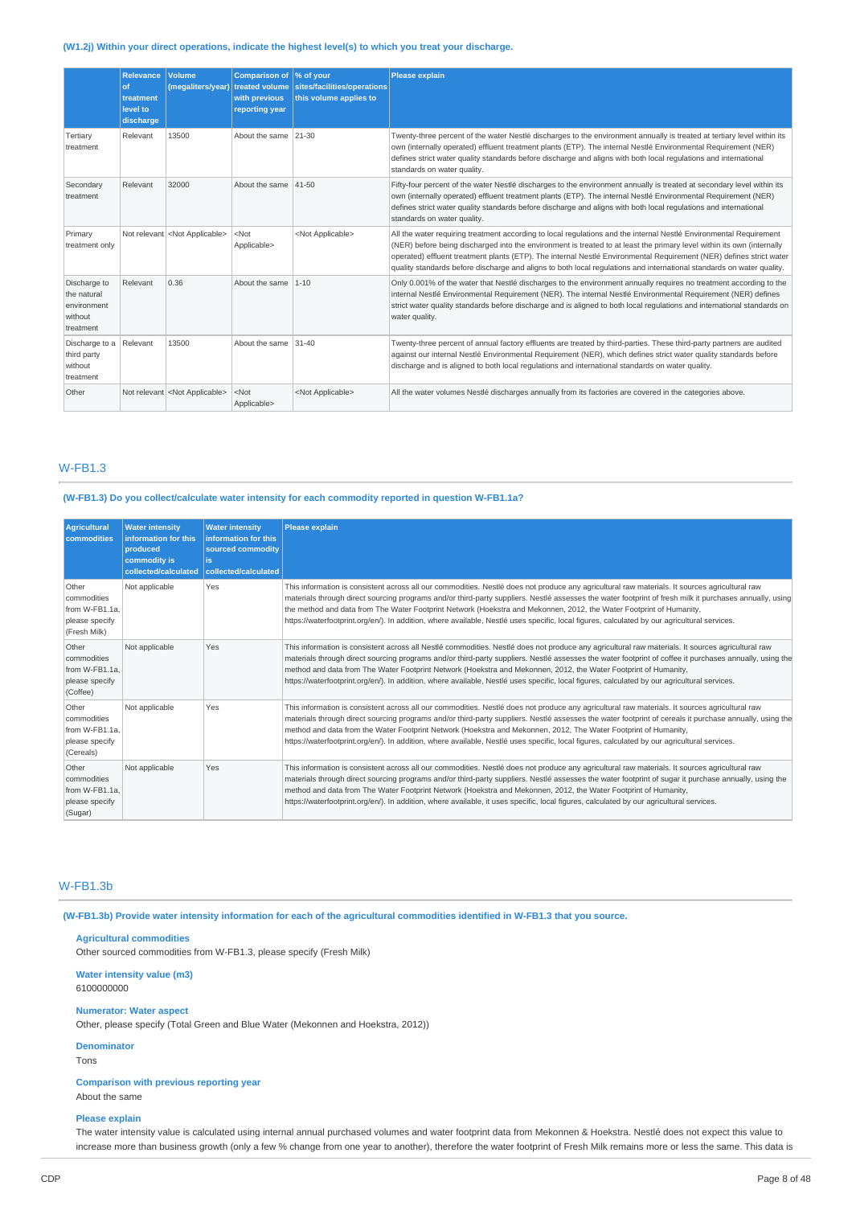## **(W1.2j) Within your direct operations, indicate the highest level(s) to which you treat your discharge.**

|                                                                    | <b>Relevance</b><br>of<br>treatment<br>level to<br>discharge | Volume<br>(megaliters/year)            | Comparison of \% of your<br>with previous<br>reporting year | treated volume sites/facilities/operations<br>this volume applies to | <b>Please explain</b>                                                                                                                                                                                                                                                                                                                                                                                                                                                                        |
|--------------------------------------------------------------------|--------------------------------------------------------------|----------------------------------------|-------------------------------------------------------------|----------------------------------------------------------------------|----------------------------------------------------------------------------------------------------------------------------------------------------------------------------------------------------------------------------------------------------------------------------------------------------------------------------------------------------------------------------------------------------------------------------------------------------------------------------------------------|
| Tertiary<br>treatment                                              | Relevant                                                     | 13500                                  | About the same                                              | 21-30                                                                | Twenty-three percent of the water Nestlé discharges to the environment annually is treated at tertiary level within its<br>own (internally operated) effluent treatment plants (ETP). The internal Nestlé Environmental Requirement (NER)<br>defines strict water quality standards before discharge and aligns with both local regulations and international<br>standards on water quality.                                                                                                 |
| Secondary<br>treatment                                             | Relevant                                                     | 32000                                  | About the same                                              | $ 41 - 50$                                                           | Fifty-four percent of the water Nestlé discharges to the environment annually is treated at secondary level within its<br>own (internally operated) effluent treatment plants (ETP). The internal Nestlé Environmental Requirement (NER)<br>defines strict water quality standards before discharge and aligns with both local regulations and international<br>standards on water quality.                                                                                                  |
| Primary<br>treatment only                                          |                                                              | Not relevant <not applicable=""></not> | $<$ Not<br>Applicable>                                      | <not applicable=""></not>                                            | All the water requiring treatment according to local regulations and the internal Nestlé Environmental Requirement<br>(NER) before being discharged into the environment is treated to at least the primary level within its own (internally<br>operated) effluent treatment plants (ETP). The internal Nestlé Environmental Requirement (NER) defines strict water<br>quality standards before discharge and aligns to both local regulations and international standards on water quality. |
| Discharge to<br>the natural<br>environment<br>without<br>treatment | Relevant                                                     | 0.36                                   | About the same 1-10                                         |                                                                      | Only 0.001% of the water that Nestlé discharges to the environment annually requires no treatment according to the<br>internal Nestlé Environmental Requirement (NER). The internal Nestlé Environmental Requirement (NER) defines<br>strict water quality standards before discharge and is aligned to both local regulations and international standards on<br>water quality.                                                                                                              |
| Discharge to a<br>third party<br>without<br>treatment              | Relevant                                                     | 13500                                  | About the same 31-40                                        |                                                                      | Twenty-three percent of annual factory effluents are treated by third-parties. These third-party partners are audited<br>against our internal Nestlé Environmental Requirement (NER), which defines strict water quality standards before<br>discharge and is aligned to both local regulations and international standards on water quality.                                                                                                                                                |
| Other                                                              |                                                              | Not relevant <not applicable=""></not> | $<$ Not<br>Applicable>                                      | <not applicable=""></not>                                            | All the water volumes Nestlé discharges annually from its factories are covered in the categories above.                                                                                                                                                                                                                                                                                                                                                                                     |

## W-FB1.3

### **(W-FB1.3) Do you collect/calculate water intensity for each commodity reported in question W-FB1.1a?**

| <b>Agricultural</b><br>commodities                                       | <b>Water intensity</b><br>information for this<br>produced<br>commodity is<br>collected/calculated | <b>Water intensity</b><br>information for this<br>sourced commodity<br>is.<br>collected/calculated | <b>Please explain</b>                                                                                                                                                                                                                                                                                                                                                                                                                                                                                                                                                            |
|--------------------------------------------------------------------------|----------------------------------------------------------------------------------------------------|----------------------------------------------------------------------------------------------------|----------------------------------------------------------------------------------------------------------------------------------------------------------------------------------------------------------------------------------------------------------------------------------------------------------------------------------------------------------------------------------------------------------------------------------------------------------------------------------------------------------------------------------------------------------------------------------|
| Other<br>commodities<br>from W-FB1.1a.<br>please specify<br>(Fresh Milk) | Not applicable                                                                                     | Yes                                                                                                | This information is consistent across all our commodities. Nestlé does not produce any agricultural raw materials. It sources agricultural raw<br>materials through direct sourcing programs and/or third-party suppliers. Nestlé assesses the water footprint of fresh milk it purchases annually, using<br>the method and data from The Water Footprint Network (Hoekstra and Mekonnen, 2012, the Water Footprint of Humanity,<br>https://waterfootprint.org/en/). In addition, where available, Nestlé uses specific, local figures, calculated by our agricultural services. |
| Other<br>commodities<br>from W-FB1.1a.<br>please specify<br>(Coffee)     | Not applicable                                                                                     | Yes                                                                                                | This information is consistent across all Nestlé commodities. Nestlé does not produce any agricultural raw materials. It sources agricultural raw<br>materials through direct sourcing programs and/or third-party suppliers. Nestlé assesses the water footprint of coffee it purchases annually, using the<br>method and data from The Water Footprint Network (Hoekstra and Mekonnen, 2012, the Water Footprint of Humanity,<br>https://waterfootprint.org/en/). In addition, where available, Nestlé uses specific, local figures, calculated by our agricultural services.  |
| Other<br>commodities<br>from W-FB1.1a.<br>please specify<br>(Cereals)    | Not applicable                                                                                     | Yes                                                                                                | This information is consistent across all our commodities. Nestlé does not produce any agricultural raw materials. It sources agricultural raw<br>materials through direct sourcing programs and/or third-party suppliers. Nestlé assesses the water footprint of cereals it purchase annually, using the<br>method and data from the Water Footprint Network (Hoekstra and Mekonnen, 2012, The Water Footprint of Humanity,<br>https://waterfootprint.org/en/). In addition, where available, Nestlé uses specific, local figures, calculated by our agricultural services.     |
| Other<br>commodities<br>from W-FB1.1a.<br>please specify<br>(Sugar)      | Not applicable                                                                                     | Yes                                                                                                | This information is consistent across all our commodities. Nestlé does not produce any agricultural raw materials. It sources agricultural raw<br>materials through direct sourcing programs and/or third-party suppliers. Nestlé assesses the water footprint of sugar it purchase annually, using the<br>method and data from The Water Footprint Network (Hoekstra and Mekonnen, 2012, the Water Footprint of Humanity,<br>https://waterfootprint.org/en/). In addition, where available, it uses specific, local figures, calculated by our agricultural services.           |

## W-FB1.3b

(W-FB1.3b) Provide water intensity information for each of the agricultural commodities identified in W-FB1.3 that you source.

## **Agricultural commodities**

Other sourced commodities from W-FB1.3, please specify (Fresh Milk)

#### **Water intensity value (m3)** 6100000000

### **Numerator: Water aspect**

Other, please specify (Total Green and Blue Water (Mekonnen and Hoekstra, 2012))

## **Denominator**

Tons

## **Comparison with previous reporting year**

## About the same **Please explain**

The water intensity value is calculated using internal annual purchased volumes and water footprint data from Mekonnen & Hoekstra. Nestlé does not expect this value to increase more than business growth (only a few % change from one year to another), therefore the water footprint of Fresh Milk remains more or less the same. This data is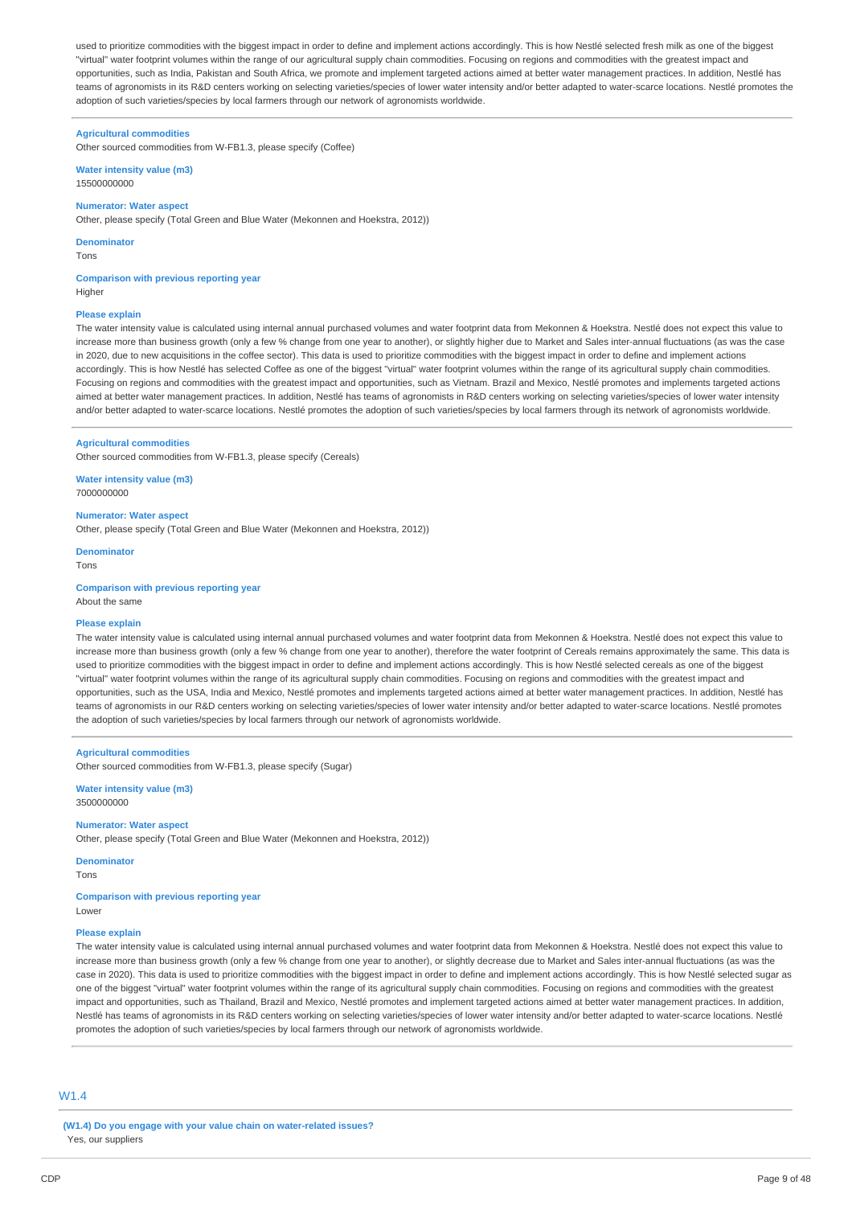used to prioritize commodities with the biggest impact in order to define and implement actions accordingly. This is how Nestlé selected fresh milk as one of the biggest "virtual" water footprint volumes within the range of our agricultural supply chain commodities. Focusing on regions and commodities with the greatest impact and opportunities, such as India, Pakistan and South Africa, we promote and implement targeted actions aimed at better water management practices. In addition, Nestlé has teams of agronomists in its R&D centers working on selecting varieties/species of lower water intensity and/or better adapted to water-scarce locations. Nestlé promotes the adoption of such varieties/species by local farmers through our network of agronomists worldwide.

### **Agricultural commodities**

Other sourced commodities from W-FB1.3, please specify (Coffee)

**Water intensity value (m3)** 15500000000

### **Numerator: Water aspect**

Other, please specify (Total Green and Blue Water (Mekonnen and Hoekstra, 2012))

**Denominator**

Tons

## **Comparison with previous reporting year**

Higher

#### **Please explain**

The water intensity value is calculated using internal annual purchased volumes and water footprint data from Mekonnen & Hoekstra. Nestlé does not expect this value to increase more than business growth (only a few % change from one year to another), or slightly higher due to Market and Sales inter-annual fluctuations (as was the case in 2020, due to new acquisitions in the coffee sector). This data is used to prioritize commodities with the biggest impact in order to define and implement actions accordingly. This is how Nestlé has selected Coffee as one of the biggest "virtual" water footprint volumes within the range of its agricultural supply chain commodities Focusing on regions and commodities with the greatest impact and opportunities, such as Vietnam. Brazil and Mexico, Nestlé promotes and implements targeted actions aimed at better water management practices. In addition, Nestlé has teams of agronomists in R&D centers working on selecting varieties/species of lower water intensity and/or better adapted to water-scarce locations. Nestlé promotes the adoption of such varieties/species by local farmers through its network of agronomists worldwide.

#### **Agricultural commodities**

Other sourced commodities from W-FB1.3, please specify (Cereals)

**Water intensity value (m3)** 7000000000

### **Numerator: Water aspect**

Other, please specify (Total Green and Blue Water (Mekonnen and Hoekstra, 2012))

**Denominator** Tons

**Comparison with previous reporting year** About the same

#### **Please explain**

The water intensity value is calculated using internal annual purchased volumes and water footprint data from Mekonnen & Hoekstra. Nestlé does not expect this value to increase more than business growth (only a few % change from one year to another), therefore the water footprint of Cereals remains approximately the same. This data is used to prioritize commodities with the biggest impact in order to define and implement actions accordingly. This is how Nestlé selected cereals as one of the biggest "virtual" water footprint volumes within the range of its agricultural supply chain commodities. Focusing on regions and commodities with the greatest impact and opportunities, such as the USA, India and Mexico, Nestlé promotes and implements targeted actions aimed at better water management practices. In addition, Nestlé has teams of agronomists in our R&D centers working on selecting varieties/species of lower water intensity and/or better adapted to water-scarce locations. Nestlé promotes the adoption of such varieties/species by local farmers through our network of agronomists worldwide.

#### **Agricultural commodities**

Other sourced commodities from W-FB1.3, please specify (Sugar)

**Water intensity value (m3)** 3500000000

### **Numerator: Water aspect**

Other, please specify (Total Green and Blue Water (Mekonnen and Hoekstra, 2012))

## **Denominator**

Tons

**Comparison with previous reporting year** Lower

#### **Please explain**

The water intensity value is calculated using internal annual purchased volumes and water footprint data from Mekonnen & Hoekstra. Nestlé does not expect this value to increase more than business growth (only a few % change from one year to another), or slightly decrease due to Market and Sales inter-annual fluctuations (as was the case in 2020). This data is used to prioritize commodities with the biggest impact in order to define and implement actions accordingly. This is how Nestlé selected sugar as one of the biggest "virtual" water footprint volumes within the range of its agricultural supply chain commodities. Focusing on regions and commodities with the greatest impact and opportunities, such as Thailand, Brazil and Mexico, Nestlé promotes and implement targeted actions aimed at better water management practices. In addition, Nestlé has teams of agronomists in its R&D centers working on selecting varieties/species of lower water intensity and/or better adapted to water-scarce locations. Nestlé promotes the adoption of such varieties/species by local farmers through our network of agronomists worldwide.

## $M1.4$

**(W1.4) Do you engage with your value chain on water-related issues?** Yes, our suppliers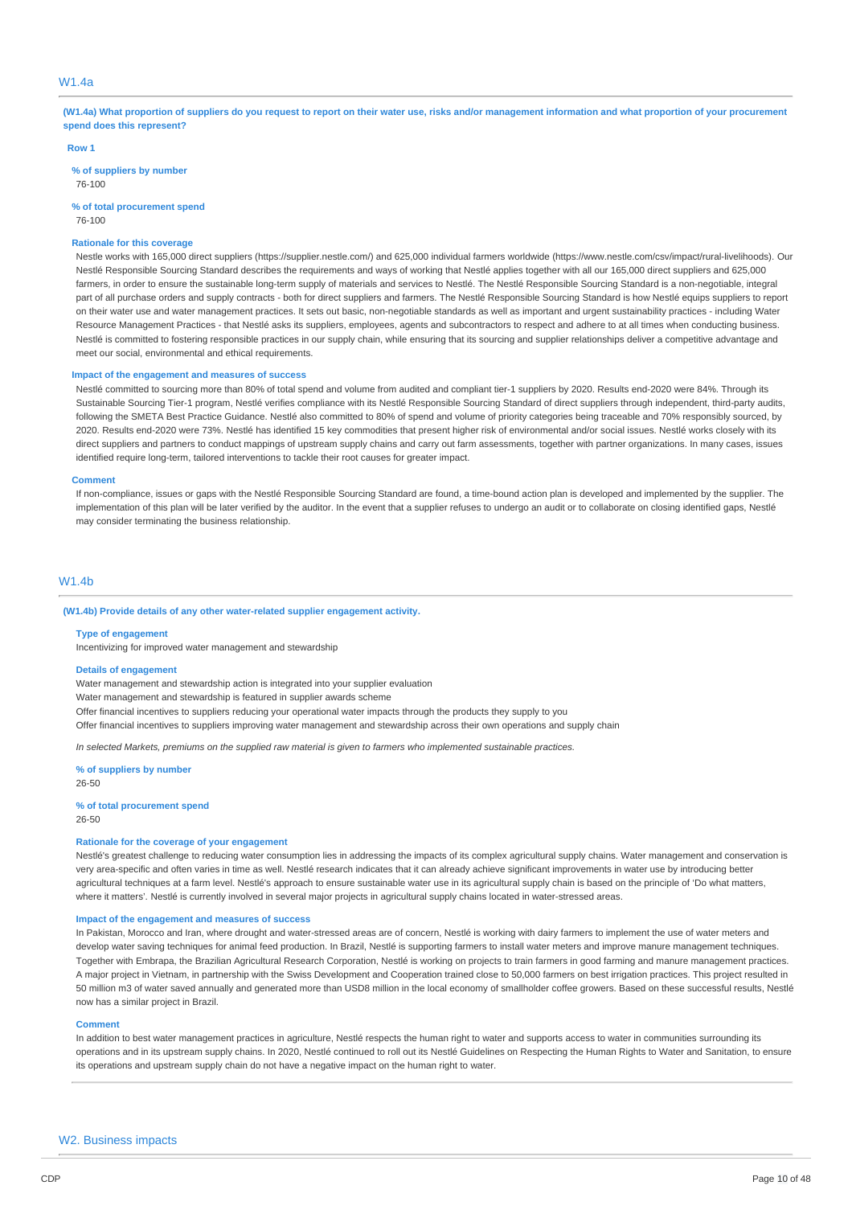## W1.4a

(W1.4a) What proportion of suppliers do you request to report on their water use, risks and/or management information and what proportion of your procurement **spend does this represent?**

#### **Row 1**

**% of suppliers by number**

76-100

**% of total procurement spend** 76-100

## **Rationale for this coverage**

Nestle works with 165,000 direct suppliers (https://supplier.nestle.com/) and 625,000 individual farmers worldwide (https://www.nestle.com/csv/impact/rural-livelihoods). Our Nestlé Responsible Sourcing Standard describes the requirements and ways of working that Nestlé applies together with all our 165,000 direct suppliers and 625,000 farmers, in order to ensure the sustainable long-term supply of materials and services to Nestlé. The Nestlé Responsible Sourcing Standard is a non-negotiable, integral part of all purchase orders and supply contracts - both for direct suppliers and farmers. The Nestlé Responsible Sourcing Standard is how Nestlé equips suppliers to report on their water use and water management practices. It sets out basic, non-negotiable standards as well as important and urgent sustainability practices - including Water Resource Management Practices - that Nestlé asks its suppliers, employees, agents and subcontractors to respect and adhere to at all times when conducting business. Nestlé is committed to fostering responsible practices in our supply chain, while ensuring that its sourcing and supplier relationships deliver a competitive advantage and meet our social, environmental and ethical requirements.

#### **Impact of the engagement and measures of success**

Nestlé committed to sourcing more than 80% of total spend and volume from audited and compliant tier-1 suppliers by 2020. Results end-2020 were 84%. Through its Sustainable Sourcing Tier-1 program, Nestlé verifies compliance with its Nestlé Responsible Sourcing Standard of direct suppliers through independent, third-party audits, following the SMETA Best Practice Guidance. Nestlé also committed to 80% of spend and volume of priority categories being traceable and 70% responsibly sourced, by 2020. Results end-2020 were 73%. Nestlé has identified 15 key commodities that present higher risk of environmental and/or social issues. Nestlé works closely with its direct suppliers and partners to conduct mappings of upstream supply chains and carry out farm assessments, together with partner organizations. In many cases, issues identified require long-term, tailored interventions to tackle their root causes for greater impact.

#### **Comment**

If non-compliance, issues or gaps with the Nestlé Responsible Sourcing Standard are found, a time-bound action plan is developed and implemented by the supplier. The implementation of this plan will be later verified by the auditor. In the event that a supplier refuses to undergo an audit or to collaborate on closing identified gaps, Nestlé may consider terminating the business relationship.

### W1.4b

#### **(W1.4b) Provide details of any other water-related supplier engagement activity.**

#### **Type of engagement**

Incentivizing for improved water management and stewardship

#### **Details of engagement**

Water management and stewardship action is integrated into your supplier evaluation

Water management and stewardship is featured in supplier awards scheme

Offer financial incentives to suppliers reducing your operational water impacts through the products they supply to you

Offer financial incentives to suppliers improving water management and stewardship across their own operations and supply chain

In selected Markets, premiums on the supplied raw material is given to farmers who implemented sustainable practices.

#### **% of suppliers by number**

26-50

**% of total procurement spend** 26-50

#### **Rationale for the coverage of your engagement**

Nestlé's greatest challenge to reducing water consumption lies in addressing the impacts of its complex agricultural supply chains. Water management and conservation is very area-specific and often varies in time as well. Nestlé research indicates that it can already achieve significant improvements in water use by introducing better agricultural techniques at a farm level. Nestlé's approach to ensure sustainable water use in its agricultural supply chain is based on the principle of 'Do what matters, where it matters'. Nestlé is currently involved in several major projects in agricultural supply chains located in water-stressed areas.

#### **Impact of the engagement and measures of success**

In Pakistan, Morocco and Iran, where drought and water-stressed areas are of concern, Nestlé is working with dairy farmers to implement the use of water meters and develop water saving techniques for animal feed production. In Brazil, Nestlé is supporting farmers to install water meters and improve manure management techniques. Together with Embrapa, the Brazilian Agricultural Research Corporation, Nestlé is working on projects to train farmers in good farming and manure management practices. A major project in Vietnam, in partnership with the Swiss Development and Cooperation trained close to 50,000 farmers on best irrigation practices. This project resulted in 50 million m3 of water saved annually and generated more than USD8 million in the local economy of smallholder coffee growers. Based on these successful results, Nestlé now has a similar project in Brazil.

#### **Comment**

In addition to best water management practices in agriculture. Nestlé respects the human right to water and supports access to water in communities surrounding its operations and in its upstream supply chains. In 2020, Nestlé continued to roll out its Nestlé Guidelines on Respecting the Human Rights to Water and Sanitation, to ensure its operations and upstream supply chain do not have a negative impact on the human right to water.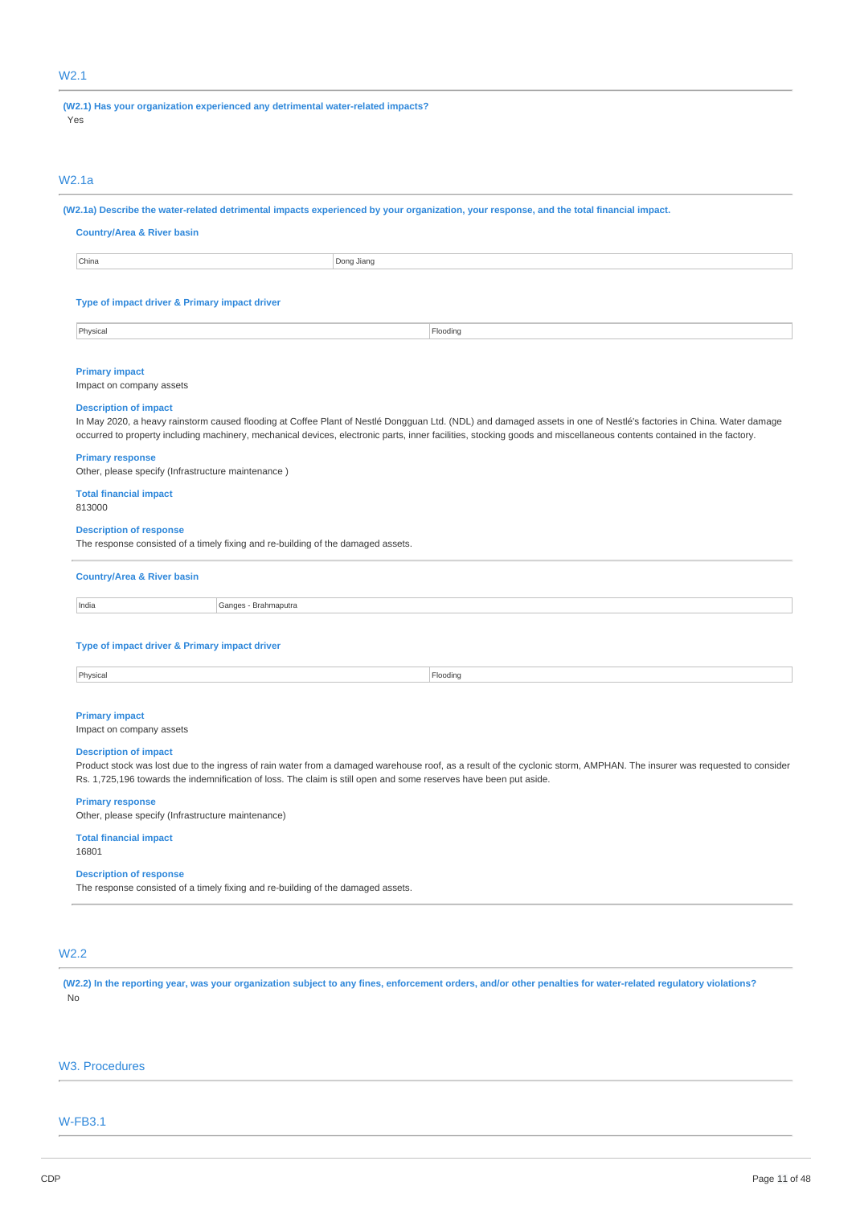## W2.1

**(W2.1) Has your organization experienced any detrimental water-related impacts?**

Yes

## W2.1a

(W2.1a) Describe the water-related detrimental impacts experienced by your organization, your response, and the total financial impact.

### **Country/Area & River basin**

**China** Dong Jiang

## **Type of impact driver & Primary impact driver**

Physical Flooding and the contract of the contract of the contract of the contract of the contract of the contract of the contract of the contract of the contract of the contract of the contract of the contract of the cont

#### **Primary impact**

Impact on company assets

#### **Description of impact**

In May 2020, a heavy rainstorm caused flooding at Coffee Plant of Nestlé Dongguan Ltd. (NDL) and damaged assets in one of Nestlé's factories in China. Water damage occurred to property including machinery, mechanical devices, electronic parts, inner facilities, stocking goods and miscellaneous contents contained in the factory.

#### **Primary response**

Other, please specify (Infrastructure maintenance )

## **Total financial impact**

813000

### **Description of response**

The response consisted of a timely fixing and re-building of the damaged assets.

### **Country/Area & River basin**

India Ganges - Brahmaputra

### **Type of impact driver & Primary impact driver**

## **Primary impact**

Impact on company assets

### **Description of impact**

Product stock was lost due to the ingress of rain water from a damaged warehouse roof, as a result of the cyclonic storm, AMPHAN. The insurer was requested to consider Rs. 1,725,196 towards the indemnification of loss. The claim is still open and some reserves have been put aside.

#### **Primary response**

Other, please specify (Infrastructure maintenance)

#### **Total financial impact** 16801

## **Description of response**

The response consisted of a timely fixing and re-building of the damaged assets.

## W2.2

(W2.2) In the reporting year, was your organization subject to any fines, enforcement orders, and/or other penalties for water-related regulatory violations? No

## W3. Procedures

## W-FB3.1

#### Physical Flooding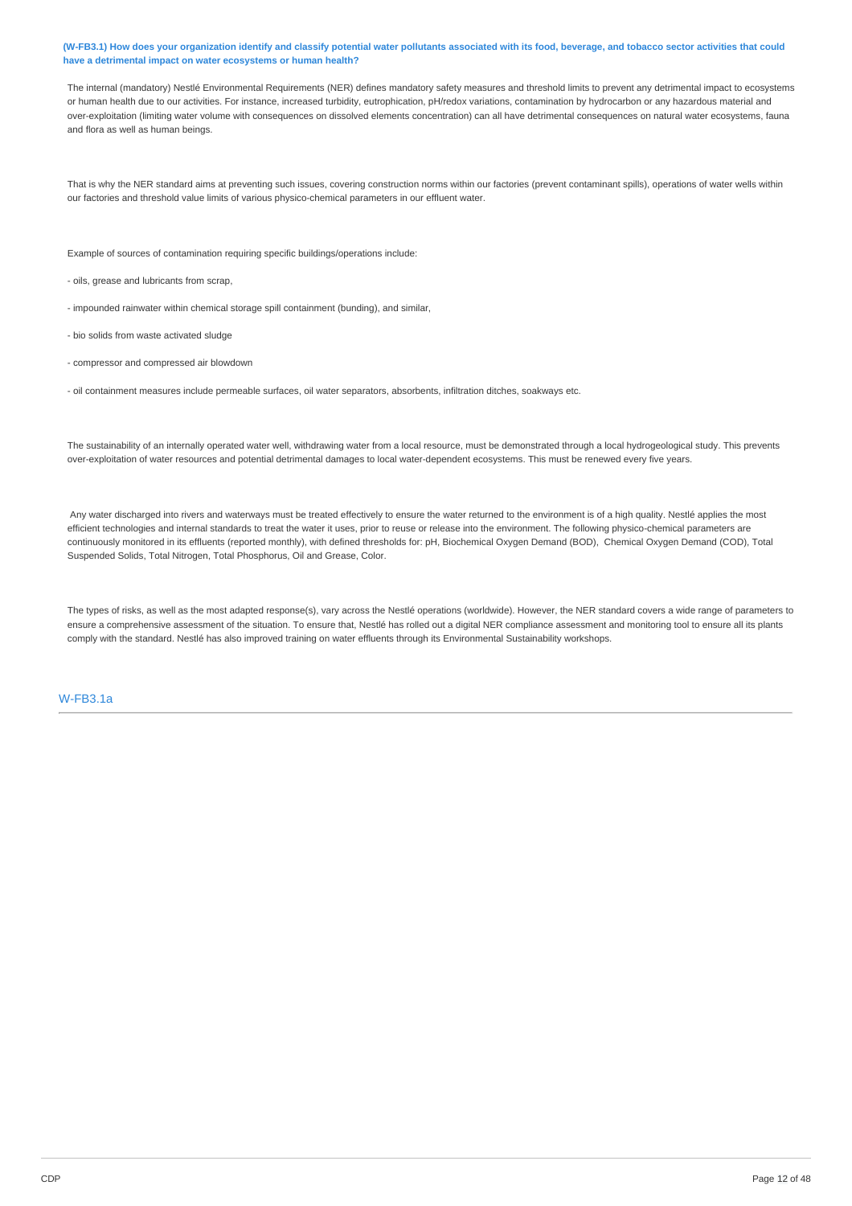### (W-FB3.1) How does your organization identify and classify potential water pollutants associated with its food, beverage, and tobacco sector activities that could **have a detrimental impact on water ecosystems or human health?**

The internal (mandatory) Nestlé Environmental Requirements (NER) defines mandatory safety measures and threshold limits to prevent any detrimental impact to ecosystems or human health due to our activities. For instance, increased turbidity, eutrophication, pH/redox variations, contamination by hydrocarbon or any hazardous material and over-exploitation (limiting water volume with consequences on dissolved elements concentration) can all have detrimental consequences on natural water ecosystems, fauna and flora as well as human beings.

That is why the NER standard aims at preventing such issues, covering construction norms within our factories (prevent contaminant spills), operations of water wells within our factories and threshold value limits of various physico-chemical parameters in our effluent water.

Example of sources of contamination requiring specific buildings/operations include:

- oils, grease and lubricants from scrap,
- impounded rainwater within chemical storage spill containment (bunding), and similar,
- bio solids from waste activated sludge
- compressor and compressed air blowdown
- oil containment measures include permeable surfaces, oil water separators, absorbents, infiltration ditches, soakways etc.

The sustainability of an internally operated water well, withdrawing water from a local resource, must be demonstrated through a local hydrogeological study. This prevents over-exploitation of water resources and potential detrimental damages to local water-dependent ecosystems. This must be renewed every five years.

Any water discharged into rivers and waterways must be treated effectively to ensure the water returned to the environment is of a high quality. Nestlé applies the most efficient technologies and internal standards to treat the water it uses, prior to reuse or release into the environment. The following physico-chemical parameters are continuously monitored in its effluents (reported monthly), with defined thresholds for: pH, Biochemical Oxygen Demand (BOD), Chemical Oxygen Demand (COD), Total Suspended Solids, Total Nitrogen, Total Phosphorus, Oil and Grease, Color.

The types of risks, as well as the most adapted response(s), vary across the Nestlé operations (worldwide). However, the NER standard covers a wide range of parameters to ensure a comprehensive assessment of the situation. To ensure that, Nestlé has rolled out a digital NER compliance assessment and monitoring tool to ensure all its plants comply with the standard. Nestlé has also improved training on water effluents through its Environmental Sustainability workshops.

## W-FB3.1a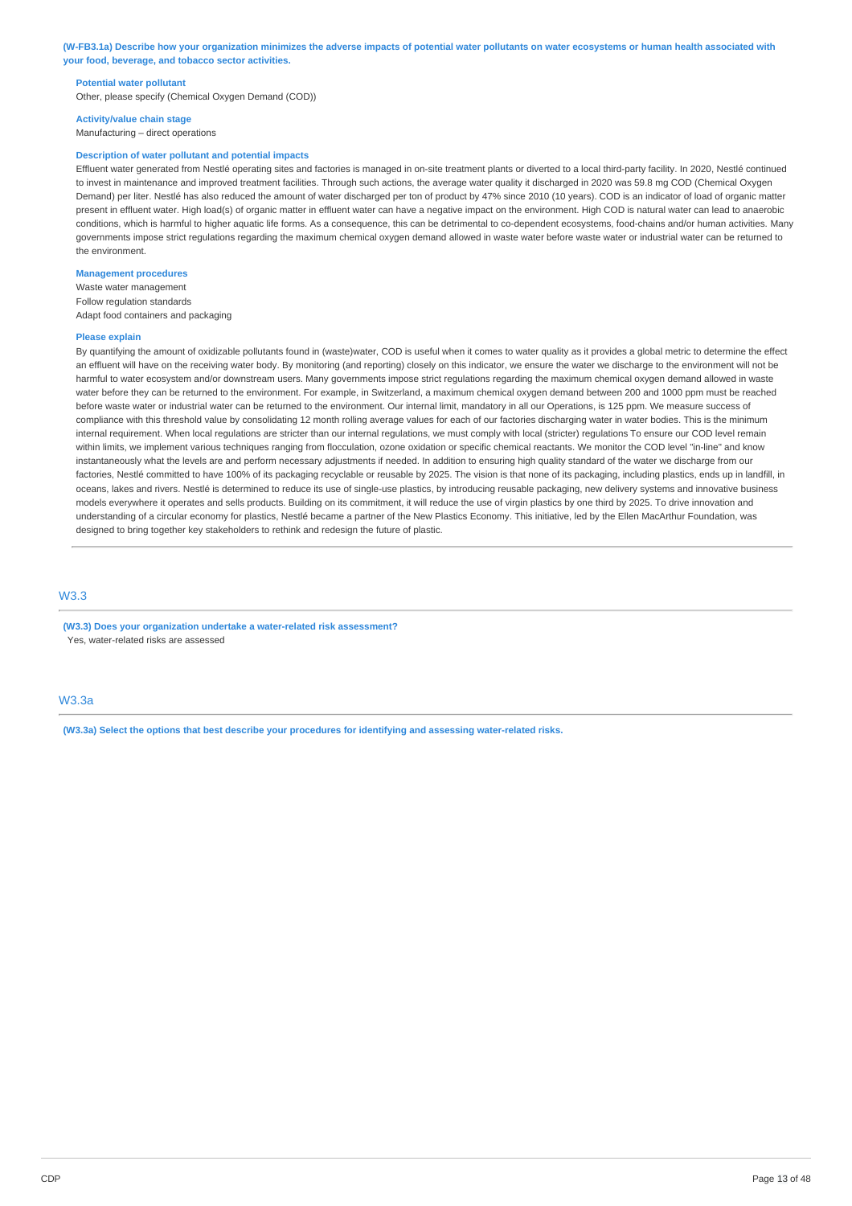(W-FB3.1a) Describe how your organization minimizes the adverse impacts of potential water pollutants on water ecosystems or human health associated with **your food, beverage, and tobacco sector activities.**

#### **Potential water pollutant**

Other, please specify (Chemical Oxygen Demand (COD))

#### **Activity/value chain stage**

Manufacturing – direct operations

### **Description of water pollutant and potential impacts**

Effluent water generated from Nestlé operating sites and factories is managed in on-site treatment plants or diverted to a local third-party facility. In 2020, Nestlé continued to invest in maintenance and improved treatment facilities. Through such actions, the average water quality it discharged in 2020 was 59.8 mg COD (Chemical Oxygen Demand) per liter. Nestlé has also reduced the amount of water discharged per ton of product by 47% since 2010 (10 years). COD is an indicator of load of organic matter present in effluent water. High load(s) of organic matter in effluent water can have a negative impact on the environment. High COD is natural water can lead to anaerobic conditions, which is harmful to higher aquatic life forms. As a consequence, this can be detrimental to co-dependent ecosystems, food-chains and/or human activities. Many governments impose strict regulations regarding the maximum chemical oxygen demand allowed in waste water before waste water or industrial water can be returned to the environment.

## **Management procedures**

Waste water management Follow regulation standards Adapt food containers and packaging

#### **Please explain**

By quantifying the amount of oxidizable pollutants found in (waste)water, COD is useful when it comes to water quality as it provides a global metric to determine the effect an effluent will have on the receiving water body. By monitoring (and reporting) closely on this indicator, we ensure the water we discharge to the environment will not be harmful to water ecosystem and/or downstream users. Many governments impose strict regulations regarding the maximum chemical oxygen demand allowed in waste water before they can be returned to the environment. For example, in Switzerland, a maximum chemical oxygen demand between 200 and 1000 ppm must be reached before waste water or industrial water can be returned to the environment. Our internal limit, mandatory in all our Operations, is 125 ppm. We measure success of compliance with this threshold value by consolidating 12 month rolling average values for each of our factories discharging water in water bodies. This is the minimum internal requirement. When local regulations are stricter than our internal regulations, we must comply with local (stricter) regulations To ensure our COD level remain within limits, we implement various techniques ranging from flocculation, ozone oxidation or specific chemical reactants. We monitor the COD level "in-line" and know instantaneously what the levels are and perform necessary adjustments if needed. In addition to ensuring high quality standard of the water we discharge from our factories, Nestlé committed to have 100% of its packaging recyclable or reusable by 2025. The vision is that none of its packaging, including plastics, ends up in landfill, in oceans, lakes and rivers. Nestlé is determined to reduce its use of single-use plastics, by introducing reusable packaging, new delivery systems and innovative business models everywhere it operates and sells products. Building on its commitment, it will reduce the use of virgin plastics by one third by 2025. To drive innovation and understanding of a circular economy for plastics, Nestlé became a partner of the New Plastics Economy. This initiative, led by the Ellen MacArthur Foundation, was designed to bring together key stakeholders to rethink and redesign the future of plastic.

## W3.3

**(W3.3) Does your organization undertake a water-related risk assessment?** Yes, water-related risks are assessed

## W3.3a

**(W3.3a) Select the options that best describe your procedures for identifying and assessing water-related risks.**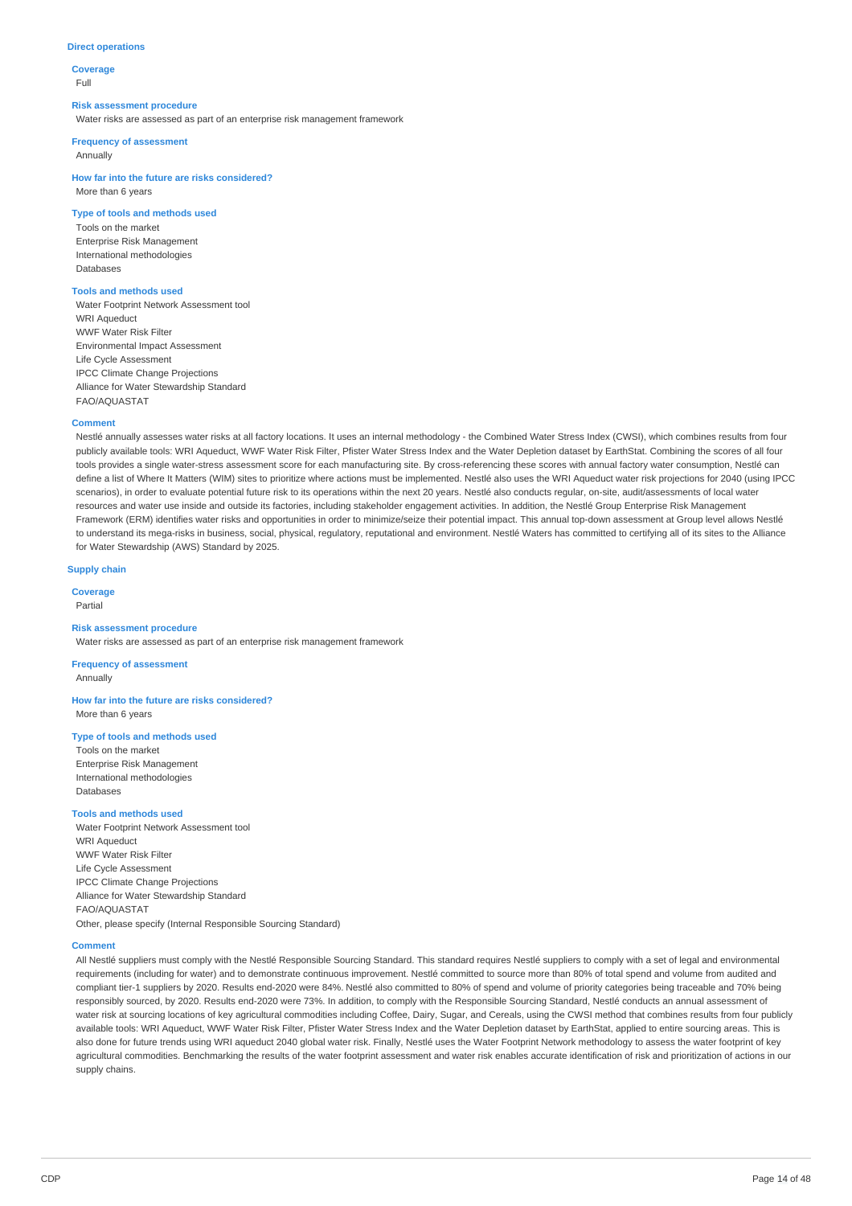### **Direct operations**

**Coverage** Full

#### **Risk assessment procedure**

Water risks are assessed as part of an enterprise risk management framework

### **Frequency of assessment**

Annually

**How far into the future are risks considered?** More than 6 years

### **Type of tools and methods used**

Tools on the market Enterprise Risk Management International methodologies Databases

## **Tools and methods used**

Water Footprint Network Assessment tool WRI Aqueduct WWF Water Risk Filter Environmental Impact Assessment Life Cycle Assessment IPCC Climate Change Projections Alliance for Water Stewardship Standard FAO/AQUASTAT

### **Comment**

Nestlé annually assesses water risks at all factory locations. It uses an internal methodology - the Combined Water Stress Index (CWSI), which combines results from four publicly available tools: WRI Aqueduct, WWF Water Risk Filter, Pfister Water Stress Index and the Water Depletion dataset by EarthStat. Combining the scores of all four tools provides a single water-stress assessment score for each manufacturing site. By cross-referencing these scores with annual factory water consumption, Nestlé can define a list of Where It Matters (WIM) sites to prioritize where actions must be implemented. Nestlé also uses the WRI Aqueduct water risk projections for 2040 (using IPCC scenarios), in order to evaluate potential future risk to its operations within the next 20 years. Nestlé also conducts regular, on-site, audit/assessments of local water resources and water use inside and outside its factories, including stakeholder engagement activities. In addition, the Nestlé Group Enterprise Risk Management Framework (ERM) identifies water risks and opportunities in order to minimize/seize their potential impact. This annual top-down assessment at Group level allows Nestlé to understand its mega-risks in business, social, physical, regulatory, reputational and environment. Nestlé Waters has committed to certifying all of its sites to the Alliance for Water Stewardship (AWS) Standard by 2025.

**Supply chain**

**Coverage** Partial

## **Risk assessment procedure**

Water risks are assessed as part of an enterprise risk management framework

**Frequency of assessment** Annually

**How far into the future are risks considered?** More than 6 years

#### **Type of tools and methods used**

Tools on the market Enterprise Risk Management International methodologies Databases

### **Tools and methods used**

Water Footprint Network Assessment tool WRI Aqueduct WWF Water Risk Filter Life Cycle Assessment IPCC Climate Change Projections Alliance for Water Stewardship Standard FAO/AQUASTAT Other, please specify (Internal Responsible Sourcing Standard)

### **Comment**

All Nestlé suppliers must comply with the Nestlé Responsible Sourcing Standard. This standard requires Nestlé suppliers to comply with a set of legal and environmental requirements (including for water) and to demonstrate continuous improvement. Nestlé committed to source more than 80% of total spend and volume from audited and compliant tier-1 suppliers by 2020. Results end-2020 were 84%. Nestlé also committed to 80% of spend and volume of priority categories being traceable and 70% being responsibly sourced, by 2020. Results end-2020 were 73%. In addition, to comply with the Responsible Sourcing Standard, Nestlé conducts an annual assessment of water risk at sourcing locations of key agricultural commodities including Coffee, Dairy, Sugar, and Cereals, using the CWSI method that combines results from four publicly available tools: WRI Aqueduct, WWF Water Risk Filter, Pfister Water Stress Index and the Water Depletion dataset by EarthStat, applied to entire sourcing areas. This is also done for future trends using WRI aqueduct 2040 global water risk. Finally, Nestlé uses the Water Footprint Network methodology to assess the water footprint of key agricultural commodities. Benchmarking the results of the water footprint assessment and water risk enables accurate identification of risk and prioritization of actions in our supply chains.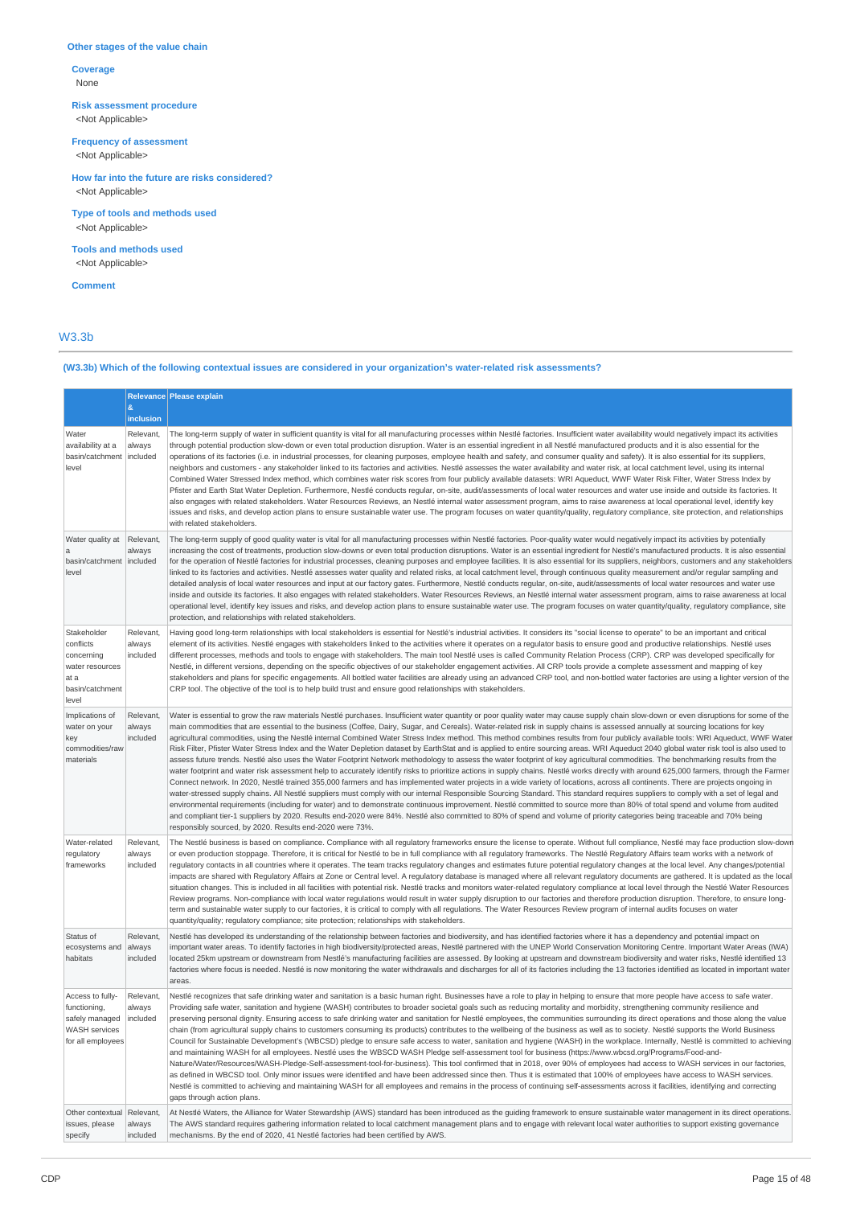## **Other stages of the value chain**

**Coverage** None

**Risk assessment procedure** <Not Applicable>

**Frequency of assessment**

<Not Applicable>

**How far into the future are risks considered?** <Not Applicable>

**Type of tools and methods used** <Not Applicable>

**Tools and methods used** <Not Applicable>

**Comment**

## W3.3b

## **(W3.3b) Which of the following contextual issues are considered in your organization's water-related risk assessments?**

|                                                                                               | &                               | Relevance Please explain                                                                                                                                                                                                                                                                                                                                                                                                                                                                                                                                                                                                                                                                                                                                                                                                                                                                                                                                                                                                                                                                                                                                                                                                                                                                                                                                                                                                                                                                                                                                                                                                                                                                                                                                                                                                                                                                                                                |
|-----------------------------------------------------------------------------------------------|---------------------------------|-----------------------------------------------------------------------------------------------------------------------------------------------------------------------------------------------------------------------------------------------------------------------------------------------------------------------------------------------------------------------------------------------------------------------------------------------------------------------------------------------------------------------------------------------------------------------------------------------------------------------------------------------------------------------------------------------------------------------------------------------------------------------------------------------------------------------------------------------------------------------------------------------------------------------------------------------------------------------------------------------------------------------------------------------------------------------------------------------------------------------------------------------------------------------------------------------------------------------------------------------------------------------------------------------------------------------------------------------------------------------------------------------------------------------------------------------------------------------------------------------------------------------------------------------------------------------------------------------------------------------------------------------------------------------------------------------------------------------------------------------------------------------------------------------------------------------------------------------------------------------------------------------------------------------------------------|
|                                                                                               | inclusion                       |                                                                                                                                                                                                                                                                                                                                                                                                                                                                                                                                                                                                                                                                                                                                                                                                                                                                                                                                                                                                                                                                                                                                                                                                                                                                                                                                                                                                                                                                                                                                                                                                                                                                                                                                                                                                                                                                                                                                         |
| Water<br>availability at a<br>basin/catchment<br>level                                        | Relevant,<br>always<br>included | The long-term supply of water in sufficient quantity is vital for all manufacturing processes within Nestlé factories. Insufficient water availability would negatively impact its activities<br>through potential production slow-down or even total production disruption. Water is an essential ingredient in all Nestlé manufactured products and it is also essential for the<br>operations of its factories (i.e. in industrial processes, for cleaning purposes, employee health and safety, and consumer quality and safety). It is also essential for its suppliers,<br>neighbors and customers - any stakeholder linked to its factories and activities. Nestlé assesses the water availability and water risk, at local catchment level, using its internal<br>Combined Water Stressed Index method, which combines water risk scores from four publicly available datasets: WRI Aqueduct, WWF Water Risk Filter, Water Stress Index by<br>Pfister and Earth Stat Water Depletion. Furthermore, Nestlé conducts reqular, on-site, audit/assessments of local water resources and water use inside and outside its factories. It<br>also engages with related stakeholders. Water Resources Reviews, an Nestlé internal water assessment program, aims to raise awareness at local operational level, identify key<br>issues and risks, and develop action plans to ensure sustainable water use. The program focuses on water quantity/quality, regulatory compliance, site protection, and relationships<br>with related stakeholders.                                                                                                                                                                                                                                                                                                                                                                                      |
| Water quality at<br>$\mathbf a$<br>basin/catchment<br>level                                   | Relevant,<br>always<br>included | The long-term supply of good quality water is vital for all manufacturing processes within Nestlé factories. Poor-quality water would negatively impact its activities by potentially<br>increasing the cost of treatments, production slow-downs or even total production disruptions. Water is an essential ingredient for Nestlé's manufactured products. It is also essential<br>for the operation of Nestlé factories for industrial processes, cleaning purposes and employee facilities. It is also essential for its suppliers, neighbors, customers and any stakeholders<br>linked to its factories and activities. Nestlé assesses water quality and related risks, at local catchment level, through continuous quality measurement and/or regular sampling and<br>detailed analysis of local water resources and input at our factory gates. Furthermore, Nestlé conducts regular, on-site, audit/assessments of local water resources and water use<br>inside and outside its factories. It also engages with related stakeholders. Water Resources Reviews, an Nestlé internal water assessment program, aims to raise awareness at local<br>operational level, identify key issues and risks, and develop action plans to ensure sustainable water use. The program focuses on water quantity/quality, regulatory compliance, site<br>protection, and relationships with related stakeholders.                                                                                                                                                                                                                                                                                                                                                                                                                                                                                                                           |
| Stakeholder<br>conflicts<br>concerning<br>water resources<br>at a<br>basin/catchment<br>level | Relevant,<br>always<br>included | Having good long-term relationships with local stakeholders is essential for Nestlé's industrial activities. It considers its "social license to operate" to be an important and critical<br>element of its activities. Nestlé engages with stakeholders linked to the activities where it operates on a regulator basis to ensure good and productive relationships. Nestlé uses<br>different processes, methods and tools to engage with stakeholders. The main tool Nestlé uses is called Community Relation Process (CRP). CRP was developed specifically for<br>Nestlé, in different versions, depending on the specific objectives of our stakeholder engagement activities. All CRP tools provide a complete assessment and mapping of key<br>stakeholders and plans for specific engagements. All bottled water facilities are already using an advanced CRP tool, and non-bottled water factories are using a lighter version of the<br>CRP tool. The objective of the tool is to help build trust and ensure good relationships with stakeholders.                                                                                                                                                                                                                                                                                                                                                                                                                                                                                                                                                                                                                                                                                                                                                                                                                                                                            |
| Implications of<br>water on your<br>key<br>commodities/raw<br>materials                       | Relevant,<br>always<br>included | Water is essential to grow the raw materials Nestlé purchases. Insufficient water quantity or poor quality water may cause supply chain slow-down or even disruptions for some of the<br>main commodities that are essential to the business (Coffee, Dairy, Sugar, and Cereals). Water-related risk in supply chains is assessed annually at sourcing locations for key<br>agricultural commodities, using the Nestlé internal Combined Water Stress Index method. This method combines results from four publicly available tools: WRI Aqueduct, WWF Water<br>Risk Filter, Pfister Water Stress Index and the Water Depletion dataset by EarthStat and is applied to entire sourcing areas. WRI Aqueduct 2040 global water risk tool is also used to<br>assess future trends. Nestlé also uses the Water Footprint Network methodology to assess the water footprint of key agricultural commodities. The benchmarking results from the<br>water footprint and water risk assessment help to accurately identify risks to prioritize actions in supply chains. Nestlé works directly with around 625,000 farmers, through the Farmer<br>Connect network. In 2020, Nestlé trained 355,000 farmers and has implemented water projects in a wide variety of locations, across all continents. There are projects ongoing in<br>water-stressed supply chains. All Nestlé suppliers must comply with our internal Responsible Sourcing Standard. This standard requires suppliers to comply with a set of legal and<br>environmental requirements (including for water) and to demonstrate continuous improvement. Nestlé committed to source more than 80% of total spend and volume from audited<br>and compliant tier-1 suppliers by 2020. Results end-2020 were 84%. Nestlé also committed to 80% of spend and volume of priority categories being traceable and 70% being<br>responsibly sourced, by 2020. Results end-2020 were 73%. |
| Water-related<br>regulatory<br>frameworks                                                     | Relevant,<br>always<br>included | The Nestlé business is based on compliance. Compliance with all regulatory frameworks ensure the license to operate. Without full compliance, Nestlé may face production slow-down<br>or even production stoppage. Therefore, it is critical for Nestlé to be in full compliance with all regulatory frameworks. The Nestlé Regulatory Affairs team works with a network of<br>regulatory contacts in all countries where it operates. The team tracks regulatory changes and estimates future potential regulatory changes at the local level. Any changes/potential<br>impacts are shared with Regulatory Affairs at Zone or Central level. A regulatory database is managed where all relevant regulatory documents are gathered. It is updated as the local<br>situation changes. This is included in all facilities with potential risk. Nestlé tracks and monitors water-related regulatory compliance at local level through the Nestlé Water Resources<br>Review programs. Non-compliance with local water regulations would result in water supply disruption to our factories and therefore production disruption. Therefore, to ensure long-<br>term and sustainable water supply to our factories, it is critical to comply with all regulations. The Water Resources Review program of internal audits focuses on water<br>quantity/quality; regulatory compliance; site protection; relationships with stakeholders.                                                                                                                                                                                                                                                                                                                                                                                                                                                                                                      |
| Status of<br>ecosystems and<br>habitats                                                       | Relevant,<br>always<br>included | Nestlé has developed its understanding of the relationship between factories and biodiversity, and has identified factories where it has a dependency and potential impact on<br>important water areas. To identify factories in high biodiversity/protected areas, Nestlé partnered with the UNEP World Conservation Monitoring Centre. Important Water Areas (IWA)<br>located 25km upstream or downstream from Nestlé's manufacturing facilities are assessed. By looking at upstream and downstream biodiversity and water risks, Nestlé identified 13<br>factories where focus is needed. Nestlé is now monitoring the water withdrawals and discharges for all of its factories including the 13 factories identified as located in important water<br>areas.                                                                                                                                                                                                                                                                                                                                                                                                                                                                                                                                                                                                                                                                                                                                                                                                                                                                                                                                                                                                                                                                                                                                                                      |
| Access to fully-<br>functioning,<br>safely managed<br>WASH services<br>for all employees      | Relevant,<br>always<br>included | Nestlé recognizes that safe drinking water and sanitation is a basic human right. Businesses have a role to play in helping to ensure that more people have access to safe water.<br>Providing safe water, sanitation and hygiene (WASH) contributes to broader societal goals such as reducing mortality and morbidity, strengthening community resilience and<br>preserving personal dignity. Ensuring access to safe drinking water and sanitation for Nestlé employees, the communities surrounding its direct operations and those along the value<br>chain (from agricultural supply chains to customers consuming its products) contributes to the wellbeing of the business as well as to society. Nestlé supports the World Business<br>Council for Sustainable Development's (WBCSD) pledge to ensure safe access to water, sanitation and hygiene (WASH) in the workplace. Internally, Nestlé is committed to achieving<br>and maintaining WASH for all employees. Nestlé uses the WBSCD WASH Pledge self-assessment tool for business (https://www.wbcsd.org/Programs/Food-and-<br>Nature/Water/Resources/WASH-Pledge-Self-assessment-tool-for-business). This tool confirmed that in 2018, over 90% of employees had access to WASH services in our factories,<br>as defined in WBCSD tool. Only minor issues were identified and have been addressed since then. Thus it is estimated that 100% of employees have access to WASH services.<br>Nestlé is committed to achieving and maintaining WASH for all employees and remains in the process of continuing self-assessments across it facilities, identifying and correcting<br>gaps through action plans.                                                                                                                                                                                                                                                            |
| Other contextual<br>issues, please<br>specify                                                 | Relevant,<br>always<br>included | At Nestlé Waters, the Alliance for Water Stewardship (AWS) standard has been introduced as the guiding framework to ensure sustainable water management in its direct operations.<br>The AWS standard requires gathering information related to local catchment management plans and to engage with relevant local water authorities to support existing governance<br>mechanisms. By the end of 2020, 41 Nestlé factories had been certified by AWS.                                                                                                                                                                                                                                                                                                                                                                                                                                                                                                                                                                                                                                                                                                                                                                                                                                                                                                                                                                                                                                                                                                                                                                                                                                                                                                                                                                                                                                                                                   |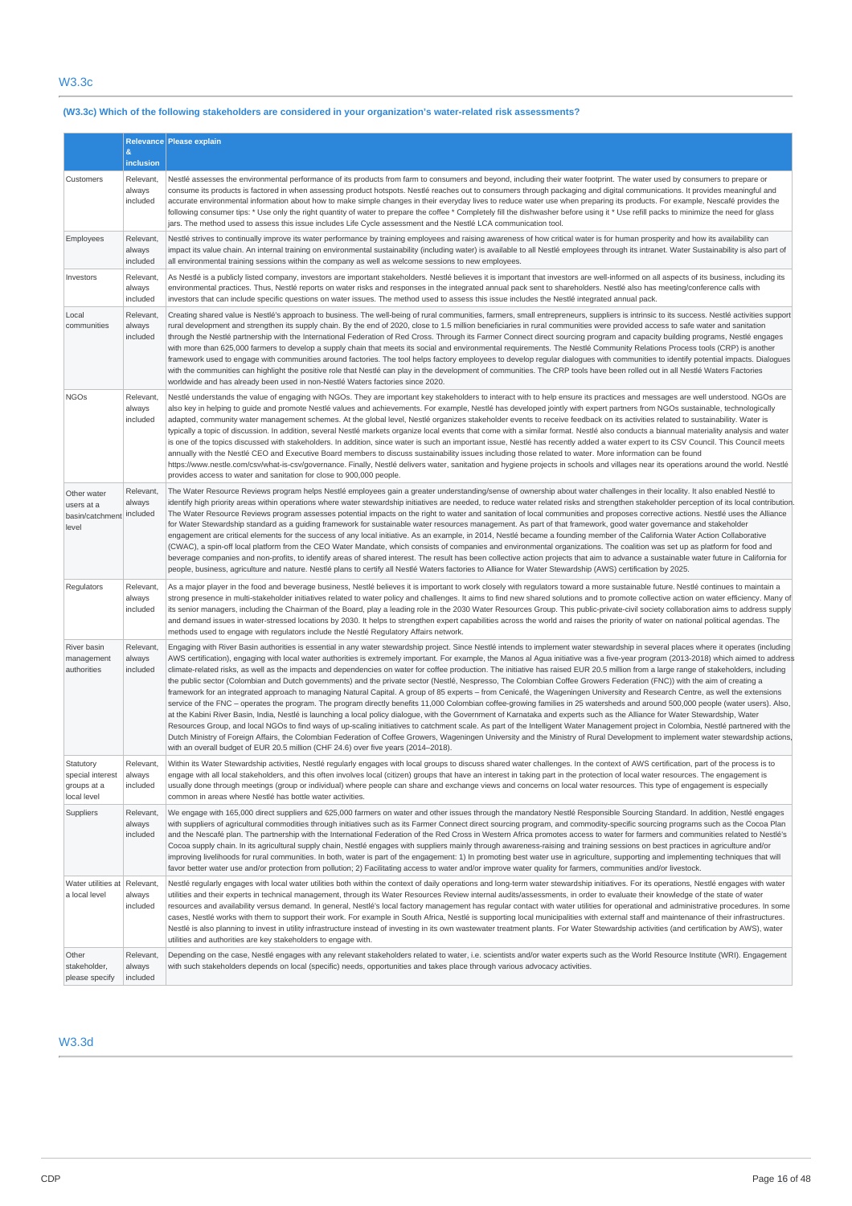## **(W3.3c) Which of the following stakeholders are considered in your organization's water-related risk assessments?**

|                                                             |                                 | Relevance Please explain                                                                                                                                                                                                                                                                                                                                                                                                                                                                                                                                                                                                                                                                                                                                                                                                                                                                                                                                                                                                                                                                                                                                                                                                                                                                                                                                                                                                                                                                                                                                                                                                                                                                                                                                                              |
|-------------------------------------------------------------|---------------------------------|---------------------------------------------------------------------------------------------------------------------------------------------------------------------------------------------------------------------------------------------------------------------------------------------------------------------------------------------------------------------------------------------------------------------------------------------------------------------------------------------------------------------------------------------------------------------------------------------------------------------------------------------------------------------------------------------------------------------------------------------------------------------------------------------------------------------------------------------------------------------------------------------------------------------------------------------------------------------------------------------------------------------------------------------------------------------------------------------------------------------------------------------------------------------------------------------------------------------------------------------------------------------------------------------------------------------------------------------------------------------------------------------------------------------------------------------------------------------------------------------------------------------------------------------------------------------------------------------------------------------------------------------------------------------------------------------------------------------------------------------------------------------------------------|
|                                                             | $\boldsymbol{\&}$<br>inclusion  |                                                                                                                                                                                                                                                                                                                                                                                                                                                                                                                                                                                                                                                                                                                                                                                                                                                                                                                                                                                                                                                                                                                                                                                                                                                                                                                                                                                                                                                                                                                                                                                                                                                                                                                                                                                       |
| Customers                                                   | Relevant,<br>always<br>included | Nestlé assesses the environmental performance of its products from farm to consumers and beyond, including their water footprint. The water used by consumers to prepare or<br>consume its products is factored in when assessing product hotspots. Nestlé reaches out to consumers through packaging and digital communications. It provides meaningful and<br>accurate environmental information about how to make simple changes in their everyday lives to reduce water use when preparing its products. For example, Nescafé provides the<br>following consumer tips: * Use only the right quantity of water to prepare the coffee * Completely fill the dishwasher before using it * Use refill packs to minimize the need for glass<br>jars. The method used to assess this issue includes Life Cycle assessment and the Nestlé LCA communication tool.                                                                                                                                                                                                                                                                                                                                                                                                                                                                                                                                                                                                                                                                                                                                                                                                                                                                                                                        |
| Employees                                                   | Relevant,<br>always<br>included | Nestlé strives to continually improve its water performance by training employees and raising awareness of how critical water is for human prosperity and how its availability can<br>impact its value chain. An internal training on environmental sustainability (including water) is available to all Nestlé employees through its intranet. Water Sustainability is also part of<br>all environmental training sessions within the company as well as welcome sessions to new employees.                                                                                                                                                                                                                                                                                                                                                                                                                                                                                                                                                                                                                                                                                                                                                                                                                                                                                                                                                                                                                                                                                                                                                                                                                                                                                          |
| Investors                                                   | Relevant,<br>always<br>included | As Nestlé is a publicly listed company, investors are important stakeholders. Nestlé believes it is important that investors are well-informed on all aspects of its business, including its<br>environmental practices. Thus, Nestlé reports on water risks and responses in the integrated annual pack sent to shareholders. Nestlé also has meeting/conference calls with<br>investors that can include specific questions on water issues. The method used to assess this issue includes the Nestlé integrated annual pack.                                                                                                                                                                                                                                                                                                                                                                                                                                                                                                                                                                                                                                                                                                                                                                                                                                                                                                                                                                                                                                                                                                                                                                                                                                                       |
| Local<br>communities                                        | Relevant,<br>always<br>included | Creating shared value is Nestlé's approach to business. The well-being of rural communities, farmers, small entrepreneurs, suppliers is intrinsic to its success. Nestlé activities support<br>rural development and strengthen its supply chain. By the end of 2020, close to 1.5 million beneficiaries in rural communities were provided access to safe water and sanitation<br>through the Nestlé partnership with the International Federation of Red Cross. Through its Farmer Connect direct sourcing program and capacity building programs, Nestlé engages<br>with more than 625,000 farmers to develop a supply chain that meets its social and environmental requirements. The Nestlé Community Relations Process tools (CRP) is another<br>framework used to engage with communities around factories. The tool helps factory employees to develop regular dialogues with communities to identify potential impacts. Dialogues<br>with the communities can highlight the positive role that Nestlé can play in the development of communities. The CRP tools have been rolled out in all Nestlé Waters Factories<br>worldwide and has already been used in non-Nestlé Waters factories since 2020.                                                                                                                                                                                                                                                                                                                                                                                                                                                                                                                                                                        |
| <b>NGOs</b>                                                 | Relevant,<br>always<br>included | Nestlé understands the value of engaging with NGOs. They are important key stakeholders to interact with to help ensure its practices and messages are well understood. NGOs are<br>also key in helping to guide and promote Nestlé values and achievements. For example, Nestlé has developed jointly with expert partners from NGOs sustainable, technologically<br>adapted, community water management schemes. At the global level, Nestlé organizes stakeholder events to receive feedback on its activities related to sustainability. Water is<br>typically a topic of discussion. In addition, several Nestlé markets organize local events that come with a similar format. Nestlé also conducts a biannual materiality analysis and water<br>is one of the topics discussed with stakeholders. In addition, since water is such an important issue, Nestlé has recently added a water expert to its CSV Council. This Council meets<br>annually with the Nestlé CEO and Executive Board members to discuss sustainability issues including those related to water. More information can be found<br>https://www.nestle.com/csv/what-is-csv/qovernance. Finally, Nestlé delivers water, sanitation and hygiene projects in schools and villages near its operations around the world. Nestlé<br>provides access to water and sanitation for close to 900,000 people.                                                                                                                                                                                                                                                                                                                                                                                                         |
| Other water<br>users at a<br>basin/catchment<br>level       | Relevant,<br>always<br>included | The Water Resource Reviews program helps Nestlé employees gain a greater understanding/sense of ownership about water challenges in their locality. It also enabled Nestlé to<br>identify high priority areas within operations where water stewardship initiatives are needed, to reduce water related risks and strengthen stakeholder perception of its local contribution<br>The Water Resource Reviews program assesses potential impacts on the right to water and sanitation of local communities and proposes corrective actions. Nestlé uses the Alliance<br>for Water Stewardship standard as a guiding framework for sustainable water resources management. As part of that framework, good water governance and stakeholder<br>engagement are critical elements for the success of any local initiative. As an example, in 2014, Nestlé became a founding member of the California Water Action Collaborative<br>(CWAC), a spin-off local platform from the CEO Water Mandate, which consists of companies and environmental organizations. The coalition was set up as platform for food and<br>beverage companies and non-profits, to identify areas of shared interest. The result has been collective action projects that aim to advance a sustainable water future in California for<br>people, business, agriculture and nature. Nestlé plans to certify all Nestlé Waters factories to Alliance for Water Stewardship (AWS) certification by 2025.                                                                                                                                                                                                                                                                                                               |
| Regulators                                                  | Relevant,<br>always<br>included | As a major player in the food and beverage business, Nestlé believes it is important to work closely with regulators toward a more sustainable future. Nestlé continues to maintain a<br>strong presence in multi-stakeholder initiatives related to water policy and challenges. It aims to find new shared solutions and to promote collective action on water efficiency. Many of<br>its senior managers, including the Chairman of the Board, play a leading role in the 2030 Water Resources Group. This public-private-civil society collaboration aims to address supply<br>and demand issues in water-stressed locations by 2030. It helps to strengthen expert capabilities across the world and raises the priority of water on national political agendas. The<br>methods used to engage with regulators include the Nestlé Regulatory Affairs network.                                                                                                                                                                                                                                                                                                                                                                                                                                                                                                                                                                                                                                                                                                                                                                                                                                                                                                                    |
| River basin<br>management<br>authorities                    | Relevant,<br>always<br>included | Engaging with River Basin authorities is essential in any water stewardship project. Since Nestlé intends to implement water stewardship in several places where it operates (including<br>AWS certification), engaging with local water authorities is extremely important. For example, the Manos al Agua initiative was a five-year program (2013-2018) which aimed to address<br>climate-related risks, as well as the impacts and dependencies on water for coffee production. The initiative has raised EUR 20.5 million from a large range of stakeholders, including<br>the public sector (Colombian and Dutch governments) and the private sector (Nestlé, Nespresso, The Colombian Coffee Growers Federation (FNC)) with the aim of creating a<br>framework for an integrated approach to managing Natural Capital. A group of 85 experts - from Cenicafé, the Wageningen University and Research Centre, as well the extensions<br>service of the FNC - operates the program. The program directly benefits 11,000 Colombian coffee-growing families in 25 watersheds and around 500,000 people (water users). Also,<br>at the Kabini River Basin, India, Nestlé is launching a local policy dialogue, with the Government of Karnataka and experts such as the Alliance for Water Stewardship, Water<br>Resources Group, and local NGOs to find ways of up-scaling initiatives to catchment scale. As part of the Intelligent Water Management project in Colombia, Nestlé partnered with the<br>Dutch Ministry of Foreign Affairs, the Colombian Federation of Coffee Growers, Wageningen University and the Ministry of Rural Development to implement water stewardship actions.<br>with an overall budget of EUR 20.5 million (CHF 24.6) over five years (2014-2018). |
| Statutory<br>special interest<br>groups at a<br>local level | Relevant,<br>always<br>included | Within its Water Stewardship activities, Nestlé regularly engages with local groups to discuss shared water challenges. In the context of AWS certification, part of the process is to<br>engage with all local stakeholders, and this often involves local (citizen) groups that have an interest in taking part in the protection of local water resources. The engagement is<br>usually done through meetings (group or individual) where people can share and exchange views and concerns on local water resources. This type of engagement is especially<br>common in areas where Nestlé has bottle water activities.                                                                                                                                                                                                                                                                                                                                                                                                                                                                                                                                                                                                                                                                                                                                                                                                                                                                                                                                                                                                                                                                                                                                                            |
| Suppliers                                                   | Relevant,<br>always<br>included | We engage with 165,000 direct suppliers and 625,000 farmers on water and other issues through the mandatory Nestlé Responsible Sourcing Standard. In addition, Nestlé engages<br>with suppliers of agricultural commodities through initiatives such as its Farmer Connect direct sourcing program, and commodity-specific sourcing programs such as the Cocoa Plan<br>and the Nescafé plan. The partnership with the International Federation of the Red Cross in Western Africa promotes access to water for farmers and communities related to Nestlé's<br>Cocoa supply chain. In its agricultural supply chain, Nestlé engages with suppliers mainly through awareness-raising and training sessions on best practices in agriculture and/or<br>improving livelihoods for rural communities. In both, water is part of the engagement: 1) In promoting best water use in agriculture, supporting and implementing techniques that will<br>favor better water use and/or protection from pollution; 2) Facilitating access to water and/or improve water quality for farmers, communities and/or livestock.                                                                                                                                                                                                                                                                                                                                                                                                                                                                                                                                                                                                                                                                        |
| Water utilities at<br>a local level                         | Relevant,<br>always<br>included | Nestlé regularly engages with local water utilities both within the context of daily operations and long-term water stewardship initiatives. For its operations, Nestlé engages with water<br>utilities and their experts in technical management, through its Water Resources Review internal audits/assessments, in order to evaluate their knowledge of the state of water<br>resources and availability versus demand. In general, Nestlé's local factory management has regular contact with water utilities for operational and administrative procedures. In some<br>cases, Nestlé works with them to support their work. For example in South Africa, Nestlé is supporting local municipalities with external staff and maintenance of their infrastructures.<br>Nestlé is also planning to invest in utility infrastructure instead of investing in its own wastewater treatment plants. For Water Stewardship activities (and certification by AWS), water<br>utilities and authorities are key stakeholders to engage with.                                                                                                                                                                                                                                                                                                                                                                                                                                                                                                                                                                                                                                                                                                                                                |
| Other<br>stakeholder,<br>please specify                     | Relevant,<br>always<br>included | Depending on the case, Nestlé engages with any relevant stakeholders related to water, i.e. scientists and/or water experts such as the World Resource Institute (WRI). Engagement<br>with such stakeholders depends on local (specific) needs, opportunities and takes place through various advocacy activities.                                                                                                                                                                                                                                                                                                                                                                                                                                                                                                                                                                                                                                                                                                                                                                                                                                                                                                                                                                                                                                                                                                                                                                                                                                                                                                                                                                                                                                                                    |

## W3.3d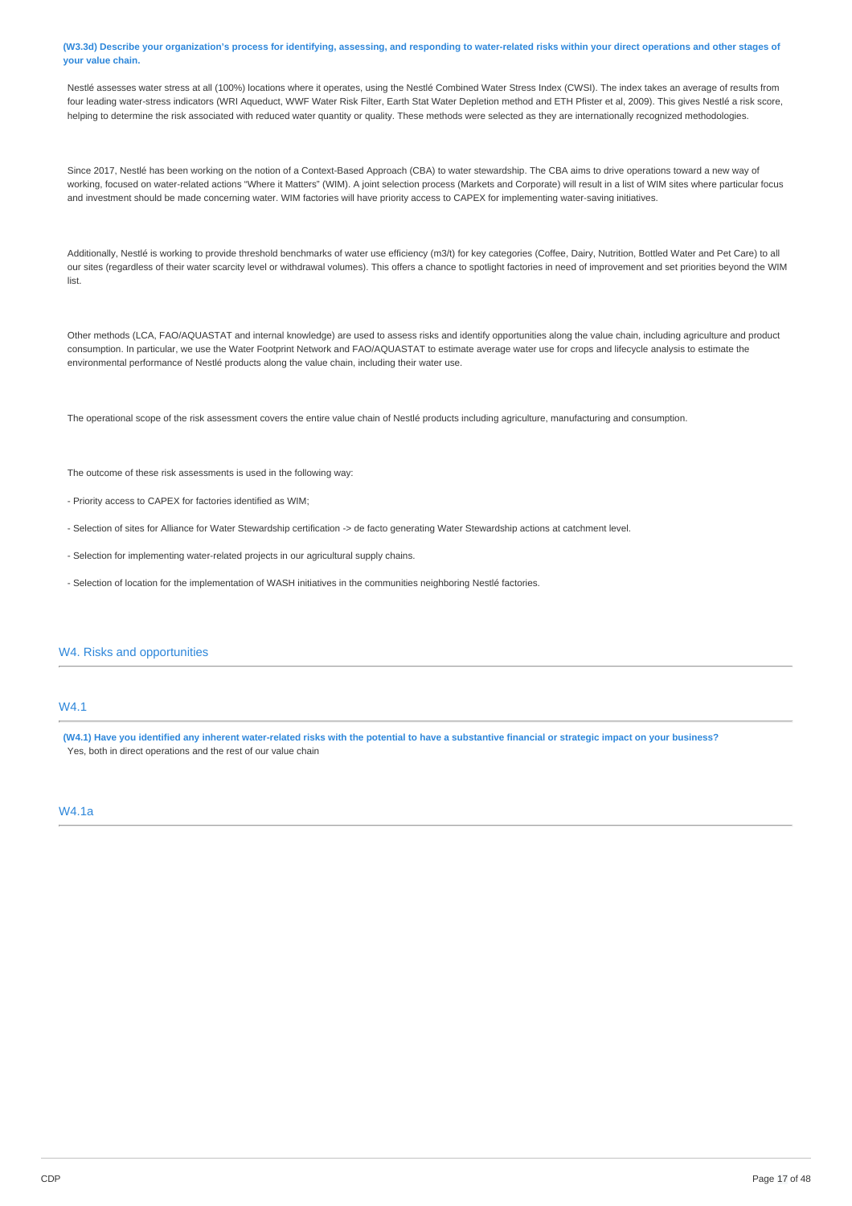### (W3.3d) Describe your organization's process for identifying, assessing, and responding to water-related risks within your direct operations and other stages of **your value chain.**

Nestlé assesses water stress at all (100%) locations where it operates, using the Nestlé Combined Water Stress Index (CWSI). The index takes an average of results from four leading water-stress indicators (WRI Aqueduct, WWF Water Risk Filter, Earth Stat Water Depletion method and ETH Pfister et al, 2009). This gives Nestlé a risk score, helping to determine the risk associated with reduced water quantity or quality. These methods were selected as they are internationally recognized methodologies.

Since 2017, Nestlé has been working on the notion of a Context-Based Approach (CBA) to water stewardship. The CBA aims to drive operations toward a new way of working, focused on water-related actions "Where it Matters" (WIM). A joint selection process (Markets and Corporate) will result in a list of WIM sites where particular focus and investment should be made concerning water. WIM factories will have priority access to CAPEX for implementing water-saving initiatives.

Additionally, Nestlé is working to provide threshold benchmarks of water use efficiency (m3/t) for key categories (Coffee, Dairy, Nutrition, Bottled Water and Pet Care) to all our sites (regardless of their water scarcity level or withdrawal volumes). This offers a chance to spotlight factories in need of improvement and set priorities beyond the WIM list.

Other methods (LCA, FAO/AQUASTAT and internal knowledge) are used to assess risks and identify opportunities along the value chain, including agriculture and product consumption. In particular, we use the Water Footprint Network and FAO/AQUASTAT to estimate average water use for crops and lifecycle analysis to estimate the environmental performance of Nestlé products along the value chain, including their water use.

The operational scope of the risk assessment covers the entire value chain of Nestlé products including agriculture, manufacturing and consumption.

The outcome of these risk assessments is used in the following way:

- Priority access to CAPEX for factories identified as WIM;
- Selection of sites for Alliance for Water Stewardship certification -> de facto generating Water Stewardship actions at catchment level.
- Selection for implementing water-related projects in our agricultural supply chains.
- Selection of location for the implementation of WASH initiatives in the communities neighboring Nestlé factories.

## W4. Risks and opportunities

### W4.1

(W4.1) Have you identified any inherent water-related risks with the potential to have a substantive financial or strategic impact on your business? Yes, both in direct operations and the rest of our value chain

## W4.1a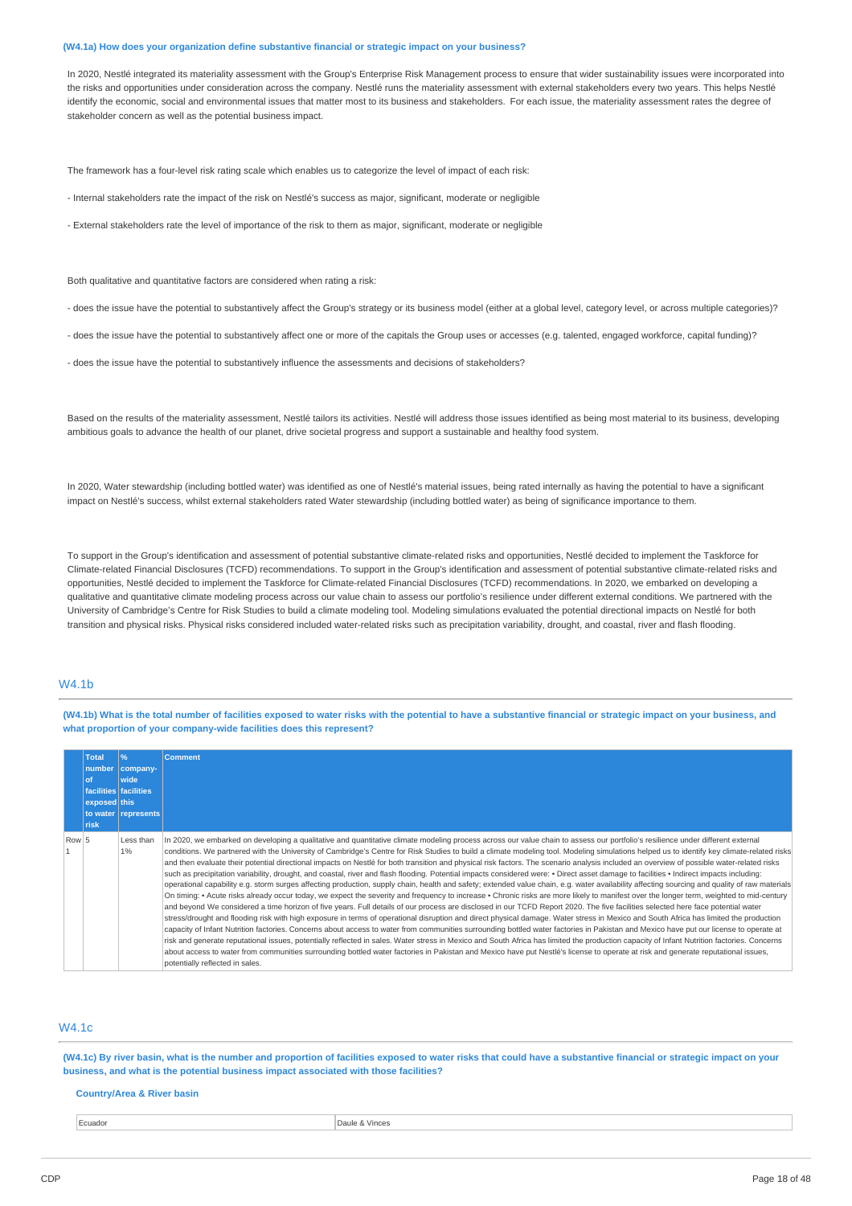#### **(W4.1a) How does your organization define substantive financial or strategic impact on your business?**

In 2020, Nestlé integrated its materiality assessment with the Group's Enterprise Risk Management process to ensure that wider sustainability issues were incorporated into the risks and opportunities under consideration across the company. Nestlé runs the materiality assessment with external stakeholders every two years. This helps Nestlé identify the economic, social and environmental issues that matter most to its business and stakeholders. For each issue, the materiality assessment rates the degree of stakeholder concern as well as the potential business impact.

The framework has a four-level risk rating scale which enables us to categorize the level of impact of each risk:

- Internal stakeholders rate the impact of the risk on Nestlé's success as major, significant, moderate or negligible

- External stakeholders rate the level of importance of the risk to them as major, significant, moderate or negligible

Both qualitative and quantitative factors are considered when rating a risk:

- does the issue have the potential to substantively affect the Group's strategy or its business model (either at a global level, category level, or across multiple categories)?

- does the issue have the potential to substantively affect one or more of the capitals the Group uses or accesses (e.g. talented, engaged workforce, capital funding)?

- does the issue have the potential to substantively influence the assessments and decisions of stakeholders?

Based on the results of the materiality assessment, Nestlé tailors its activities. Nestlé will address those issues identified as being most material to its business, developing ambitious goals to advance the health of our planet, drive societal progress and support a sustainable and healthy food system.

In 2020, Water stewardship (including bottled water) was identified as one of Nestlé's material issues, being rated internally as having the potential to have a significant impact on Nestlé's success, whilst external stakeholders rated Water stewardship (including bottled water) as being of significance importance to them.

To support in the Group's identification and assessment of potential substantive climate-related risks and opportunities, Nestlé decided to implement the Taskforce for Climate-related Financial Disclosures (TCFD) recommendations. To support in the Group's identification and assessment of potential substantive climate-related risks and opportunities, Nestlé decided to implement the Taskforce for Climate-related Financial Disclosures (TCFD) recommendations. In 2020, we embarked on developing a qualitative and quantitative climate modeling process across our value chain to assess our portfolio's resilience under different external conditions. We partnered with the University of Cambridge's Centre for Risk Studies to build a climate modeling tool. Modeling simulations evaluated the potential directional impacts on Nestlé for both transition and physical risks. Physical risks considered included water-related risks such as precipitation variability, drought, and coastal, river and flash flooding.

## W4.1b

(W4.1b) What is the total number of facilities exposed to water risks with the potential to have a substantive financial or strategic impact on your business, and **what proportion of your company-wide facilities does this represent?**

|       | <b>Total</b><br>0f<br>exposed this<br><b>risk</b> | $\frac{9}{6}$<br>number   company-<br>wide<br>facilities facilities<br>to water represents | <b>Comment</b>                                                                                                                                                                                                                                                                                                                                                                                                                                                                                                                                                                                                                                                                                                                                                                                                                                                                                                                                                                                                                                                                                                                                                                                                                                                                                                                                                                                                                                                                                                                                                                                                                                                                                                                                                                                                                                                                                                                                                                                                                                                                                                                                                |
|-------|---------------------------------------------------|--------------------------------------------------------------------------------------------|---------------------------------------------------------------------------------------------------------------------------------------------------------------------------------------------------------------------------------------------------------------------------------------------------------------------------------------------------------------------------------------------------------------------------------------------------------------------------------------------------------------------------------------------------------------------------------------------------------------------------------------------------------------------------------------------------------------------------------------------------------------------------------------------------------------------------------------------------------------------------------------------------------------------------------------------------------------------------------------------------------------------------------------------------------------------------------------------------------------------------------------------------------------------------------------------------------------------------------------------------------------------------------------------------------------------------------------------------------------------------------------------------------------------------------------------------------------------------------------------------------------------------------------------------------------------------------------------------------------------------------------------------------------------------------------------------------------------------------------------------------------------------------------------------------------------------------------------------------------------------------------------------------------------------------------------------------------------------------------------------------------------------------------------------------------------------------------------------------------------------------------------------------------|
| Row 5 |                                                   | Less than<br>1%                                                                            | In 2020, we embarked on developing a qualitative and quantitative climate modeling process across our value chain to assess our portfolio's resilience under different external<br>conditions. We partnered with the University of Cambridge's Centre for Risk Studies to build a climate modeling tool. Modeling simulations helped us to identify key climate-related risks<br>and then evaluate their potential directional impacts on Nestlé for both transition and physical risk factors. The scenario analysis included an overview of possible water-related risks<br>such as precipitation variability, drought, and coastal, river and flash flooding. Potential impacts considered were: • Direct asset damage to facilities • Indirect impacts including:<br>operational capability e.g. storm surges affecting production, supply chain, health and safety; extended value chain, e.g. water availability affecting sourcing and quality of raw materials<br>On timing: • Acute risks already occur today, we expect the severity and frequency to increase • Chronic risks are more likely to manifest over the longer term, weighted to mid-century<br>and beyond We considered a time horizon of five years. Full details of our process are disclosed in our TCFD Report 2020. The five facilities selected here face potential water<br>stress/drought and flooding risk with high exposure in terms of operational disruption and direct physical damage. Water stress in Mexico and South Africa has limited the production<br>capacity of Infant Nutrition factories. Concerns about access to water from communities surrounding bottled water factories in Pakistan and Mexico have put our license to operate at<br>risk and generate reputational issues, potentially reflected in sales. Water stress in Mexico and South Africa has limited the production capacity of Infant Nutrition factories. Concerns<br>about access to water from communities surrounding bottled water factories in Pakistan and Mexico have put Nestlé's license to operate at risk and generate reputational issues,<br>potentially reflected in sales. |

## W4.1c

(W4.1c) By river basin, what is the number and proportion of facilities exposed to water risks that could have a substantive financial or strategic impact on your **business, and what is the potential business impact associated with those facilities?**

#### **Country/Area & River basin**

extending the current of the contract of the contract of the Daule & Vinces of Daule & Vinces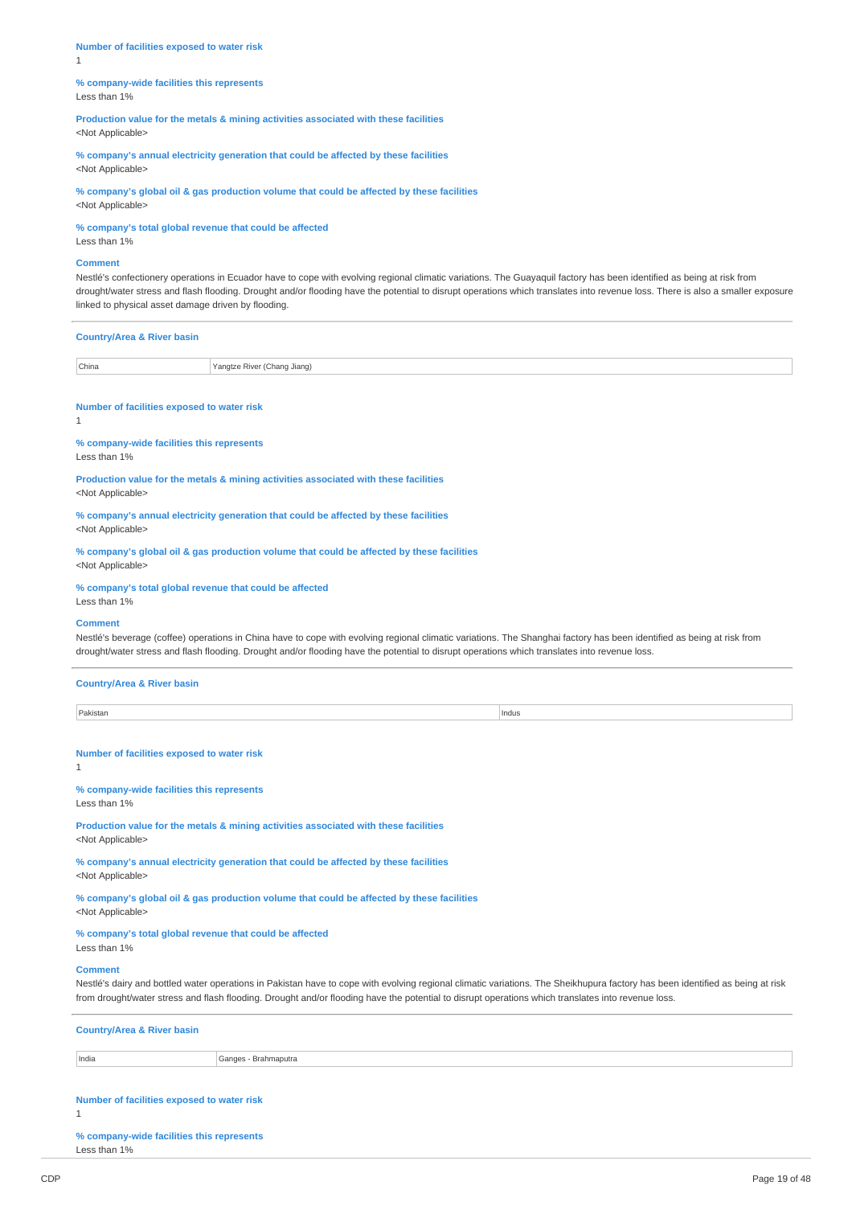**Number of facilities exposed to water risk** 1

**% company-wide facilities this represents** Less than 1%

**Production value for the metals & mining activities associated with these facilities** <Not Applicable>

**% company's annual electricity generation that could be affected by these facilities** <Not Applicable>

**% company's global oil & gas production volume that could be affected by these facilities** <Not Applicable>

**% company's total global revenue that could be affected**

Less than 1%

### **Comment**

Nestlé's confectionery operations in Ecuador have to cope with evolving regional climatic variations. The Guayaquil factory has been identified as being at risk from drought/water stress and flash flooding. Drought and/or flooding have the potential to disrupt operations which translates into revenue loss. There is also a smaller exposure linked to physical asset damage driven by flooding.

| <b>Country/Area &amp; River basin</b> |                             |
|---------------------------------------|-----------------------------|
| China                                 | Yangtze River (Chang Jiang) |

**Number of facilities exposed to water risk**

1

**% company-wide facilities this represents**

Less than 1%

**Production value for the metals & mining activities associated with these facilities** <Not Applicable>

**% company's annual electricity generation that could be affected by these facilities** <Not Applicable>

**% company's global oil & gas production volume that could be affected by these facilities** <Not Applicable>

**% company's total global revenue that could be affected**

Less than 1%

## **Comment**

Nestlé's beverage (coffee) operations in China have to cope with evolving regional climatic variations. The Shanghai factory has been identified as being at risk from drought/water stress and flash flooding. Drought and/or flooding have the potential to disrupt operations which translates into revenue loss.

#### **Country/Area & River basin**

| Pakistan<br> | Indus<br>. |
|--------------|------------|

**Number of facilities exposed to water risk**

1

#### **% company-wide facilities this represents** Less than 1%

**Production value for the metals & mining activities associated with these facilities** <Not Applicable>

**% company's annual electricity generation that could be affected by these facilities** <Not Applicable>

**% company's global oil & gas production volume that could be affected by these facilities** <Not Applicable>

**% company's total global revenue that could be affected**

Less than 1%

#### **Comment**

Nestlé's dairy and bottled water operations in Pakistan have to cope with evolving regional climatic variations. The Sheikhupura factory has been identified as being at risk from drought/water stress and flash flooding. Drought and/or flooding have the potential to disrupt operations which translates into revenue loss.

| <b>Country/Area &amp; River basin</b> |                      |  |  |  |
|---------------------------------------|----------------------|--|--|--|
| India                                 | Ganges - Brahmaputra |  |  |  |
|                                       |                      |  |  |  |

**Number of facilities exposed to water risk**

1

**% company-wide facilities this represents** Less than 1%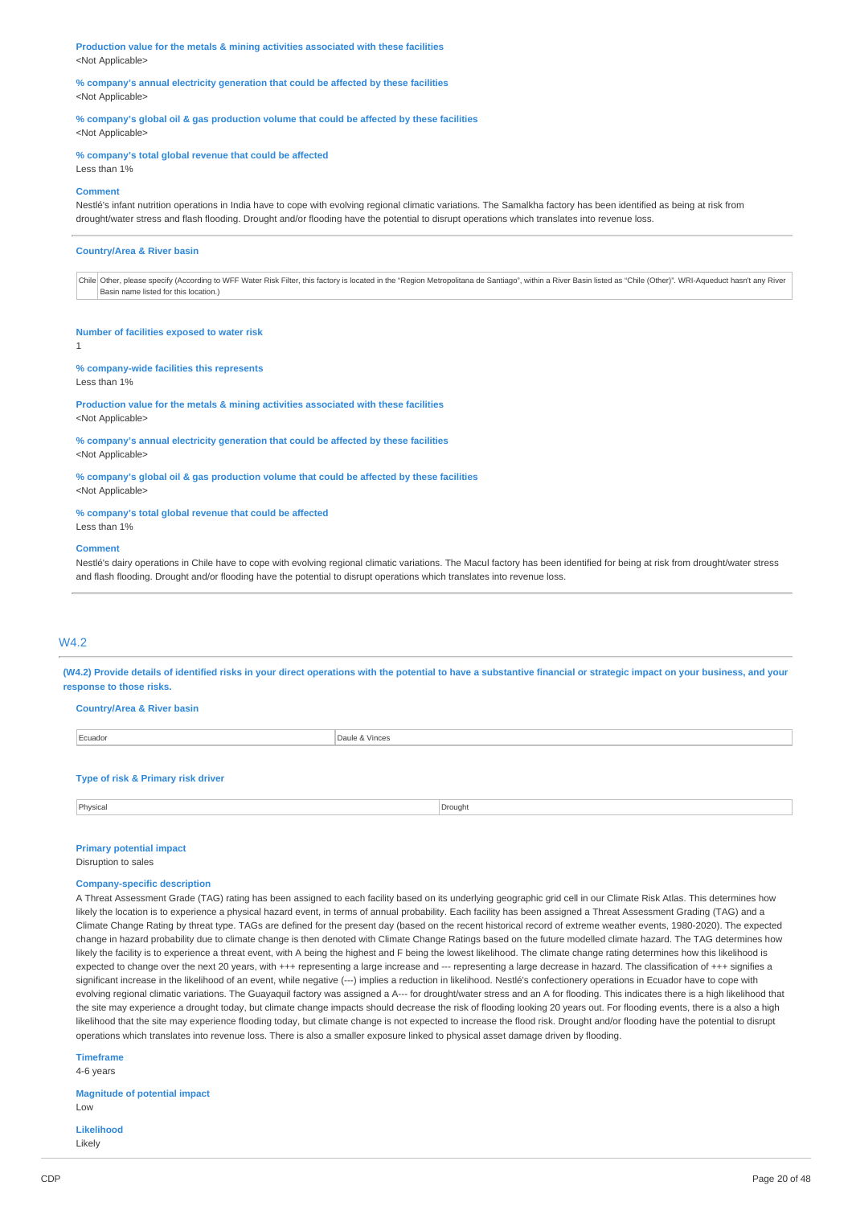**Production value for the metals & mining activities associated with these facilities** <Not Applicable>

**% company's annual electricity generation that could be affected by these facilities** <Not Applicable>

**% company's global oil & gas production volume that could be affected by these facilities** <Not Applicable>

#### **% company's total global revenue that could be affected**

Less than 1%

#### **Comment**

Nestlé's infant nutrition operations in India have to cope with evolving regional climatic variations. The Samalkha factory has been identified as being at risk from drought/water stress and flash flooding. Drought and/or flooding have the potential to disrupt operations which translates into revenue loss.

#### **Country/Area & River basin**

Chile Other, please specify (According to WFF Water Risk Filter, this factory is located in the "Region Metropolitana de Santiago", within a River Basin listed as "Chile (Other)". WRI-Aqueduct hasn't any River Basin name listed for this location.)

#### **Number of facilities exposed to water risk**

1

### **% company-wide facilities this represents**

Less than 1%

**Production value for the metals & mining activities associated with these facilities** <Not Applicable>

#### **% company's annual electricity generation that could be affected by these facilities** <Not Applicable>

**% company's global oil & gas production volume that could be affected by these facilities** <Not Applicable>

# **% company's total global revenue that could be affected**

## Less than 1%

#### **Comment**

Nestlé's dairy operations in Chile have to cope with evolving regional climatic variations. The Macul factory has been identified for being at risk from drought/water stress and flash flooding. Drought and/or flooding have the potential to disrupt operations which translates into revenue loss.

### W4.2

(W4.2) Provide details of identified risks in your direct operations with the potential to have a substantive financial or strategic impact on your business, and your **response to those risks.**

#### **Country/Area & River basin**

| Ecuador | Daule & Vinces |
|---------|----------------|
| ------  | .              |
|         |                |

#### **Type of risk & Primary risk driver**

Physical Drought **Drought** Drought **Drought Drought Drought Drought Drought** 

#### **Primary potential impact**

Disruption to sales

#### **Company-specific description**

A Threat Assessment Grade (TAG) rating has been assigned to each facility based on its underlying geographic grid cell in our Climate Risk Atlas. This determines how likely the location is to experience a physical hazard event, in terms of annual probability. Each facility has been assigned a Threat Assessment Grading (TAG) and a Climate Change Rating by threat type. TAGs are defined for the present day (based on the recent historical record of extreme weather events, 1980-2020). The expected change in hazard probability due to climate change is then denoted with Climate Change Ratings based on the future modelled climate hazard. The TAG determines how likely the facility is to experience a threat event, with A being the highest and F being the lowest likelihood. The climate change rating determines how this likelihood is expected to change over the next 20 years, with +++ representing a large increase and --- representing a large decrease in hazard. The classification of +++ signifies a significant increase in the likelihood of an event, while negative (---) implies a reduction in likelihood. Nestlé's confectionery operations in Ecuador have to cope with evolving regional climatic variations. The Guayaquil factory was assigned a A--- for drought/water stress and an A for flooding. This indicates there is a high likelihood that the site may experience a drought today, but climate change impacts should decrease the risk of flooding looking 20 years out. For flooding events, there is a also a high likelihood that the site may experience flooding today, but climate change is not expected to increase the flood risk. Drought and/or flooding have the potential to disrupt operations which translates into revenue loss. There is also a smaller exposure linked to physical asset damage driven by flooding.

**Timeframe**

4-6 years

**Magnitude of potential impact** Low

**Likelihood** Likely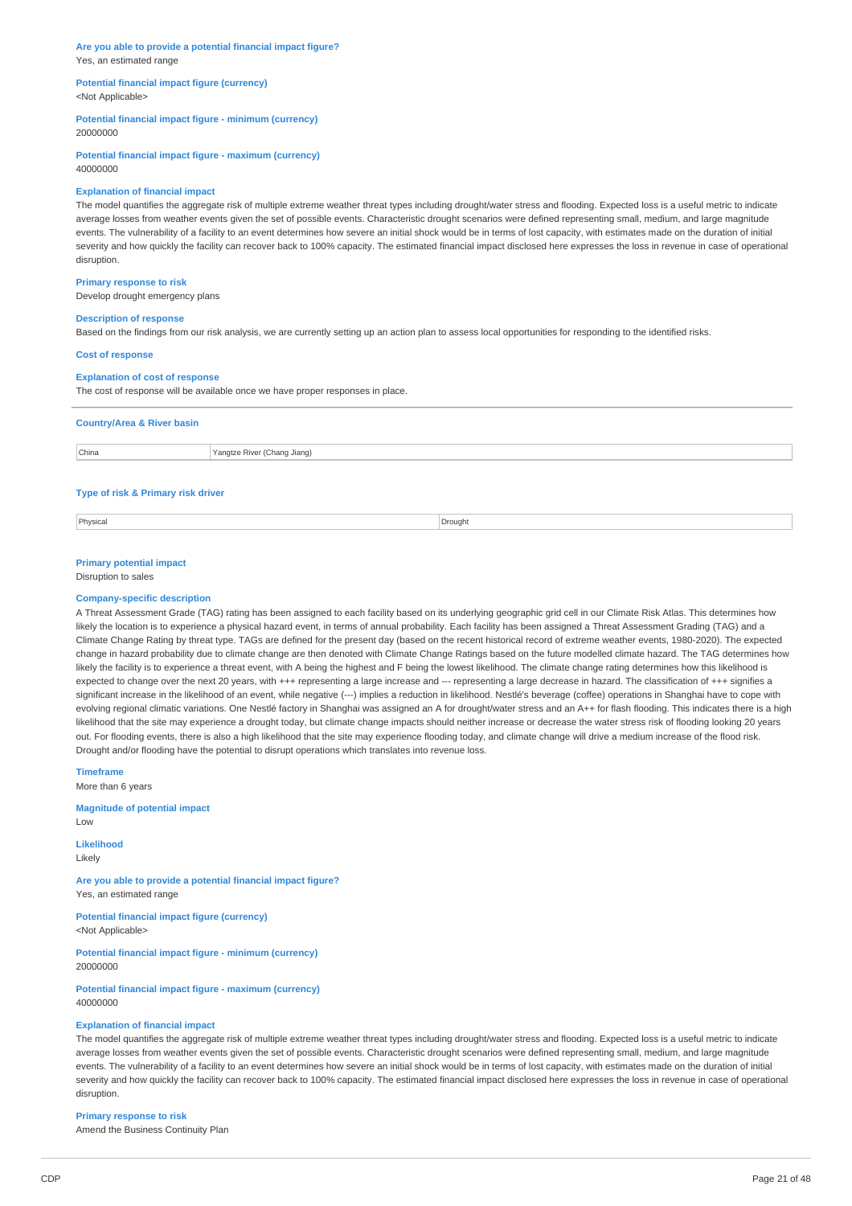#### **Are you able to provide a potential financial impact figure?** Yes, an estimated range

#### **Potential financial impact figure (currency)** <Not Applicable>

**Potential financial impact figure - minimum (currency)** 20000000

**Potential financial impact figure - maximum (currency)** 40000000

### **Explanation of financial impact**

The model quantifies the aggregate risk of multiple extreme weather threat types including drought/water stress and flooding. Expected loss is a useful metric to indicate average losses from weather events given the set of possible events. Characteristic drought scenarios were defined representing small, medium, and large magnitude events. The vulnerability of a facility to an event determines how severe an initial shock would be in terms of lost capacity, with estimates made on the duration of initial severity and how quickly the facility can recover back to 100% capacity. The estimated financial impact disclosed here expresses the loss in revenue in case of operational disruption.

#### **Primary response to risk**

Develop drought emergency plans

### **Description of response**

Based on the findings from our risk analysis, we are currently setting up an action plan to assess local opportunities for responding to the identified risks.

#### **Cost of response**

#### **Explanation of cost of response**

The cost of response will be available once we have proper responses in place.

| <b>Country/Area &amp; River basin</b> |                             |  |  |  |
|---------------------------------------|-----------------------------|--|--|--|
| China                                 | Yangtze River (Chang Jiang) |  |  |  |
|                                       |                             |  |  |  |

### **Type of risk & Primary risk driver**

Physical Drought **Drought** Drought **Drought Drought Drought Drought Drought Drought** 

## **Primary potential impact**

## Disruption to sales

#### **Company-specific description**

A Threat Assessment Grade (TAG) rating has been assigned to each facility based on its underlying geographic grid cell in our Climate Risk Atlas. This determines how likely the location is to experience a physical hazard event, in terms of annual probability. Each facility has been assigned a Threat Assessment Grading (TAG) and a Climate Change Rating by threat type. TAGs are defined for the present day (based on the recent historical record of extreme weather events, 1980-2020). The expected change in hazard probability due to climate change are then denoted with Climate Change Ratings based on the future modelled climate hazard. The TAG determines how likely the facility is to experience a threat event, with A being the highest and F being the lowest likelihood. The climate change rating determines how this likelihood is expected to change over the next 20 years, with +++ representing a large increase and --- representing a large decrease in hazard. The classification of +++ signifies a significant increase in the likelihood of an event, while negative (---) implies a reduction in likelihood. Nestlé's beverage (coffee) operations in Shanghai have to cope with evolving regional climatic variations. One Nestlé factory in Shanghai was assigned an A for drought/water stress and an A++ for flash flooding. This indicates there is a high likelihood that the site may experience a drought today, but climate change impacts should neither increase or decrease the water stress risk of flooding looking 20 years out. For flooding events, there is also a high likelihood that the site may experience flooding today, and climate change will drive a medium increase of the flood risk. Drought and/or flooding have the potential to disrupt operations which translates into revenue loss.

**Timeframe**

More than 6 years

## **Magnitude of potential impact**

Low

**Likelihood**

Likely

**Are you able to provide a potential financial impact figure?** Yes, an estimated range

**Potential financial impact figure (currency)** <Not Applicable>

**Potential financial impact figure - minimum (currency)** 20000000

**Potential financial impact figure - maximum (currency)** 40000000

## **Explanation of financial impact**

The model quantifies the aggregate risk of multiple extreme weather threat types including drought/water stress and flooding. Expected loss is a useful metric to indicate average losses from weather events given the set of possible events. Characteristic drought scenarios were defined representing small, medium, and large magnitude events. The vulnerability of a facility to an event determines how severe an initial shock would be in terms of lost capacity, with estimates made on the duration of initial severity and how quickly the facility can recover back to 100% capacity. The estimated financial impact disclosed here expresses the loss in revenue in case of operational disruption.

#### **Primary response to risk**

Amend the Business Continuity Plan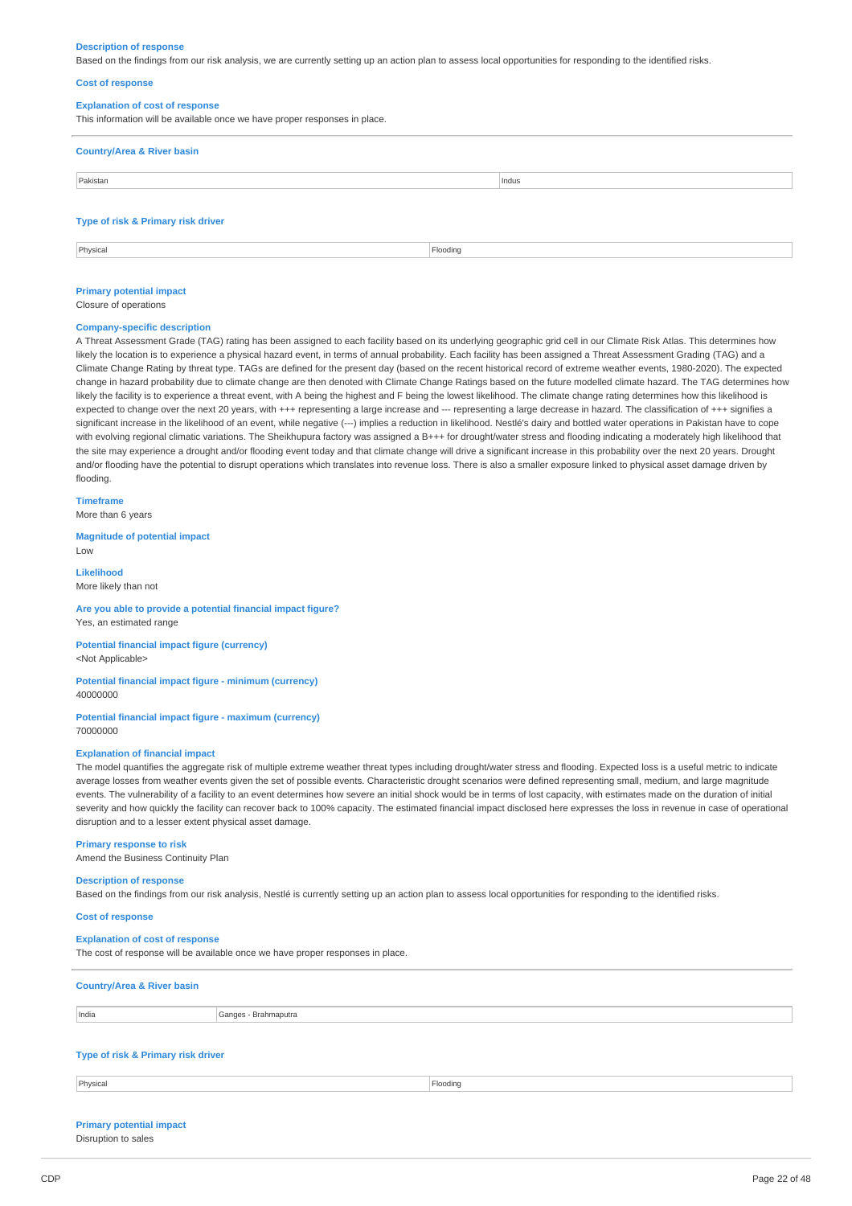#### **Description of response**

Based on the findings from our risk analysis, we are currently setting up an action plan to assess local opportunities for responding to the identified risks.

#### **Cost of response**

#### **Explanation of cost of response**

| This information will be available once we have proper responses in place. |       |
|----------------------------------------------------------------------------|-------|
| <b>Country/Area &amp; River basin</b>                                      |       |
| Pakistan                                                                   | Indus |

#### **Type of risk & Primary risk driver**

Physical Flooding

### **Primary potential impact**

Closure of operations

## **Company-specific description**

A Threat Assessment Grade (TAG) rating has been assigned to each facility based on its underlying geographic grid cell in our Climate Risk Atlas. This determines how likely the location is to experience a physical hazard event, in terms of annual probability. Each facility has been assigned a Threat Assessment Grading (TAG) and a Climate Change Rating by threat type. TAGs are defined for the present day (based on the recent historical record of extreme weather events, 1980-2020). The expected change in hazard probability due to climate change are then denoted with Climate Change Ratings based on the future modelled climate hazard. The TAG determines how likely the facility is to experience a threat event, with A being the highest and F being the lowest likelihood. The climate change rating determines how this likelihood is expected to change over the next 20 years, with +++ representing a large increase and --- representing a large decrease in hazard. The classification of +++ signifies a significant increase in the likelihood of an event, while negative (---) implies a reduction in likelihood. Nestlé's dairy and bottled water operations in Pakistan have to cope with evolving regional climatic variations. The Sheikhupura factory was assigned a B+++ for drought/water stress and flooding indicating a moderately high likelihood that the site may experience a drought and/or flooding event today and that climate change will drive a significant increase in this probability over the next 20 years. Drought and/or flooding have the potential to disrupt operations which translates into revenue loss. There is also a smaller exposure linked to physical asset damage driven by flooding.

#### **Timeframe**

More than 6 years

#### **Magnitude of potential impact** Low

**Likelihood** More likely than not

## **Are you able to provide a potential financial impact figure?** Yes, an estimated range

**Potential financial impact figure (currency)** <Not Applicable>

#### **Potential financial impact figure - minimum (currency)** 40000000

#### **Potential financial impact figure - maximum (currency)** 70000000

#### **Explanation of financial impact**

The model quantifies the aggregate risk of multiple extreme weather threat types including drought/water stress and flooding. Expected loss is a useful metric to indicate average losses from weather events given the set of possible events. Characteristic drought scenarios were defined representing small, medium, and large magnitude events. The vulnerability of a facility to an event determines how severe an initial shock would be in terms of lost capacity, with estimates made on the duration of initial severity and how quickly the facility can recover back to 100% capacity. The estimated financial impact disclosed here expresses the loss in revenue in case of operational disruption and to a lesser extent physical asset damage.

#### **Primary response to risk**

Amend the Business Continuity Plan

#### **Description of response**

Based on the findings from our risk analysis, Nestlé is currently setting up an action plan to assess local opportunities for responding to the identified risks.

### **Cost of response**

#### **Explanation of cost of response**

The cost of response will be available once we have proper responses in place.

## **Country/Area & River basin**

India Ganges - Brahmaputra

## **Type of risk & Primary risk driver**

Physical Flooding

#### **Primary potential impact** Disruption to sales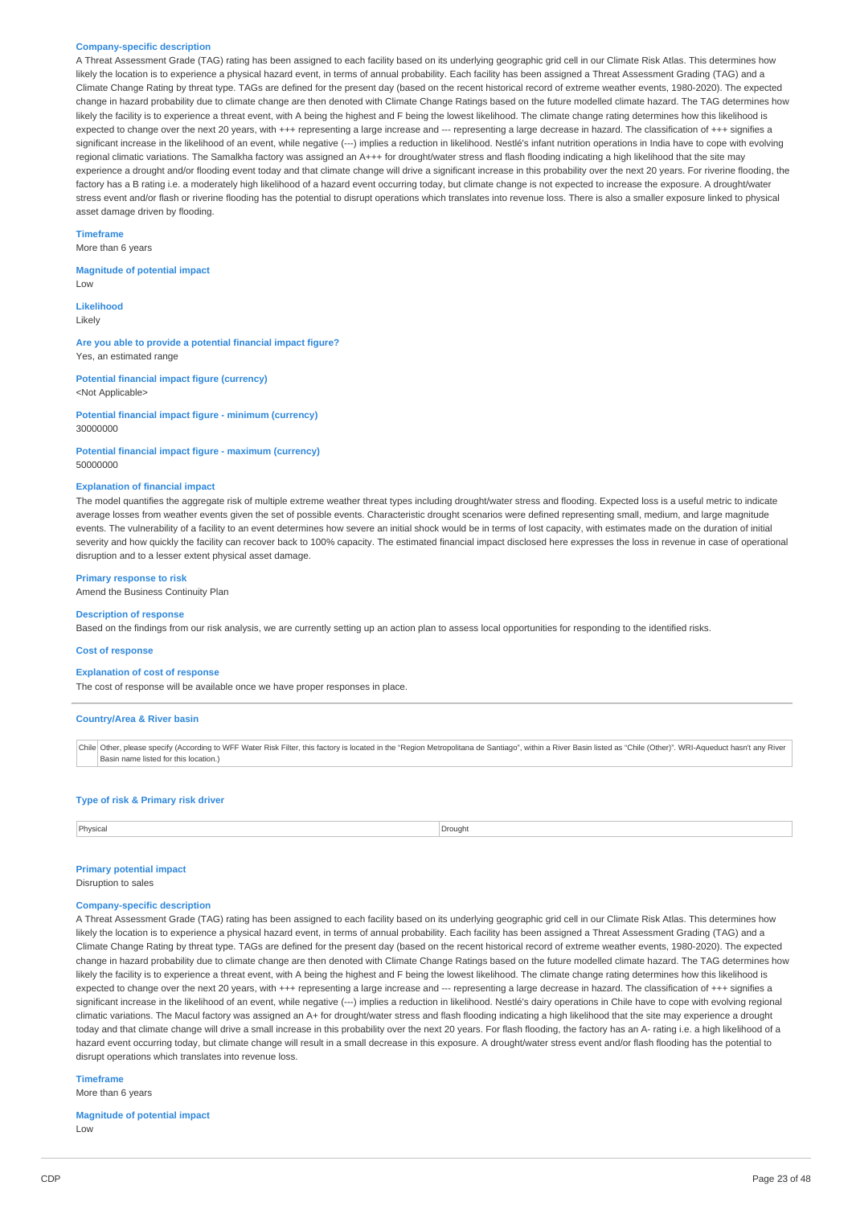#### **Company-specific description**

A Threat Assessment Grade (TAG) rating has been assigned to each facility based on its underlying geographic grid cell in our Climate Risk Atlas. This determines how likely the location is to experience a physical hazard event, in terms of annual probability. Each facility has been assigned a Threat Assessment Grading (TAG) and a Climate Change Rating by threat type. TAGs are defined for the present day (based on the recent historical record of extreme weather events, 1980-2020). The expected change in hazard probability due to climate change are then denoted with Climate Change Ratings based on the future modelled climate hazard. The TAG determines how likely the facility is to experience a threat event, with A being the highest and F being the lowest likelihood. The climate change rating determines how this likelihood is expected to change over the next 20 years, with +++ representing a large increase and --- representing a large decrease in hazard. The classification of +++ signifies a significant increase in the likelihood of an event, while negative (---) implies a reduction in likelihood. Nestlé's infant nutrition operations in India have to cope with evolving regional climatic variations. The Samalkha factory was assigned an A+++ for drought/water stress and flash flooding indicating a high likelihood that the site may experience a drought and/or flooding event today and that climate change will drive a significant increase in this probability over the next 20 years. For riverine flooding, the factory has a B rating i.e. a moderately high likelihood of a hazard event occurring today, but climate change is not expected to increase the exposure. A drought/water stress event and/or flash or riverine flooding has the potential to disrupt operations which translates into revenue loss. There is also a smaller exposure linked to physical asset damage driven by flooding.

### **Timeframe**

More than 6 years

### **Magnitude of potential impact**

Low

**Likelihood** Likely

**Are you able to provide a potential financial impact figure?** Yes, an estimated range

**Potential financial impact figure (currency)** <Not Applicable>

**Potential financial impact figure - minimum (currency)** 30000000

**Potential financial impact figure - maximum (currency)** 50000000

#### **Explanation of financial impact**

The model quantifies the aggregate risk of multiple extreme weather threat types including drought/water stress and flooding. Expected loss is a useful metric to indicate average losses from weather events given the set of possible events. Characteristic drought scenarios were defined representing small, medium, and large magnitude events. The vulnerability of a facility to an event determines how severe an initial shock would be in terms of lost capacity, with estimates made on the duration of initial severity and how quickly the facility can recover back to 100% capacity. The estimated financial impact disclosed here expresses the loss in revenue in case of operational disruption and to a lesser extent physical asset damage.

#### **Primary response to risk**

Amend the Business Continuity Plan

### **Description of response**

Based on the findings from our risk analysis, we are currently setting up an action plan to assess local opportunities for responding to the identified risks.

#### **Cost of response**

#### **Explanation of cost of response**

The cost of response will be available once we have proper responses in place.

#### **Country/Area & River basin**

Chile Other, please specify (According to WFF Water Risk Filter, this factory is located in the "Region Metropolitana de Santiago", within a River Basin listed as "Chile (Other)". WRI-Aqueduct hasn't any River Basin name listed for this location.)

### **Type of risk & Primary risk driver**

Physical Drought **Drought** Drought **Drought Drought Drought Drought Drought** 

### **Primary potential impact**

Disruption to sales

### **Company-specific description**

A Threat Assessment Grade (TAG) rating has been assigned to each facility based on its underlying geographic grid cell in our Climate Risk Atlas. This determines how likely the location is to experience a physical hazard event, in terms of annual probability. Each facility has been assigned a Threat Assessment Grading (TAG) and a Climate Change Rating by threat type. TAGs are defined for the present day (based on the recent historical record of extreme weather events, 1980-2020). The expected change in hazard probability due to climate change are then denoted with Climate Change Ratings based on the future modelled climate hazard. The TAG determines how likely the facility is to experience a threat event, with A being the highest and F being the lowest likelihood. The climate change rating determines how this likelihood is expected to change over the next 20 years, with +++ representing a large increase and --- representing a large decrease in hazard. The classification of +++ signifies a significant increase in the likelihood of an event, while negative (---) implies a reduction in likelihood. Nestlé's dairy operations in Chile have to cope with evolving regional climatic variations. The Macul factory was assigned an A+ for drought/water stress and flash flooding indicating a high likelihood that the site may experience a drought today and that climate change will drive a small increase in this probability over the next 20 years. For flash flooding, the factory has an A- rating i.e. a high likelihood of a hazard event occurring today, but climate change will result in a small decrease in this exposure. A drought/water stress event and/or flash flooding has the potential to disrupt operations which translates into revenue loss.

**Timeframe**

More than 6 years

#### **Magnitude of potential impact**

Low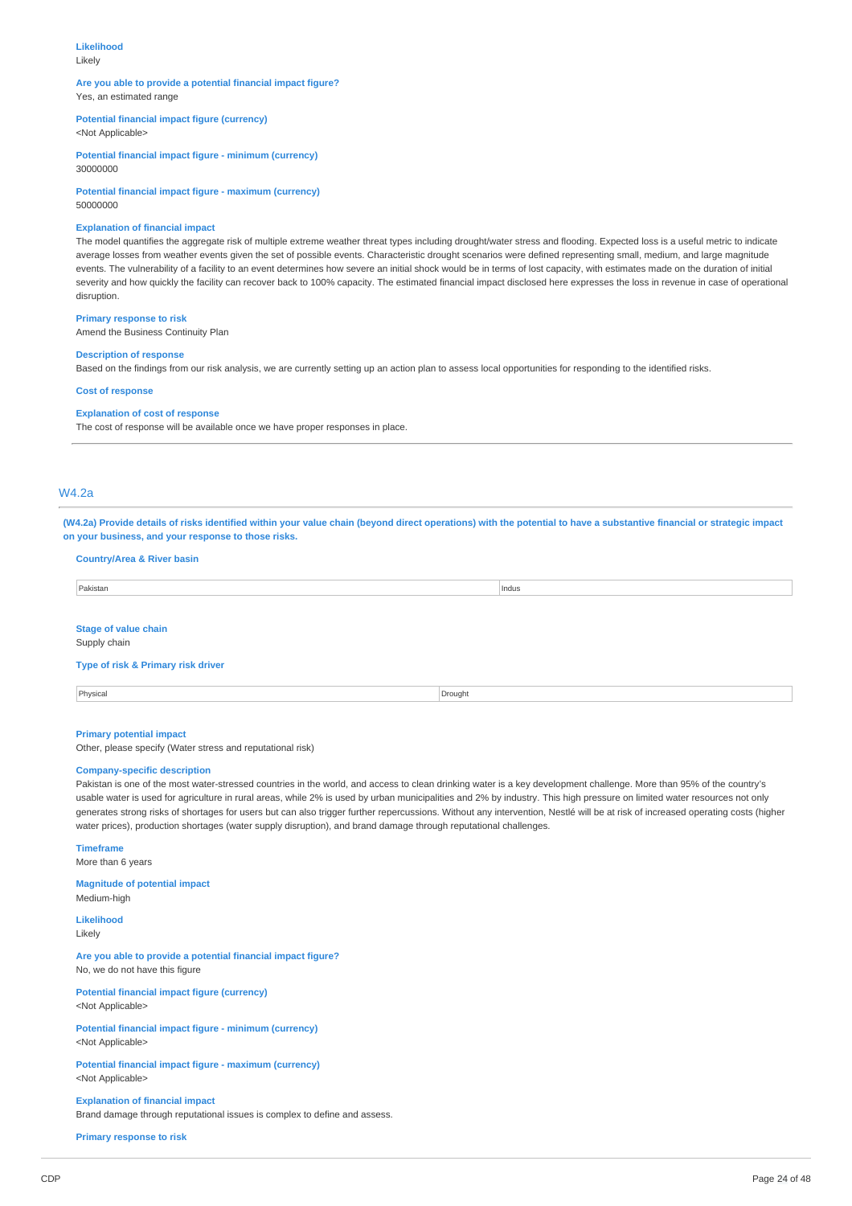## **Likelihood**

Likely

#### **Are you able to provide a potential financial impact figure?** Yes, an estimated range

### **Potential financial impact figure (currency)** <Not Applicable>

**Potential financial impact figure - minimum (currency)**

30000000

**Potential financial impact figure - maximum (currency)** 50000000

#### **Explanation of financial impact**

The model quantifies the aggregate risk of multiple extreme weather threat types including drought/water stress and flooding. Expected loss is a useful metric to indicate average losses from weather events given the set of possible events. Characteristic drought scenarios were defined representing small, medium, and large magnitude events. The vulnerability of a facility to an event determines how severe an initial shock would be in terms of lost capacity, with estimates made on the duration of initial severity and how quickly the facility can recover back to 100% capacity. The estimated financial impact disclosed here expresses the loss in revenue in case of operational disruption.

### **Primary response to risk**

Amend the Business Continuity Plan

## **Description of response**

Based on the findings from our risk analysis, we are currently setting up an action plan to assess local opportunities for responding to the identified risks.

### **Cost of response**

## **Explanation of cost of response**

The cost of response will be available once we have proper responses in place.

## W4.2a

(W4.2a) Provide details of risks identified within your value chain (beyond direct operations) with the potential to have a substantive financial or strategic impact **on your business, and your response to those risks.**

### **Country/Area & River basin**

| Pakistan | Indus |
|----------|-------|
|          |       |

## **Stage of value chain**

Supply chain

## **Type of risk & Primary risk driver**

| Physical | Drought |
|----------|---------|
|          |         |

#### **Primary potential impact**

Other, please specify (Water stress and reputational risk)

#### **Company-specific description**

Pakistan is one of the most water-stressed countries in the world, and access to clean drinking water is a key development challenge. More than 95% of the country's usable water is used for agriculture in rural areas, while 2% is used by urban municipalities and 2% by industry. This high pressure on limited water resources not only generates strong risks of shortages for users but can also trigger further repercussions. Without any intervention, Nestlé will be at risk of increased operating costs (higher water prices), production shortages (water supply disruption), and brand damage through reputational challenges.

#### **Timeframe**

More than 6 years

#### **Magnitude of potential impact** Medium-high

**Likelihood**

## Likely

**Are you able to provide a potential financial impact figure?** No, we do not have this figure

**Potential financial impact figure (currency)** <Not Applicable>

**Potential financial impact figure - minimum (currency)** <Not Applicable>

#### **Potential financial impact figure - maximum (currency)** <Not Applicable>

**Explanation of financial impact** Brand damage through reputational issues is complex to define and assess.

**Primary response to risk**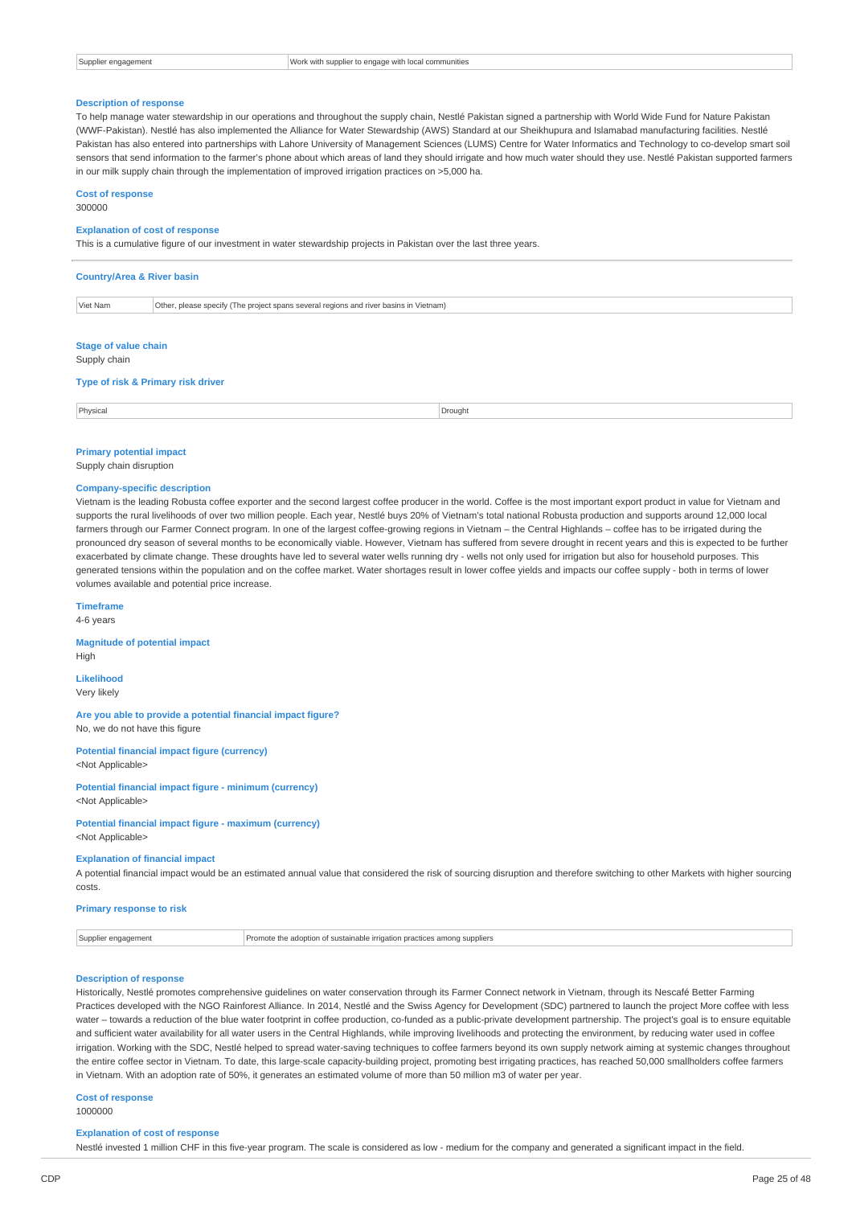|  |  | Supplier engagement |
|--|--|---------------------|
|--|--|---------------------|

 $\overline{\phantom{a}}$  Work with supplier to engage with local communities

#### **Description of response**

To help manage water stewardship in our operations and throughout the supply chain, Nestlé Pakistan signed a partnership with World Wide Fund for Nature Pakistan (WWF-Pakistan). Nestlé has also implemented the Alliance for Water Stewardship (AWS) Standard at our Sheikhupura and Islamabad manufacturing facilities. Nestlé Pakistan has also entered into partnerships with Lahore University of Management Sciences (LUMS) Centre for Water Informatics and Technology to co-develop smart soil sensors that send information to the farmer's phone about which areas of land they should irrigate and how much water should they use. Nestlé Pakistan supported farmers in our milk supply chain through the implementation of improved irrigation practices on >5,000 ha.

### **Cost of response**

300000

### **Explanation of cost of response**

This is a cumulative figure of our investment in water stewardship projects in Pakistan over the last three years.

| <b>Country/Area &amp; River basin</b>                                                             |  |  |  |
|---------------------------------------------------------------------------------------------------|--|--|--|
| Viet Nam<br>Other, please specify (The project spans several regions and river basins in Vietnam) |  |  |  |
| <b>Stage of value chain</b><br>Supply chain<br>Type of risk & Primary risk driver                 |  |  |  |

| Physica | Drought |
|---------|---------|
| .       |         |

#### **Primary potential impact**

Supply chain disruption

### **Company-specific description**

Vietnam is the leading Robusta coffee exporter and the second largest coffee producer in the world. Coffee is the most important export product in value for Vietnam and supports the rural livelihoods of over two million people. Each year, Nestlé buys 20% of Vietnam's total national Robusta production and supports around 12,000 local farmers through our Farmer Connect program. In one of the largest coffee-growing regions in Vietnam – the Central Highlands – coffee has to be irrigated during the pronounced dry season of several months to be economically viable. However, Vietnam has suffered from severe drought in recent years and this is expected to be further exacerbated by climate change. These droughts have led to several water wells running dry - wells not only used for irrigation but also for household purposes. This generated tensions within the population and on the coffee market. Water shortages result in lower coffee yields and impacts our coffee supply - both in terms of lower volumes available and potential price increase.

**Timeframe**

4-6 years

#### **Magnitude of potential impact** High

**Likelihood** Very likely

**Are you able to provide a potential financial impact figure?** No, we do not have this figure

**Potential financial impact figure (currency)** <Not Applicable>

**Potential financial impact figure - minimum (currency)** <Not Applicable>

**Potential financial impact figure - maximum (currency)** <Not Applicable>

#### **Explanation of financial impact**

A potential financial impact would be an estimated annual value that considered the risk of sourcing disruption and therefore switching to other Markets with higher sourcing costs.

#### **Primary response to risk**

| 21 I IV | ∙ ⊺ne<br>-romot<br>con<br>ation<br><b>nractice</b><br>יטונסטופ ממימי<br>s amc<br>.<br>3U3I di Tidi P<br>. |
|---------|-----------------------------------------------------------------------------------------------------------|
|         |                                                                                                           |

#### **Description of response**

Historically, Nestlé promotes comprehensive guidelines on water conservation through its Farmer Connect network in Vietnam, through its Nescafé Better Farming Practices developed with the NGO Rainforest Alliance. In 2014, Nestlé and the Swiss Agency for Development (SDC) partnered to launch the project More coffee with less water – towards a reduction of the blue water footprint in coffee production, co-funded as a public-private development partnership. The project's goal is to ensure equitable and sufficient water availability for all water users in the Central Highlands, while improving livelihoods and protecting the environment, by reducing water used in coffee irrigation. Working with the SDC, Nestlé helped to spread water-saving techniques to coffee farmers beyond its own supply network aiming at systemic changes throughout the entire coffee sector in Vietnam. To date, this large-scale capacity-building project, promoting best irrigating practices, has reached 50,000 smallholders coffee farmers in Vietnam. With an adoption rate of 50%, it generates an estimated volume of more than 50 million m3 of water per year.

#### **Cost of response**

1000000

#### **Explanation of cost of response**

Nestlé invested 1 million CHF in this five-year program. The scale is considered as low - medium for the company and generated a significant impact in the field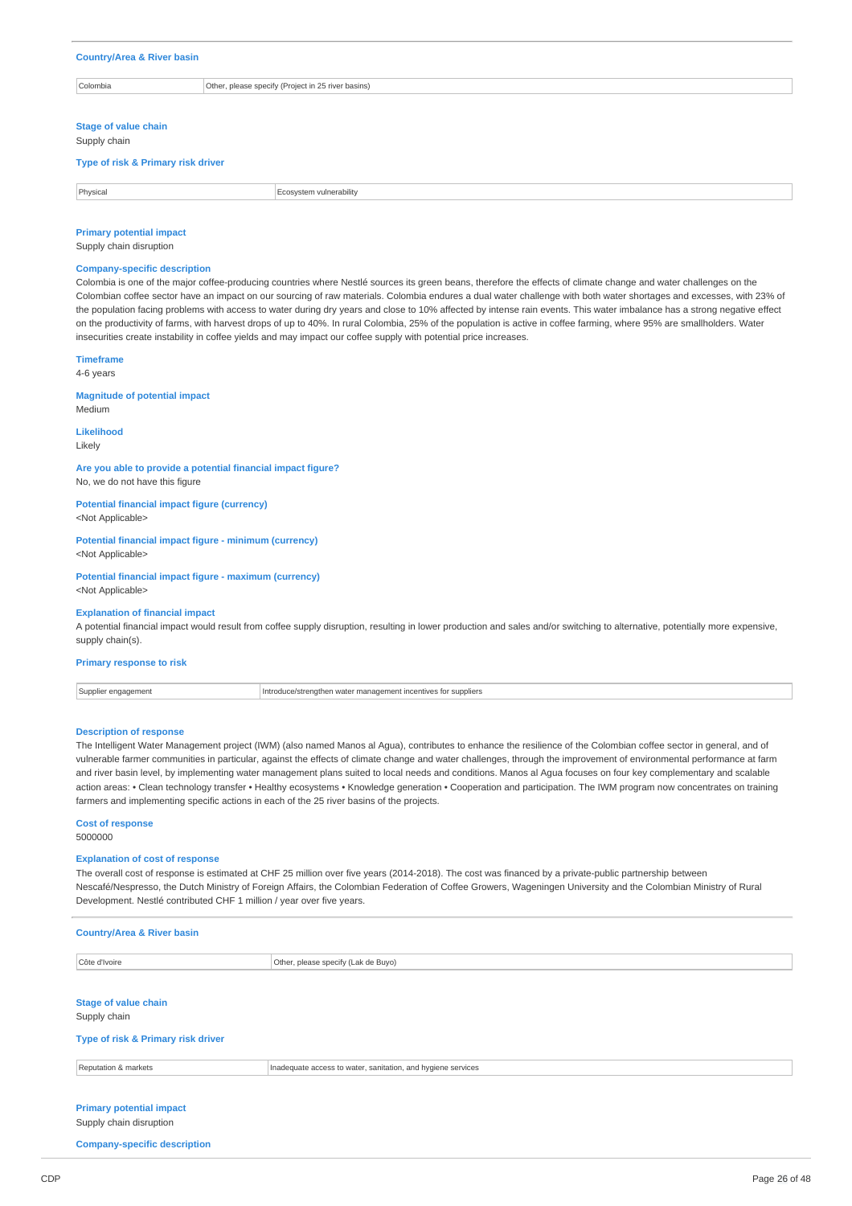### **Country/Area & River basin**

Colombia Other, please specify (Project in 25 river basins)

**Stage of value chain**

Supply chain

**Type of risk & Primary risk driver**

| Physica.<br>ulnerability. |  |
|---------------------------|--|
|                           |  |

## **Primary potential impact**

Supply chain disruption

#### **Company-specific description**

Colombia is one of the major coffee-producing countries where Nestlé sources its green beans, therefore the effects of climate change and water challenges on the Colombian coffee sector have an impact on our sourcing of raw materials. Colombia endures a dual water challenge with both water shortages and excesses, with 23% of the population facing problems with access to water during dry years and close to 10% affected by intense rain events. This water imbalance has a strong negative effect on the productivity of farms, with harvest drops of up to 40%. In rural Colombia, 25% of the population is active in coffee farming, where 95% are smallholders. Water insecurities create instability in coffee yields and may impact our coffee supply with potential price increases.

### **Timeframe**

4-6 years

#### **Magnitude of potential impact**

Medium **Likelihood**

Likely

### **Are you able to provide a potential financial impact figure?**

No, we do not have this figure

**Potential financial impact figure (currency)** <Not Applicable>

**Potential financial impact figure - minimum (currency)** <Not Applicable>

**Potential financial impact figure - maximum (currency)** <Not Applicable>

## **Explanation of financial impact**

A potential financial impact would result from coffee supply disruption, resulting in lower production and sales and/or switching to alternative, potentially more expensive, supply chain(s).

#### **Primary response to risk**

Supplier engagement **Introduce/strengthen water management incentives for suppliers** 

#### **Description of response**

The Intelligent Water Management project (IWM) (also named Manos al Agua), contributes to enhance the resilience of the Colombian coffee sector in general, and of vulnerable farmer communities in particular, against the effects of climate change and water challenges, through the improvement of environmental performance at farm and river basin level, by implementing water management plans suited to local needs and conditions. Manos al Agua focuses on four key complementary and scalable action areas: • Clean technology transfer • Healthy ecosystems • Knowledge generation • Cooperation and participation. The IWM program now concentrates on training farmers and implementing specific actions in each of the 25 river basins of the projects.

## **Cost of response**

5000000

#### **Explanation of cost of response**

The overall cost of response is estimated at CHF 25 million over five years (2014-2018). The cost was financed by a private-public partnership between Nescafé/Nespresso, the Dutch Ministry of Foreign Affairs, the Colombian Federation of Coffee Growers, Wageningen University and the Colombian Ministry of Rural Development. Nestlé contributed CHF 1 million / year over five years.

| <b>Country/Area &amp; River basin</b>                      |                                                              |  |
|------------------------------------------------------------|--------------------------------------------------------------|--|
| Côte d'Ivoire                                              | Other, please specify (Lak de Buyo)                          |  |
| <b>Stage of value chain</b><br>Supply chain                |                                                              |  |
| Type of risk & Primary risk driver                         |                                                              |  |
| Reputation & markets                                       | Inadequate access to water, sanitation, and hygiene services |  |
| <b>Primary potential impact</b><br>Supply chain disruption |                                                              |  |

#### **Company-specific description**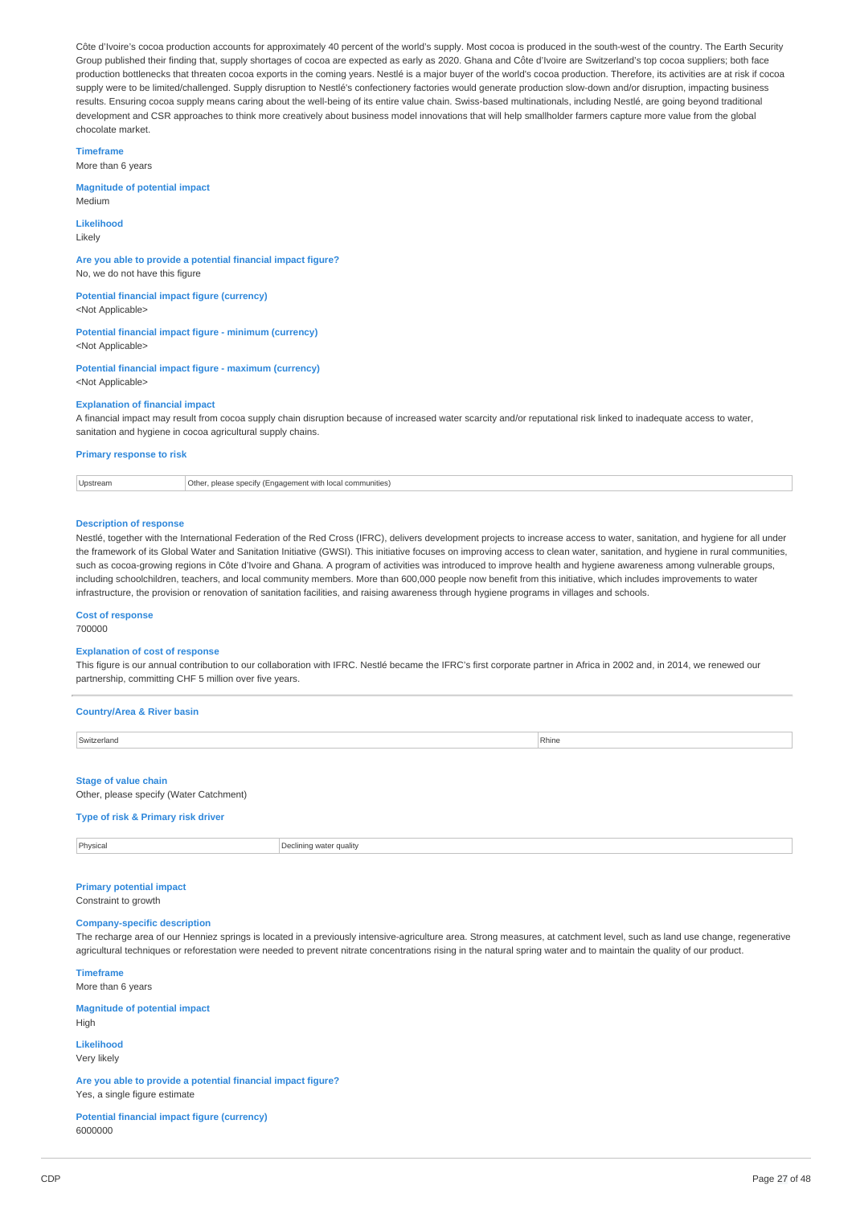Côte d'Ivoire's cocoa production accounts for approximately 40 percent of the world's supply. Most cocoa is produced in the south-west of the country. The Earth Security Group published their finding that, supply shortages of cocoa are expected as early as 2020. Ghana and Côte d'Ivoire are Switzerland's top cocoa suppliers; both face production bottlenecks that threaten cocoa exports in the coming years. Nestlé is a major buyer of the world's cocoa production. Therefore, its activities are at risk if cocoa supply were to be limited/challenged. Supply disruption to Nestlé's confectionery factories would generate production slow-down and/or disruption, impacting business results. Ensuring cocoa supply means caring about the well-being of its entire value chain. Swiss-based multinationals, including Nestlé, are going beyond traditional development and CSR approaches to think more creatively about business model innovations that will help smallholder farmers capture more value from the global chocolate market.

**Timeframe**

More than 6 years

#### **Magnitude of potential impact** Medium

**Likelihood** Likely

**Are you able to provide a potential financial impact figure?** No, we do not have this figure

**Potential financial impact figure (currency)** <Not Applicable>

**Potential financial impact figure - minimum (currency)** <Not Applicable>

**Potential financial impact figure - maximum (currency)** <Not Applicable>

### **Explanation of financial impact**

A financial impact may result from cocoa supply chain disruption because of increased water scarcity and/or reputational risk linked to inadequate access to water, sanitation and hygiene in cocoa agricultural supply chains.

#### **Primary response to risk**

Upstream **Other, please specify (Engagement with local communities)** 

#### **Description of response**

Nestlé, together with the International Federation of the Red Cross (IFRC), delivers development projects to increase access to water, sanitation, and hygiene for all under the framework of its Global Water and Sanitation Initiative (GWSI). This initiative focuses on improving access to clean water, sanitation, and hygiene in rural communities, such as cocoa-growing regions in Côte d'Ivoire and Ghana. A program of activities was introduced to improve health and hygiene awareness among vulnerable groups, including schoolchildren, teachers, and local community members. More than 600,000 people now benefit from this initiative, which includes improvements to water infrastructure, the provision or renovation of sanitation facilities, and raising awareness through hygiene programs in villages and schools.

### **Cost of response**

700000

## **Explanation of cost of response**

This figure is our annual contribution to our collaboration with IFRC. Nestlé became the IFRC's first corporate partner in Africa in 2002 and, in 2014, we renewed our partnership, committing CHF 5 million over five years.

### **Country/Area & River basin**

| Switzerland<br>----------- | Rhine |
|----------------------------|-------|
|                            |       |

### **Stage of value chain**

Other, please specify (Water Catchment)

### **Type of risk & Primary risk driver**

**Physical** Physical Declining water quality

### **Primary potential impact** Constraint to growth

**Company-specific description**

The recharge area of our Henniez springs is located in a previously intensive-agriculture area. Strong measures, at catchment level, such as land use change, regenerative agricultural techniques or reforestation were needed to prevent nitrate concentrations rising in the natural spring water and to maintain the quality of our product.

#### **Timeframe**

More than 6 years

#### **Magnitude of potential impact** High

**Likelihood** Very likely

**Are you able to provide a potential financial impact figure?** Yes, a single figure estimate

**Potential financial impact figure (currency)** 6000000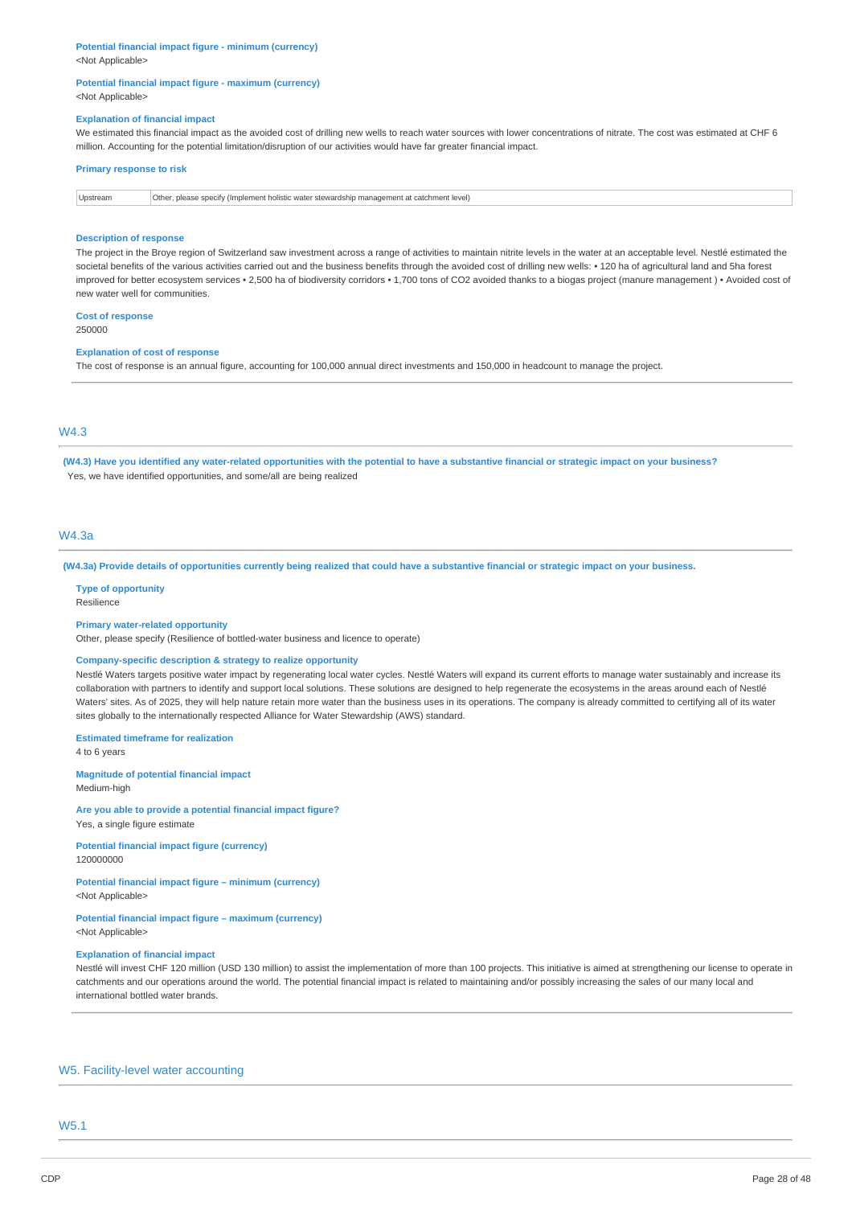## **Potential financial impact figure - minimum (currency)**

<Not Applicable>

### **Potential financial impact figure - maximum (currency)** <Not Applicable>

### **Explanation of financial impact**

We estimated this financial impact as the avoided cost of drilling new wells to reach water sources with lower concentrations of nitrate. The cost was estimated at CHF 6 million. Accounting for the potential limitation/disruption of our activities would have far greater financial impact.

| <b>Primary response to risk</b> |                                                                                            |
|---------------------------------|--------------------------------------------------------------------------------------------|
| Upstream                        | Other, please specify (Implement holistic water stewardship management at catchment level) |

#### **Description of response**

The project in the Broye region of Switzerland saw investment across a range of activities to maintain nitrite levels in the water at an acceptable level. Nestlé estimated the societal benefits of the various activities carried out and the business benefits through the avoided cost of drilling new wells: • 120 ha of agricultural land and 5ha forest improved for better ecosystem services • 2,500 ha of biodiversity corridors • 1,700 tons of CO2 avoided thanks to a biogas project (manure management ) • Avoided cost of new water well for communities.

#### **Cost of response**

250000

#### **Explanation of cost of response**

The cost of response is an annual figure, accounting for 100,000 annual direct investments and 150,000 in headcount to manage the project.

## W4.3

(W4.3) Have you identified any water-related opportunities with the potential to have a substantive financial or strategic impact on your business? Yes, we have identified opportunities, and some/all are being realized

### W4.3a

(W4.3a) Provide details of opportunities currently being realized that could have a substantive financial or strategic impact on your business.

#### **Type of opportunity** Resilience

## **Primary water-related opportunity**

Other, please specify (Resilience of bottled-water business and licence to operate)

#### **Company-specific description & strategy to realize opportunity**

Nestlé Waters targets positive water impact by regenerating local water cycles. Nestlé Waters will expand its current efforts to manage water sustainably and increase its collaboration with partners to identify and support local solutions. These solutions are designed to help regenerate the ecosystems in the areas around each of Nestlé Waters' sites. As of 2025, they will help nature retain more water than the business uses in its operations. The company is already committed to certifying all of its water sites globally to the internationally respected Alliance for Water Stewardship (AWS) standard.

**Estimated timeframe for realization**

4 to 6 years

**Magnitude of potential financial impact** Medium-high

**Are you able to provide a potential financial impact figure?** Yes, a single figure estimate

**Potential financial impact figure (currency)** 120000000

**Potential financial impact figure – minimum (currency)** <Not Applicable>

### **Potential financial impact figure – maximum (currency)** <Not Applicable>

### **Explanation of financial impact**

Nestlé will invest CHF 120 million (USD 130 million) to assist the implementation of more than 100 projects. This initiative is aimed at strengthening our license to operate in catchments and our operations around the world. The potential financial impact is related to maintaining and/or possibly increasing the sales of our many local and international bottled water brands.

## W5. Facility-level water accounting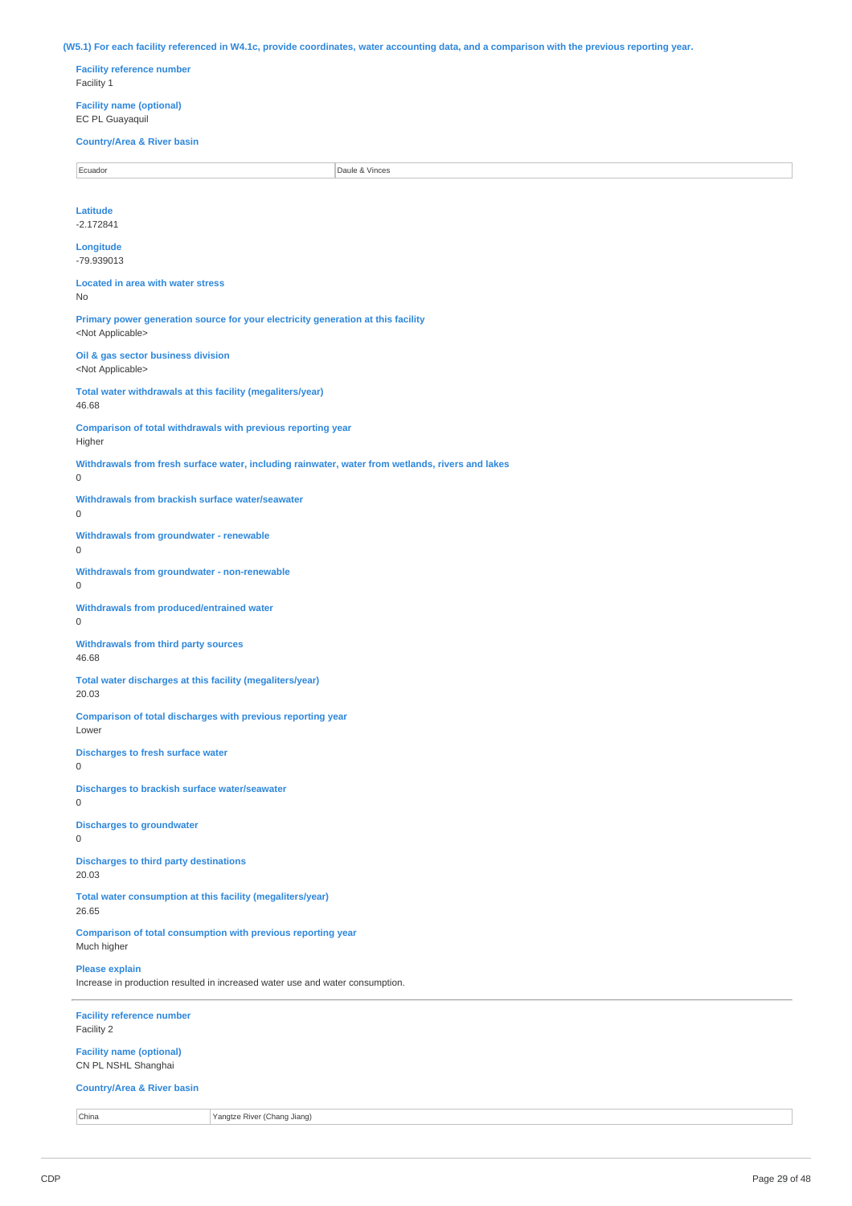(W5.1) For each facility referenced in W4.1c, provide coordinates, water accounting data, and a comparison with the previous reporting year. **Facility reference number** Facility 1 **Facility name (optional)** EC PL Guayaquil **Country/Area & River basin** extending the cuador of the Cause of the Cause of the Cause of the Cause of the Cause of Daule & Vinces **Latitude** -2.172841 **Longitude** -79.939013 **Located in area with water stress** No **Primary power generation source for your electricity generation at this facility** <Not Applicable> **Oil & gas sector business division** <Not Applicable> **Total water withdrawals at this facility (megaliters/year)** 46.68 **Comparison of total withdrawals with previous reporting year** Higher **Withdrawals from fresh surface water, including rainwater, water from wetlands, rivers and lakes** 0 **Withdrawals from brackish surface water/seawater**  $\Omega$ **Withdrawals from groundwater - renewable**  $\Omega$ **Withdrawals from groundwater - non-renewable** 0 **Withdrawals from produced/entrained water**  $\Omega$ **Withdrawals from third party sources** 46.68 **Total water discharges at this facility (megaliters/year)** 20.03 **Comparison of total discharges with previous reporting year** Lower **Discharges to fresh surface water** 0 **Discharges to brackish surface water/seawater**  $\Omega$ **Discharges to groundwater** 0 **Discharges to third party destinations** 20.03 **Total water consumption at this facility (megaliters/year)** 26.65 **Comparison of total consumption with previous reporting year** Much higher **Please explain** Increase in production resulted in increased water use and water consumption. **Facility reference number** Facility 2

**Facility name (optional)** CN PL NSHL Shanghai

#### **Country/Area & River basin**

China Yangtze River (Chang Jiang)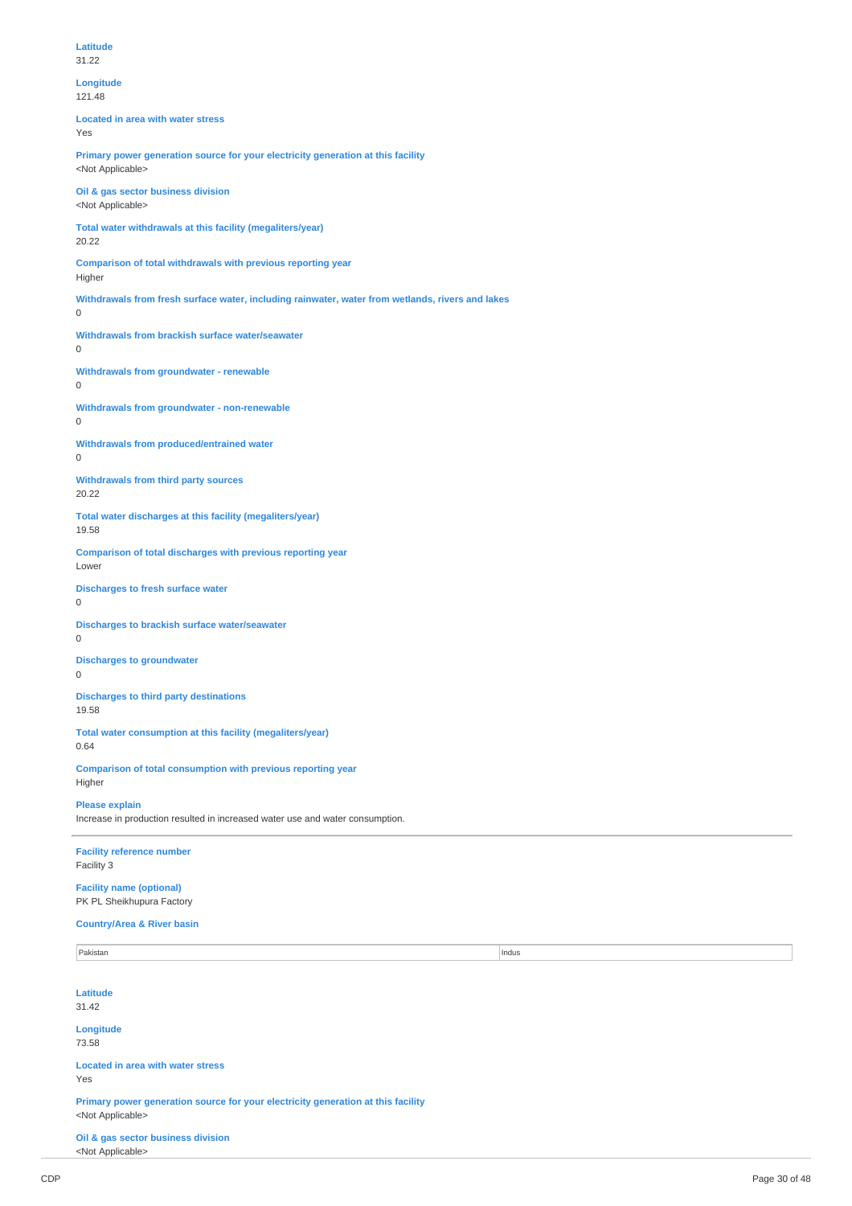**Longitude** 121.48 **Located in area with water stress** Yes **Primary power generation source for your electricity generation at this facility** <Not Applicable> **Oil & gas sector business division** <Not Applicable> **Total water withdrawals at this facility (megaliters/year)** 20.22 **Comparison of total withdrawals with previous reporting year** Higher **Withdrawals from fresh surface water, including rainwater, water from wetlands, rivers and lakes** 0 **Withdrawals from brackish surface water/seawater** 0 **Withdrawals from groundwater - renewable** 0 **Withdrawals from groundwater - non-renewable** 0 **Withdrawals from produced/entrained water**  $\Omega$ **Withdrawals from third party sources** 20.22 **Total water discharges at this facility (megaliters/year)** 19.58 **Comparison of total discharges with previous reporting year** Lower **Discharges to fresh surface water** 0 **Discharges to brackish surface water/seawater** 0 **Discharges to groundwater**  $\Omega$ **Discharges to third party destinations** 19.58 **Total water consumption at this facility (megaliters/year)** 0.64 **Comparison of total consumption with previous reporting year** Higher **Please explain** Increase in production resulted in increased water use and water consumption. **Facility reference number** Facility 3 **Facility name (optional)** PK PL Sheikhupura Factory **Country/Area & River basin** Pakistan di Pakistan di Pakistan di Pakistan di Pakistan di Pakistan di Pakistan di Pakistan di Pakistan di Pa **Latitude**

31.42

**Longitude** 73.58

**Located in area with water stress** Yes

**Primary power generation source for your electricity generation at this facility** <Not Applicable>

**Oil & gas sector business division** <Not Applicable>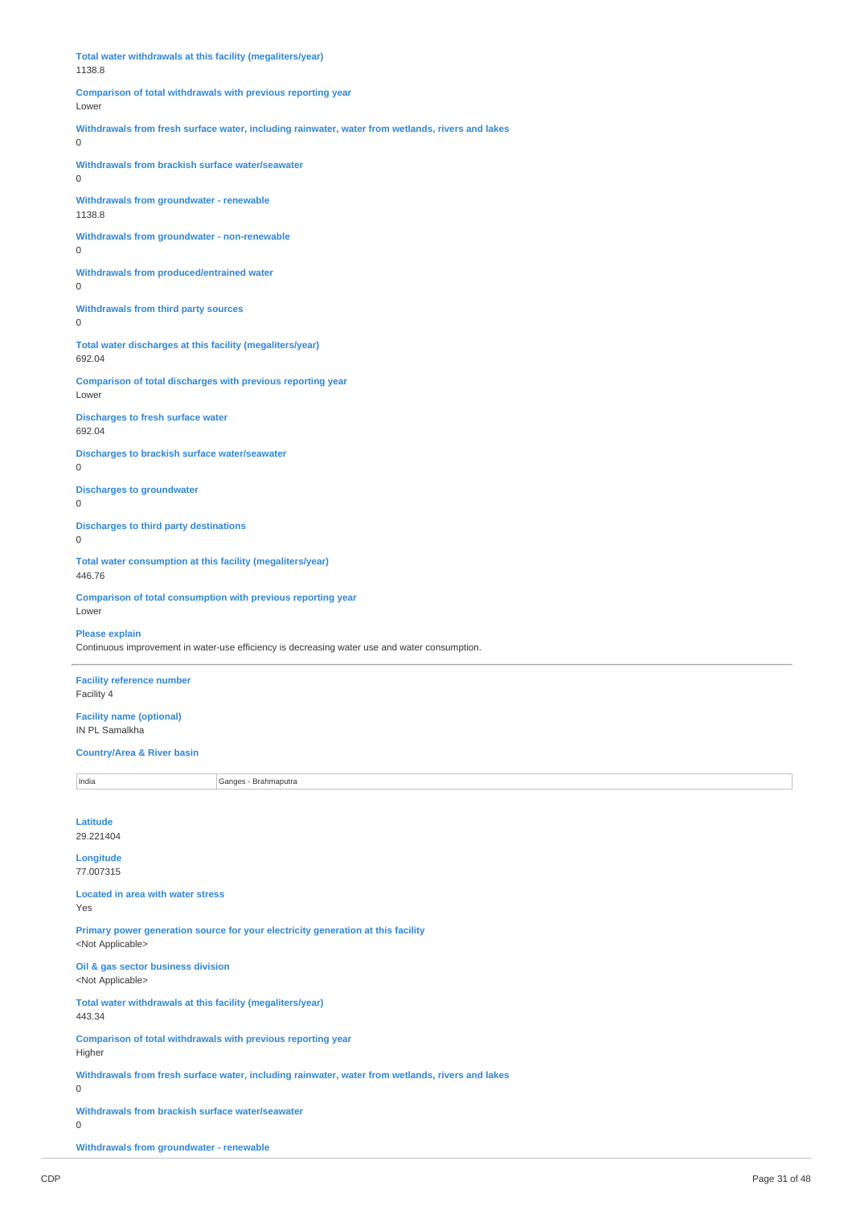**Total water withdrawals at this facility (megaliters/year)** 1138.8 **Comparison of total withdrawals with previous reporting year** Lower **Withdrawals from fresh surface water, including rainwater, water from wetlands, rivers and lakes**  $\Omega$ **Withdrawals from brackish surface water/seawater** 0 **Withdrawals from groundwater - renewable** 1138.8 **Withdrawals from groundwater - non-renewable**  $\Omega$ **Withdrawals from produced/entrained water**  $\Omega$ **Withdrawals from third party sources** 0 **Total water discharges at this facility (megaliters/year)** 692.04 **Comparison of total discharges with previous reporting year** Lower **Discharges to fresh surface water** 692.04 **Discharges to brackish surface water/seawater**  $\Omega$ **Discharges to groundwater** 0 **Discharges to third party destinations** 0 **Total water consumption at this facility (megaliters/year)** 446.76 **Comparison of total consumption with previous reporting year** Lower **Please explain** Continuous improvement in water-use efficiency is decreasing water use and water consumption.

**Facility reference number** Facility 4

**Facility name (optional)** IN PL Samalkha

#### **Country/Area & River basin**

India Ganges - Brahmaputra

**Latitude** 29.221404

**Longitude** 77.007315

**Located in area with water stress** Yes

**Primary power generation source for your electricity generation at this facility** <Not Applicable>

**Oil & gas sector business division** <Not Applicable>

**Total water withdrawals at this facility (megaliters/year)**

443.34

**Comparison of total withdrawals with previous reporting year** Higher

**Withdrawals from fresh surface water, including rainwater, water from wetlands, rivers and lakes**

0

**Withdrawals from brackish surface water/seawater**

0

**Withdrawals from groundwater - renewable**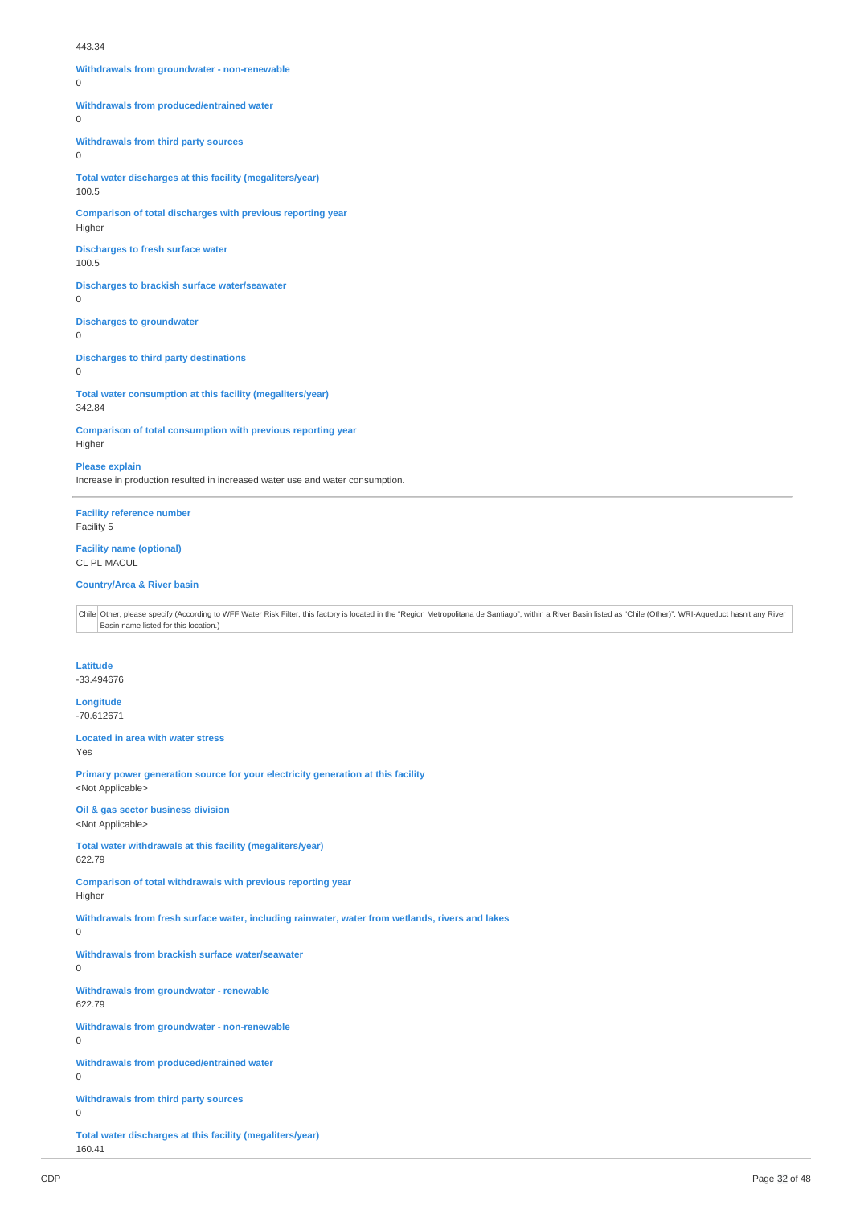#### 443.34

**Withdrawals from groundwater - non-renewable**  $\Omega$ 

**Withdrawals from produced/entrained water**

 $\Omega$ 

**Withdrawals from third party sources**

0

**Total water discharges at this facility (megaliters/year)** 100.5

**Comparison of total discharges with previous reporting year** Higher

**Discharges to fresh surface water** 100.5

**Discharges to brackish surface water/seawater**  $\Omega$ 

**Discharges to groundwater**

 $\Omega$ 

**Discharges to third party destinations**

 $\Omega$ 

**Total water consumption at this facility (megaliters/year)** 342.84

**Comparison of total consumption with previous reporting year** Higher

**Please explain**

Increase in production resulted in increased water use and water consumption.

**Facility reference number** Facility 5

**Facility name (optional)** CL PL MACUL

#### **Country/Area & River basin**

Chile Other, please specify (According to WFF Water Risk Filter, this factory is located in the "Region Metropolitana de Santiago", within a River Basin listed as "Chile (Other)". WRI-Aqueduct hasn't any River Basin name listed for this location.)

**Latitude**

-33.494676

**Longitude** -70.612671

**Located in area with water stress** Yes

**Primary power generation source for your electricity generation at this facility** <Not Applicable>

**Oil & gas sector business division** <Not Applicable>

**Total water withdrawals at this facility (megaliters/year)** 622.79

**Comparison of total withdrawals with previous reporting year** Higher

**Withdrawals from fresh surface water, including rainwater, water from wetlands, rivers and lakes**

0

**Withdrawals from brackish surface water/seawater**

0

**Withdrawals from groundwater - renewable** 622.79

**Withdrawals from groundwater - non-renewable**

0

**Withdrawals from produced/entrained water** 0

**Withdrawals from third party sources**

 $\theta$ 

**Total water discharges at this facility (megaliters/year)** 160.41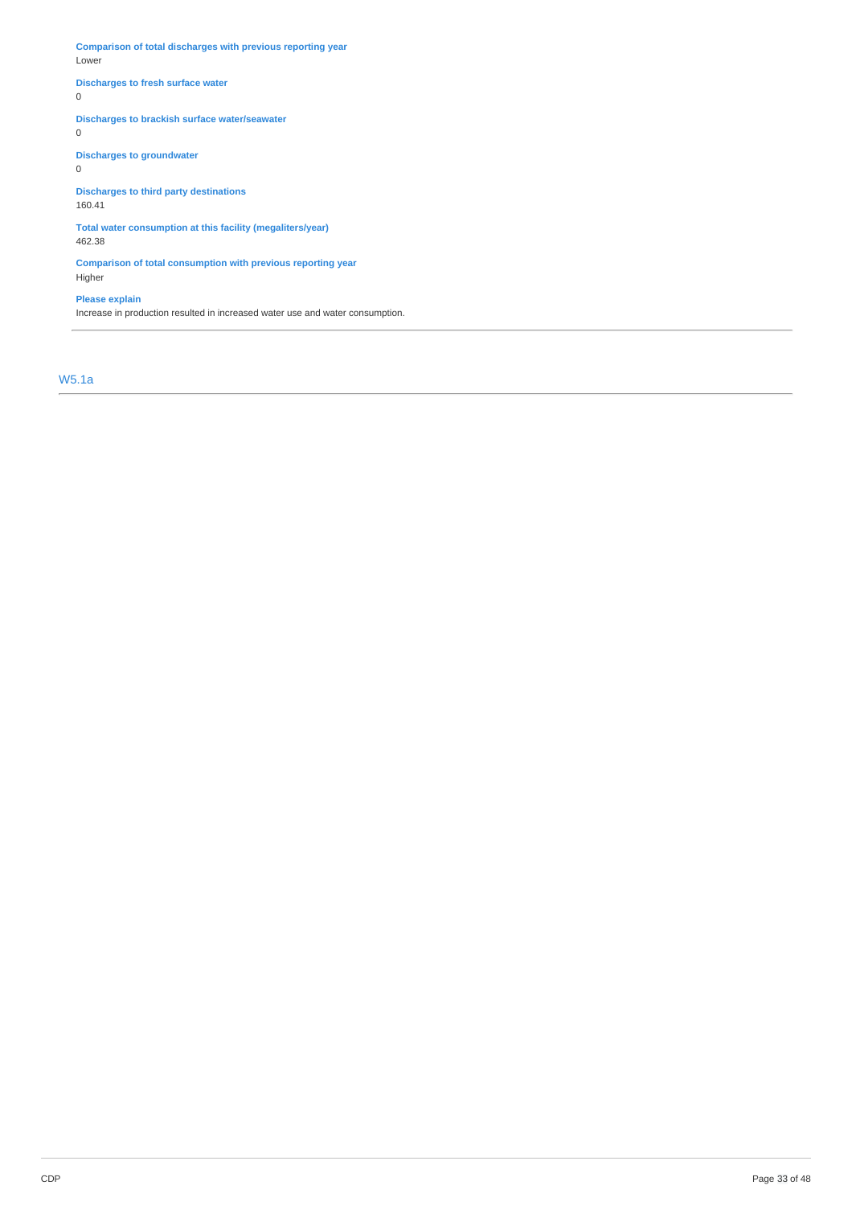**Comparison of total discharges with previous reporting year** Lower

## **Discharges to fresh surface water**

0

## **Discharges to brackish surface water/seawater**

0

**Discharges to groundwater**

0

**Discharges to third party destinations**

160.41

**Total water consumption at this facility (megaliters/year)** 462.38

**Comparison of total consumption with previous reporting year** Higher

## **Please explain**

Increase in production resulted in increased water use and water consumption.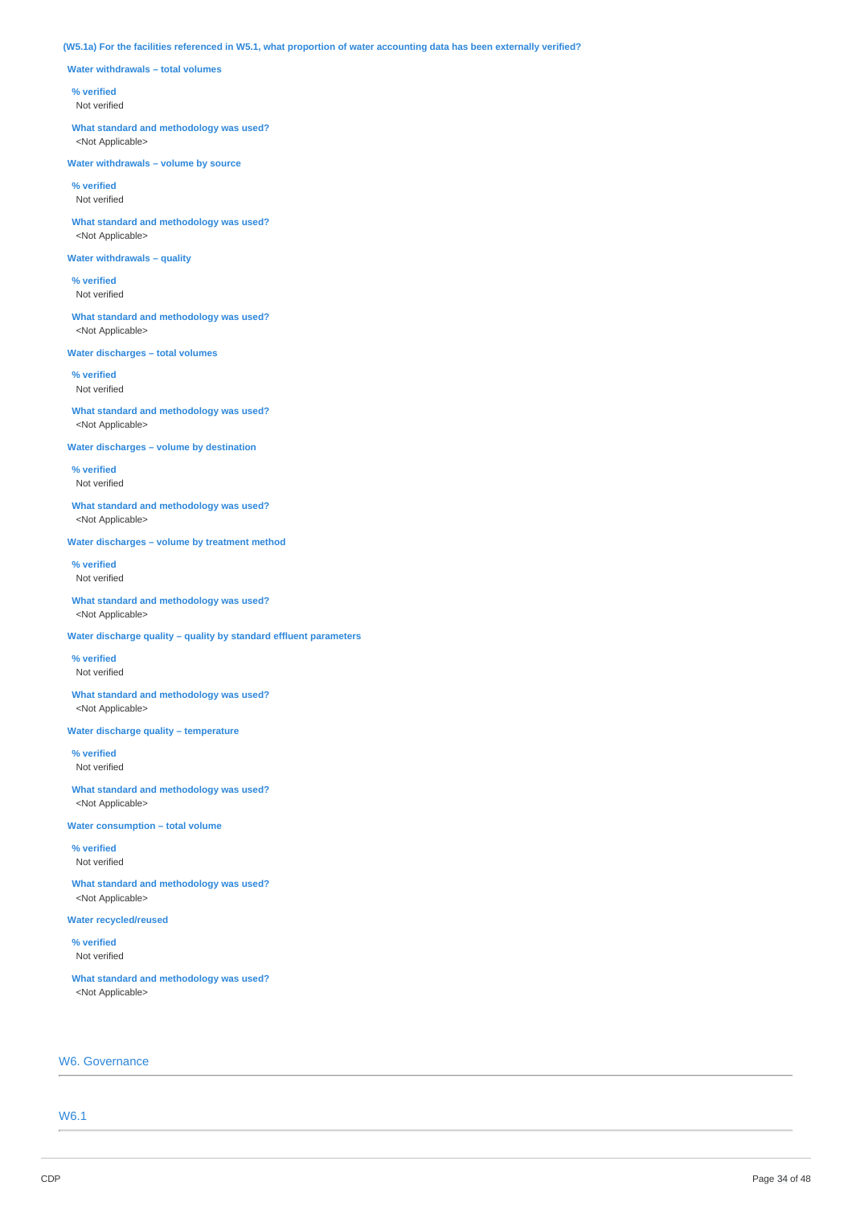## (W5.1a) For the facilities referenced in W5.1, what proportion of water accounting data has been externally verified?

**Water withdrawals – total volumes**

### **% verified**

Not verified

**What standard and methodology was used?** <Not Applicable>

**Water withdrawals – volume by source**

**% verified** Not verified

**What standard and methodology was used?** <Not Applicable>

## **Water withdrawals – quality**

**% verified** Not verified

**What standard and methodology was used?** <Not Applicable>

**Water discharges – total volumes**

**% verified** Not verified

**What standard and methodology was used?** <Not Applicable>

**Water discharges – volume by destination**

**% verified** Not verified

**What standard and methodology was used?** <Not Applicable>

**Water discharges – volume by treatment method**

**% verified** Not verified

**What standard and methodology was used?** <Not Applicable>

**Water discharge quality – quality by standard effluent parameters**

**% verified** Not verified

**What standard and methodology was used?** <Not Applicable>

**Water discharge quality – temperature**

**% verified** Not verified

**What standard and methodology was used?** <Not Applicable>

**Water consumption – total volume**

**% verified** Not verified

**What standard and methodology was used?** <Not Applicable>

**Water recycled/reused**

**% verified** Not verified

**What standard and methodology was used?** <Not Applicable>

## W6. Governance

W6.1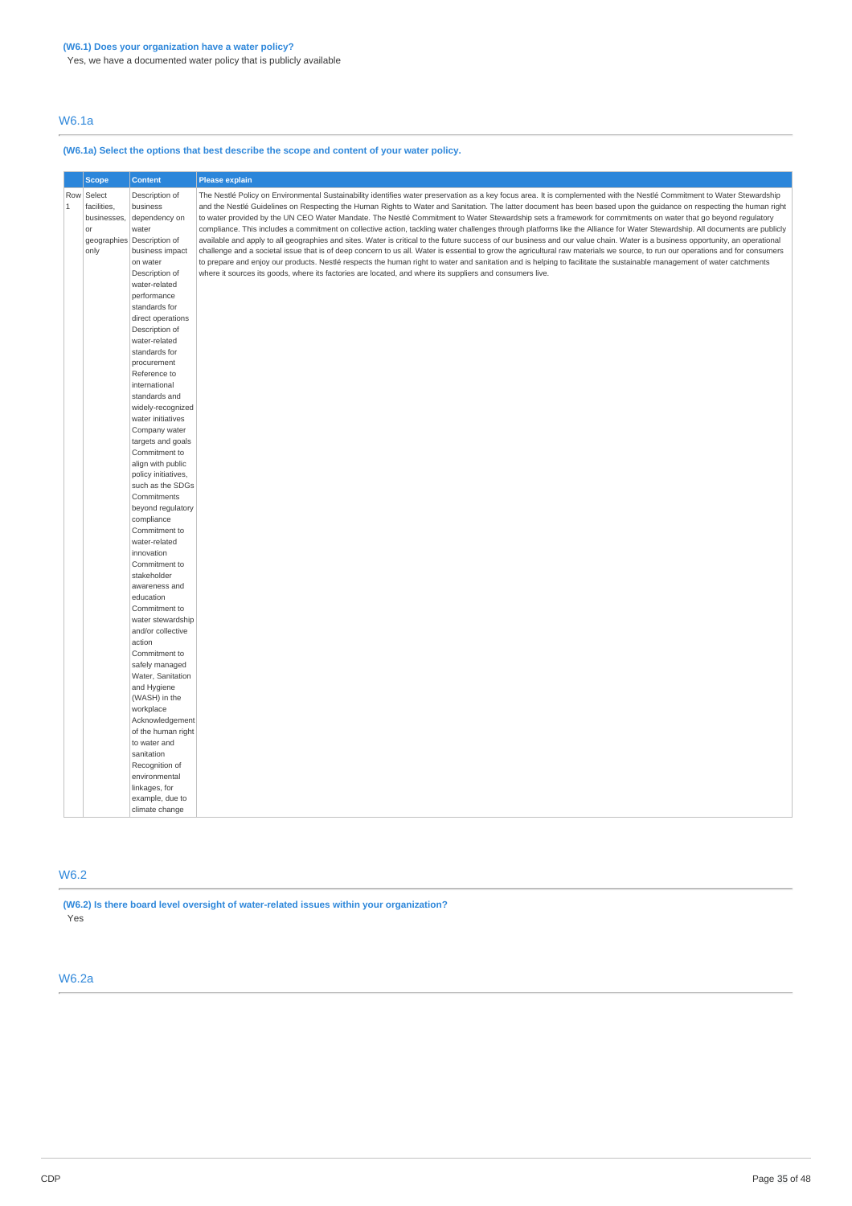Yes, we have a documented water policy that is publicly available

## W6.1a

## **(W6.1a) Select the options that best describe the scope and content of your water policy.**

|              | <b>Scope</b> | <b>Content</b>                  | <b>Please explain</b>                                                                                                                                                          |
|--------------|--------------|---------------------------------|--------------------------------------------------------------------------------------------------------------------------------------------------------------------------------|
|              | Row Select   | Description of                  | The Nestlé Policy on Environmental Sustainability identifies water preservation as a key focus area. It is complemented with the Nestlé Commitment to Water Stewardship        |
| $\mathbf{1}$ | facilities,  | business                        | and the Nestlé Guidelines on Respecting the Human Rights to Water and Sanitation. The latter document has been based upon the quidance on respecting the human right           |
|              | businesses,  | dependency on                   | to water provided by the UN CEO Water Mandate. The Nestlé Commitment to Water Stewardship sets a framework for commitments on water that go beyond regulatory                  |
|              | or           | water                           | compliance. This includes a commitment on collective action, tackling water challenges through platforms like the Alliance for Water Stewardship. All documents are publicly   |
|              |              | geographies Description of      | available and apply to all geographies and sites. Water is critical to the future success of our business and our value chain. Water is a business opportunity, an operational |
|              | only         | business impact                 | challenge and a societal issue that is of deep concern to us all. Water is essential to grow the agricultural raw materials we source, to run our operations and for consumers |
|              |              | on water                        | to prepare and enjoy our products. Nestlé respects the human right to water and sanitation and is helping to facilitate the sustainable management of water catchments         |
|              |              | Description of                  | where it sources its goods, where its factories are located, and where its suppliers and consumers live.                                                                       |
|              |              | water-related                   |                                                                                                                                                                                |
|              |              | performance                     |                                                                                                                                                                                |
|              |              | standards for                   |                                                                                                                                                                                |
|              |              | direct operations               |                                                                                                                                                                                |
|              |              | Description of<br>water-related |                                                                                                                                                                                |
|              |              | standards for                   |                                                                                                                                                                                |
|              |              | procurement                     |                                                                                                                                                                                |
|              |              | Reference to                    |                                                                                                                                                                                |
|              |              | international                   |                                                                                                                                                                                |
|              |              | standards and                   |                                                                                                                                                                                |
|              |              | widely-recognized               |                                                                                                                                                                                |
|              |              | water initiatives               |                                                                                                                                                                                |
|              |              | Company water                   |                                                                                                                                                                                |
|              |              | targets and goals               |                                                                                                                                                                                |
|              |              | Commitment to                   |                                                                                                                                                                                |
|              |              | align with public               |                                                                                                                                                                                |
|              |              | policy initiatives,             |                                                                                                                                                                                |
|              |              | such as the SDGs                |                                                                                                                                                                                |
|              |              | Commitments                     |                                                                                                                                                                                |
|              |              | beyond regulatory               |                                                                                                                                                                                |
|              |              | compliance                      |                                                                                                                                                                                |
|              |              | Commitment to                   |                                                                                                                                                                                |
|              |              | water-related                   |                                                                                                                                                                                |
|              |              | innovation                      |                                                                                                                                                                                |
|              |              | Commitment to                   |                                                                                                                                                                                |
|              |              | stakeholder<br>awareness and    |                                                                                                                                                                                |
|              |              | education                       |                                                                                                                                                                                |
|              |              | Commitment to                   |                                                                                                                                                                                |
|              |              | water stewardship               |                                                                                                                                                                                |
|              |              | and/or collective               |                                                                                                                                                                                |
|              |              | action                          |                                                                                                                                                                                |
|              |              | Commitment to                   |                                                                                                                                                                                |
|              |              | safely managed                  |                                                                                                                                                                                |
|              |              | Water, Sanitation               |                                                                                                                                                                                |
|              |              | and Hygiene                     |                                                                                                                                                                                |
|              |              | (WASH) in the                   |                                                                                                                                                                                |
|              |              | workplace                       |                                                                                                                                                                                |
|              |              | Acknowledgement                 |                                                                                                                                                                                |
|              |              | of the human right              |                                                                                                                                                                                |
|              |              | to water and                    |                                                                                                                                                                                |
|              |              | sanitation                      |                                                                                                                                                                                |
|              |              | Recognition of                  |                                                                                                                                                                                |
|              |              | environmental                   |                                                                                                                                                                                |
|              |              | linkages, for                   |                                                                                                                                                                                |
|              |              | example, due to                 |                                                                                                                                                                                |
|              |              | climate change                  |                                                                                                                                                                                |

## W6.2

**(W6.2) Is there board level oversight of water-related issues within your organization?** Yes

## W6.2a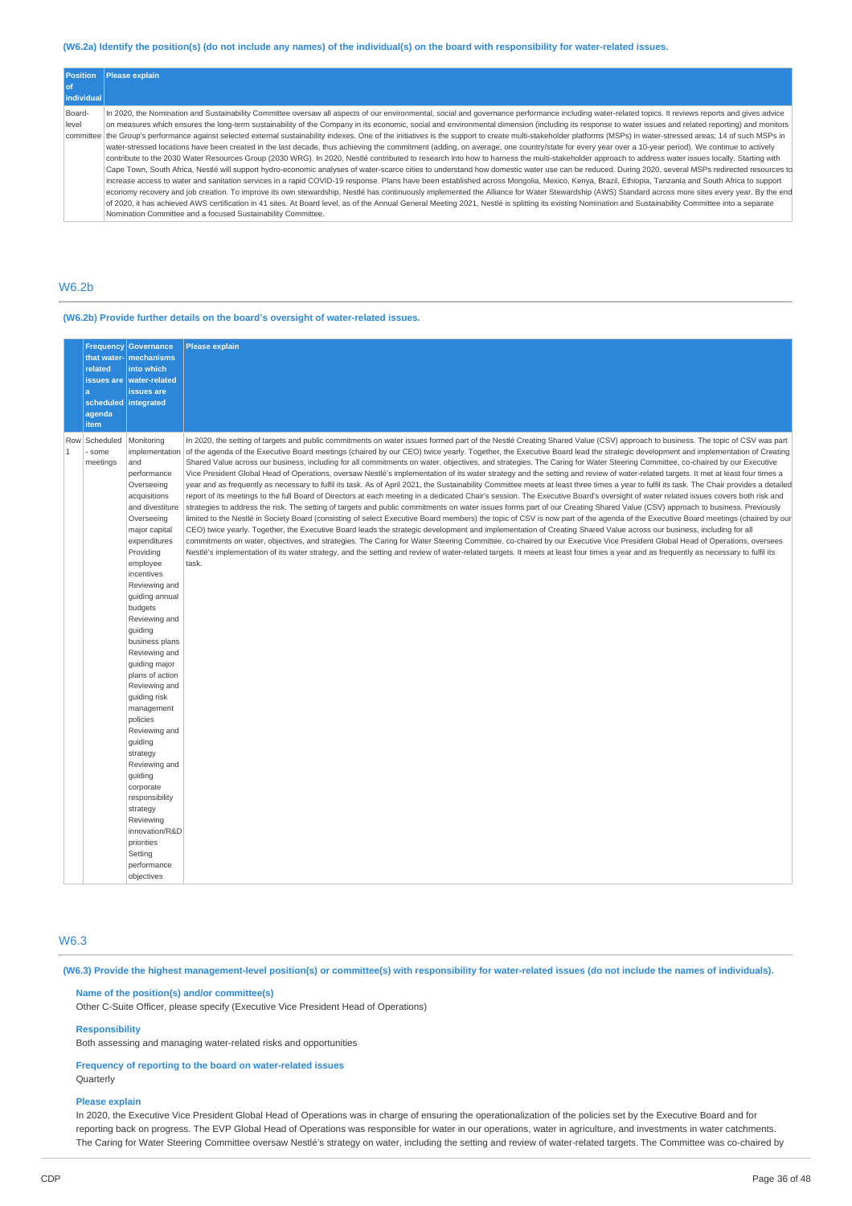## (W6.2a) Identify the position(s) (do not include any names) of the individual(s) on the board with responsibility for water-related issues.

| <b>Position</b><br>l of      | Please explain                                                                                                                                                                                                                                                                                                                                                                                                                                                                                                                                                                                                                                                                                                                                                                                                                                                                                                                                                                                                                                                                                                                                                                                                                                                                                                                                                                                                                                                                                                                                                                                                                                                                                                                                                                                                                                                                                                                   |
|------------------------------|----------------------------------------------------------------------------------------------------------------------------------------------------------------------------------------------------------------------------------------------------------------------------------------------------------------------------------------------------------------------------------------------------------------------------------------------------------------------------------------------------------------------------------------------------------------------------------------------------------------------------------------------------------------------------------------------------------------------------------------------------------------------------------------------------------------------------------------------------------------------------------------------------------------------------------------------------------------------------------------------------------------------------------------------------------------------------------------------------------------------------------------------------------------------------------------------------------------------------------------------------------------------------------------------------------------------------------------------------------------------------------------------------------------------------------------------------------------------------------------------------------------------------------------------------------------------------------------------------------------------------------------------------------------------------------------------------------------------------------------------------------------------------------------------------------------------------------------------------------------------------------------------------------------------------------|
| individual                   |                                                                                                                                                                                                                                                                                                                                                                                                                                                                                                                                                                                                                                                                                                                                                                                                                                                                                                                                                                                                                                                                                                                                                                                                                                                                                                                                                                                                                                                                                                                                                                                                                                                                                                                                                                                                                                                                                                                                  |
| Board-<br>level<br>committee | In 2020, the Nomination and Sustainability Committee oversaw all aspects of our environmental, social and governance performance including water-related topics. It reviews reports and gives advice<br>on measures which ensures the long-term sustainability of the Company in its economic, social and environmental dimension (including its response to water issues and related reporting) and monitors<br>the Group's performance against selected external sustainability indexes. One of the initiatives is the support to create multi-stakeholder platforms (MSPs) in water-stressed areas; 14 of such MSPs in<br>water-stressed locations have been created in the last decade, thus achieving the commitment (adding, on average, one country/state for every year over a 10-year period). We continue to actively<br>contribute to the 2030 Water Resources Group (2030 WRG). In 2020, Nestlé contributed to research into how to harness the multi-stakeholder approach to address water issues locally. Starting with<br>Cape Town, South Africa, Nestlé will support hydro-economic analyses of water-scarce cities to understand how domestic water use can be reduced. During 2020, several MSPs redirected resources to<br>increase access to water and sanitation services in a rapid COVID-19 response. Plans have been established across Mongolia, Mexico, Kenya, Brazil, Ethiopia, Tanzania and South Africa to support<br>economy recovery and job creation. To improve its own stewardship, Nestlé has continuously implemented the Alliance for Water Stewardship (AWS) Standard across more sites every year. By the end<br>of 2020, it has achieved AWS certification in 41 sites. At Board level, as of the Annual General Meeting 2021, Nestlé is splitting its existing Nomination and Sustainability Committee into a separate<br>Nomination Committee and a focused Sustainability Committee. |

## W6.2b

### **(W6.2b) Provide further details on the board's oversight of water-related issues.**

|                     | <b>Frequency</b><br>that water-<br>related<br>issues are<br>a<br>scheduled integrated<br>agenda<br>item | <b>Governance</b><br>mechanisms<br>into which<br>water-related<br>issues are                                                                                                                                                                                                                                                                                                                                                                                                                                                                                                                              | Please explain                                                                                                                                                                                                                                                                                                                                                                                                                                                                                                                                                                                                                                                                                                                                                                                                                                                                                                                                                                                                                                                                                                                                                                                                                                                                                                                                                                                                                                                                                                                                                                                                                                                                                                                                                                                                                                                                                                                                                                                                                               |
|---------------------|---------------------------------------------------------------------------------------------------------|-----------------------------------------------------------------------------------------------------------------------------------------------------------------------------------------------------------------------------------------------------------------------------------------------------------------------------------------------------------------------------------------------------------------------------------------------------------------------------------------------------------------------------------------------------------------------------------------------------------|----------------------------------------------------------------------------------------------------------------------------------------------------------------------------------------------------------------------------------------------------------------------------------------------------------------------------------------------------------------------------------------------------------------------------------------------------------------------------------------------------------------------------------------------------------------------------------------------------------------------------------------------------------------------------------------------------------------------------------------------------------------------------------------------------------------------------------------------------------------------------------------------------------------------------------------------------------------------------------------------------------------------------------------------------------------------------------------------------------------------------------------------------------------------------------------------------------------------------------------------------------------------------------------------------------------------------------------------------------------------------------------------------------------------------------------------------------------------------------------------------------------------------------------------------------------------------------------------------------------------------------------------------------------------------------------------------------------------------------------------------------------------------------------------------------------------------------------------------------------------------------------------------------------------------------------------------------------------------------------------------------------------------------------------|
| Row<br>$\mathbf{1}$ | Scheduled<br>some<br>meetings                                                                           | Monitoring<br>implementation<br>and<br>performance<br>Overseeing<br>acquisitions<br>and divestiture<br>Overseeing<br>major capital<br>expenditures<br>Providing<br>employee<br>incentives<br>Reviewing and<br>quiding annual<br>budgets<br>Reviewing and<br>guiding<br>business plans<br>Reviewing and<br>guiding major<br>plans of action<br>Reviewing and<br>guiding risk<br>management<br>policies<br>Reviewing and<br>quiding<br>strategy<br>Reviewing and<br>quiding<br>corporate<br>responsibility<br>strategy<br>Reviewing<br>innovation/R&D<br>priorities<br>Setting<br>performance<br>objectives | In 2020, the setting of targets and public commitments on water issues formed part of the Nestlé Creating Shared Value (CSV) approach to business. The topic of CSV was part<br>of the agenda of the Executive Board meetings (chaired by our CEO) twice yearly. Together, the Executive Board lead the strategic development and implementation of Creating<br>Shared Value across our business, including for all commitments on water, objectives, and strategies. The Caring for Water Steering Committee, co-chaired by our Executive<br>Vice President Global Head of Operations, oversaw Nestlé's implementation of its water strategy and the setting and review of water-related targets. It met at least four times a<br>year and as frequently as necessary to fulfil its task. As of April 2021, the Sustainability Committee meets at least three times a year to fulfil its task. The Chair provides a detailed<br>report of its meetings to the full Board of Directors at each meeting in a dedicated Chair's session. The Executive Board's oversight of water related issues covers both risk and<br>strategies to address the risk. The setting of targets and public commitments on water issues forms part of our Creating Shared Value (CSV) approach to business. Previously<br>limited to the Nestlé in Society Board (consisting of select Executive Board members) the topic of CSV is now part of the agenda of the Executive Board meetings (chaired by our<br>CEO) twice yearly. Together, the Executive Board leads the strategic development and implementation of Creating Shared Value across our business, including for all<br>commitments on water, objectives, and strategies. The Caring for Water Steering Committee, co-chaired by our Executive Vice President Global Head of Operations, oversees<br>Nestlé's implementation of its water strategy, and the setting and review of water-related targets. It meets at least four times a year and as frequently as necessary to fulfil its<br>task. |

## W6.3

(W6.3) Provide the highest management-level position(s) or committee(s) with responsibility for water-related issues (do not include the names of individuals).

## **Name of the position(s) and/or committee(s)**

Other C-Suite Officer, please specify (Executive Vice President Head of Operations)

## **Responsibility**

Both assessing and managing water-related risks and opportunities

### **Frequency of reporting to the board on water-related issues Ouarterly**

#### **Please explain**

In 2020, the Executive Vice President Global Head of Operations was in charge of ensuring the operationalization of the policies set by the Executive Board and for reporting back on progress. The EVP Global Head of Operations was responsible for water in our operations, water in agriculture, and investments in water catchments. The Caring for Water Steering Committee oversaw Nestlé's strategy on water, including the setting and review of water-related targets. The Committee was co-chaired by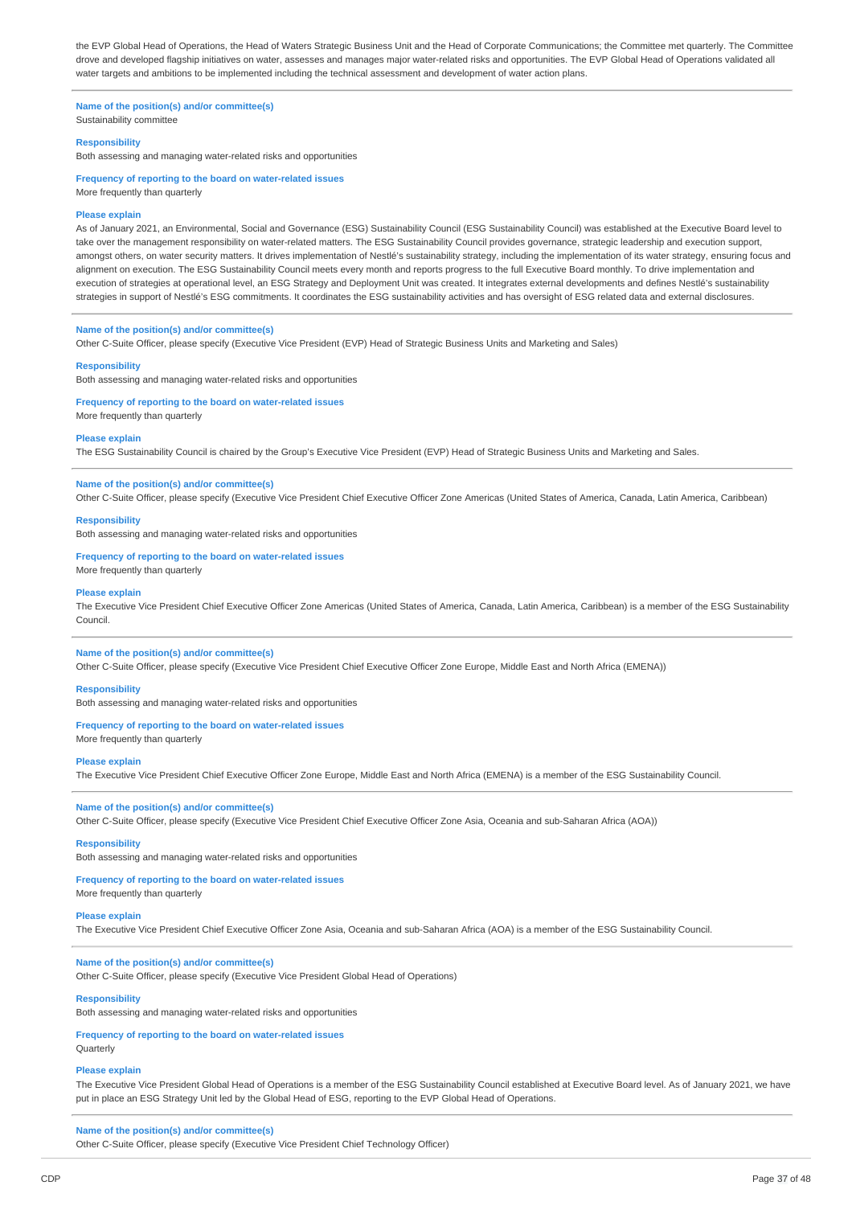the EVP Global Head of Operations, the Head of Waters Strategic Business Unit and the Head of Corporate Communications; the Committee met quarterly. The Committee drove and developed flagship initiatives on water, assesses and manages major water-related risks and opportunities. The EVP Global Head of Operations validated all water targets and ambitions to be implemented including the technical assessment and development of water action plans.

**Name of the position(s) and/or committee(s)** Sustainability committee

#### **Responsibility**

Both assessing and managing water-related risks and opportunities

**Frequency of reporting to the board on water-related issues** More frequently than quarterly

### **Please explain**

As of January 2021, an Environmental, Social and Governance (ESG) Sustainability Council (ESG Sustainability Council) was established at the Executive Board level to take over the management responsibility on water-related matters. The ESG Sustainability Council provides governance, strategic leadership and execution support, amongst others, on water security matters. It drives implementation of Nestlé's sustainability strategy, including the implementation of its water strategy, ensuring focus and alignment on execution. The ESG Sustainability Council meets every month and reports progress to the full Executive Board monthly. To drive implementation and execution of strategies at operational level, an ESG Strategy and Deployment Unit was created. It integrates external developments and defines Nestlé's sustainability strategies in support of Nestlé's ESG commitments. It coordinates the ESG sustainability activities and has oversight of ESG related data and external disclosures.

#### **Name of the position(s) and/or committee(s)**

Other C-Suite Officer, please specify (Executive Vice President (EVP) Head of Strategic Business Units and Marketing and Sales)

### **Responsibility**

Both assessing and managing water-related risks and opportunities

#### **Frequency of reporting to the board on water-related issues**

More frequently than quarterly

#### **Please explain**

The ESG Sustainability Council is chaired by the Group's Executive Vice President (EVP) Head of Strategic Business Units and Marketing and Sales.

#### **Name of the position(s) and/or committee(s)**

Other C-Suite Officer, please specify (Executive Vice President Chief Executive Officer Zone Americas (United States of America, Canada, Latin America, Caribbean)

#### **Responsibility**

Both assessing and managing water-related risks and opportunities

## **Frequency of reporting to the board on water-related issues**

More frequently than quarterly

#### **Please explain**

The Executive Vice President Chief Executive Officer Zone Americas (United States of America, Canada, Latin America, Caribbean) is a member of the ESG Sustainability Council.

### **Name of the position(s) and/or committee(s)**

Other C-Suite Officer, please specify (Executive Vice President Chief Executive Officer Zone Europe, Middle East and North Africa (EMENA))

#### **Responsibility**

Both assessing and managing water-related risks and opportunities

#### **Frequency of reporting to the board on water-related issues**

More frequently than quarterly

### **Please explain**

The Executive Vice President Chief Executive Officer Zone Europe, Middle East and North Africa (EMENA) is a member of the ESG Sustainability Council.

#### **Name of the position(s) and/or committee(s)**

Other C-Suite Officer, please specify (Executive Vice President Chief Executive Officer Zone Asia, Oceania and sub-Saharan Africa (AOA))

## **Responsibility**

Both assessing and managing water-related risks and opportunities

### **Frequency of reporting to the board on water-related issues**

More frequently than quarterly

### **Please explain**

The Executive Vice President Chief Executive Officer Zone Asia, Oceania and sub-Saharan Africa (AOA) is a member of the ESG Sustainability Council.

### **Name of the position(s) and/or committee(s)**

Other C-Suite Officer, please specify (Executive Vice President Global Head of Operations)

### **Responsibility**

Both assessing and managing water-related risks and opportunities

## **Frequency of reporting to the board on water-related issues**

**Ouarterly** 

### **Please explain**

The Executive Vice President Global Head of Operations is a member of the ESG Sustainability Council established at Executive Board level. As of January 2021, we have put in place an ESG Strategy Unit led by the Global Head of ESG, reporting to the EVP Global Head of Operations.

#### **Name of the position(s) and/or committee(s)**

Other C-Suite Officer, please specify (Executive Vice President Chief Technology Officer)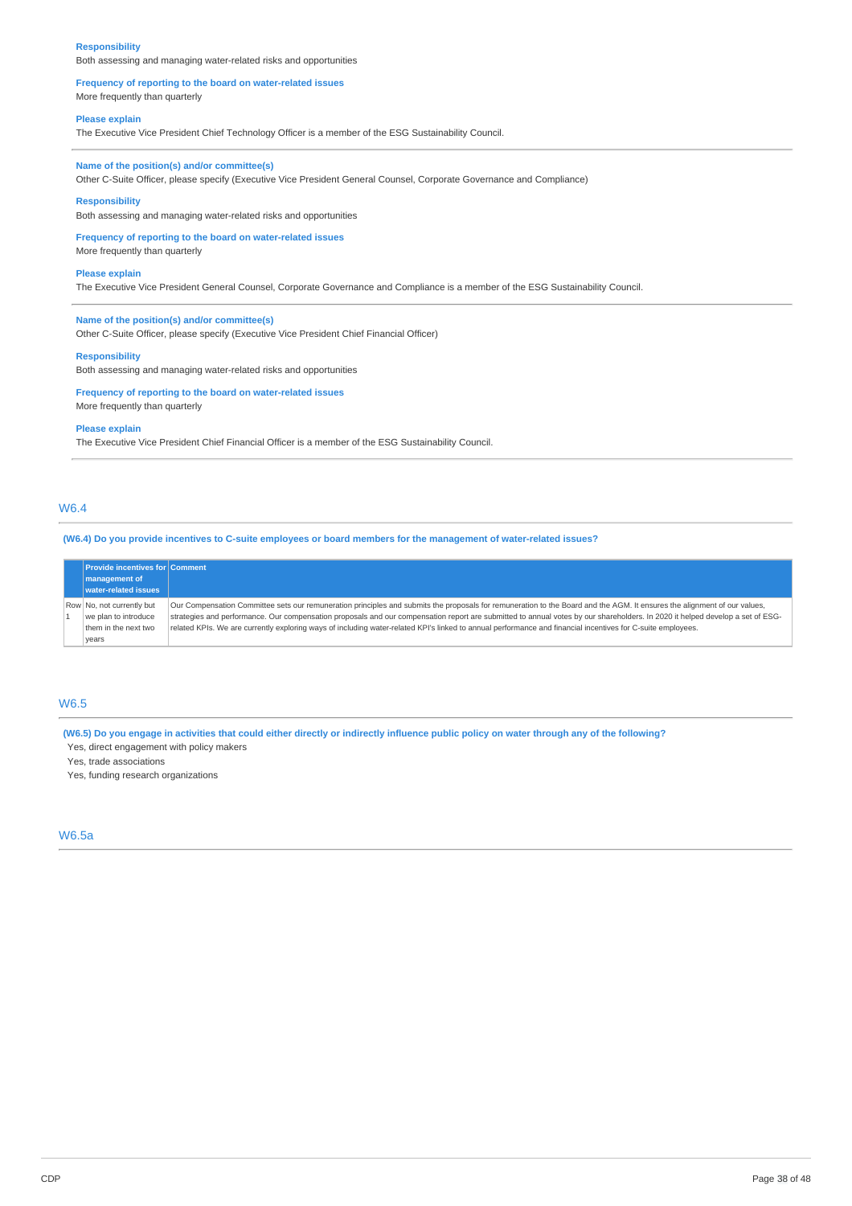#### **Responsibility**

Both assessing and managing water-related risks and opportunities

#### **Frequency of reporting to the board on water-related issues** More frequently than quarterly

#### **Please explain**

The Executive Vice President Chief Technology Officer is a member of the ESG Sustainability Council.

## **Name of the position(s) and/or committee(s)**

Other C-Suite Officer, please specify (Executive Vice President General Counsel, Corporate Governance and Compliance)

### **Responsibility**

Both assessing and managing water-related risks and opportunities

## **Frequency of reporting to the board on water-related issues**

More frequently than quarterly

## **Please explain**

The Executive Vice President General Counsel, Corporate Governance and Compliance is a member of the ESG Sustainability Council.

## **Name of the position(s) and/or committee(s)**

Other C-Suite Officer, please specify (Executive Vice President Chief Financial Officer)

#### **Responsibility**

Both assessing and managing water-related risks and opportunities

#### **Frequency of reporting to the board on water-related issues** More frequently than quarterly

#### **Please explain**

The Executive Vice President Chief Financial Officer is a member of the ESG Sustainability Council.

## W6.4

(W6.4) Do you provide incentives to C-suite employees or board members for the management of water-related issues?

| <b>Provide incentives for Comment</b>                                     |                                                                                                                                                                                                                                                                                                                                                                                                                                                                                                                          |
|---------------------------------------------------------------------------|--------------------------------------------------------------------------------------------------------------------------------------------------------------------------------------------------------------------------------------------------------------------------------------------------------------------------------------------------------------------------------------------------------------------------------------------------------------------------------------------------------------------------|
| management of                                                             |                                                                                                                                                                                                                                                                                                                                                                                                                                                                                                                          |
| water-related issues                                                      |                                                                                                                                                                                                                                                                                                                                                                                                                                                                                                                          |
| Row No, not currently but<br>we plan to introduce<br>them in the next two | Our Compensation Committee sets our remuneration principles and submits the proposals for remuneration to the Board and the AGM. It ensures the alignment of our values,<br>strategies and performance. Our compensation proposals and our compensation report are submitted to annual votes by our shareholders. In 2020 it helped develop a set of ESG-<br>related KPIs. We are currently exploring ways of including water-related KPI's linked to annual performance and financial incentives for C-suite employees. |
| years                                                                     |                                                                                                                                                                                                                                                                                                                                                                                                                                                                                                                          |

### W6.5

(W6.5) Do you engage in activities that could either directly or indirectly influence public policy on water through any of the following? Yes, direct engagement with policy makers

Yes, trade associations

Yes, funding research organizations

## W6.5a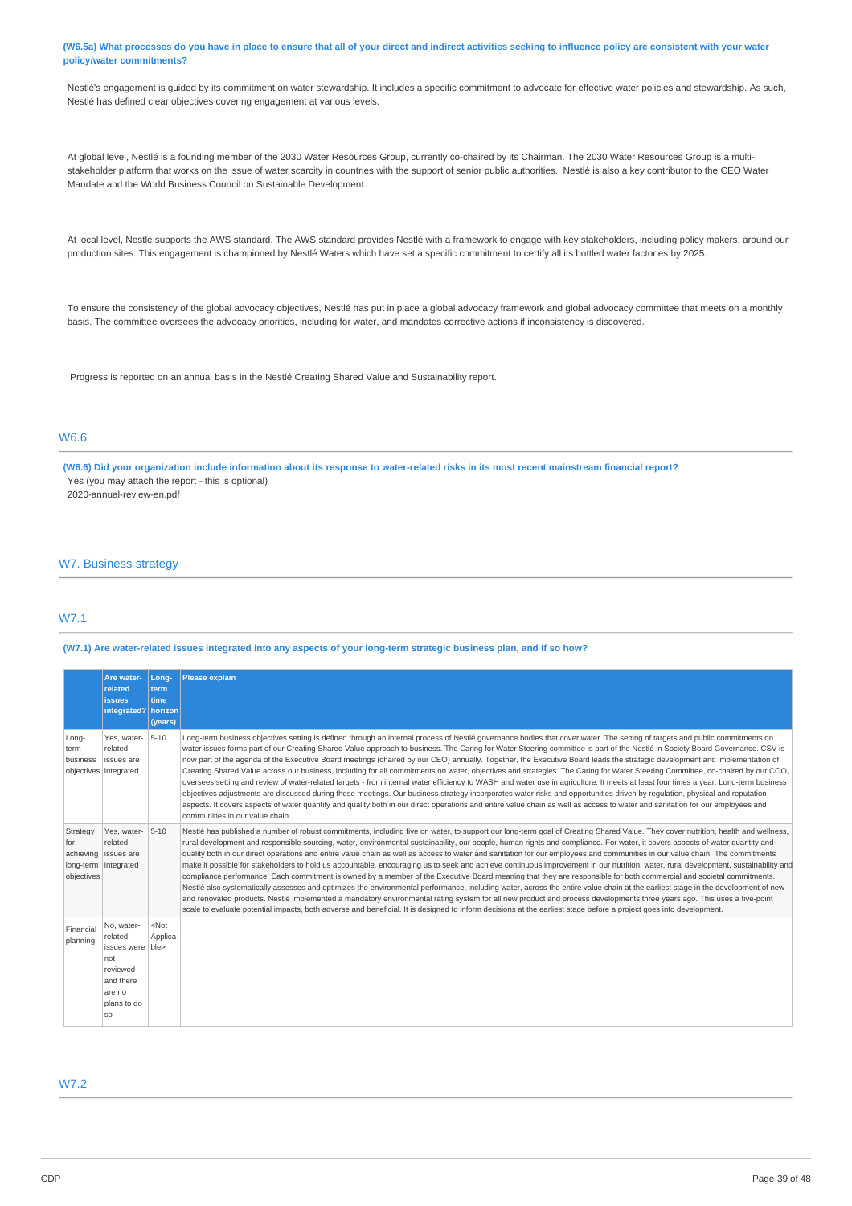### (W6.5a) What processes do you have in place to ensure that all of your direct and indirect activities seeking to influence policy are consistent with your water **policy/water commitments?**

Nestlé's engagement is guided by its commitment on water stewardship. It includes a specific commitment to advocate for effective water policies and stewardship. As such, Nestlé has defined clear objectives covering engagement at various levels.

At global level, Nestlé is a founding member of the 2030 Water Resources Group, currently co-chaired by its Chairman. The 2030 Water Resources Group is a multistakeholder platform that works on the issue of water scarcity in countries with the support of senior public authorities. Nestlé is also a key contributor to the CEO Water Mandate and the World Business Council on Sustainable Development.

At local level, Nestlé supports the AWS standard. The AWS standard provides Nestlé with a framework to engage with key stakeholders, including policy makers, around our production sites. This engagement is championed by Nestlé Waters which have set a specific commitment to certify all its bottled water factories by 2025.

To ensure the consistency of the global advocacy objectives, Nestlé has put in place a global advocacy framework and global advocacy committee that meets on a monthly basis. The committee oversees the advocacy priorities, including for water, and mandates corrective actions if inconsistency is discovered.

Progress is reported on an annual basis in the Nestlé Creating Shared Value and Sustainability report.

## W6.6

(W6.6) Did your organization include information about its response to water-related risks in its most recent mainstream financial report? Yes (you may attach the report - this is optional) 2020-annual-review-en.pdf

### W7. Business strategy

## W7.1

## (W7.1) Are water-related issues integrated into any aspects of your long-term strategic business plan, and if so how?

|                               | Are water-<br>related<br><b>issues</b><br>integrated?                                                     | Long-<br>term<br>time<br>horizon<br>(years) | <b>Please explain</b>                                                                                                                                                                                                                                                                                                                                                                                                                                                                                                                                                                                                                                                                                                                                                                                                                                                                                                                                                                                                                                                                                                                                                                                                                                                                                                                                                                                                                             |
|-------------------------------|-----------------------------------------------------------------------------------------------------------|---------------------------------------------|---------------------------------------------------------------------------------------------------------------------------------------------------------------------------------------------------------------------------------------------------------------------------------------------------------------------------------------------------------------------------------------------------------------------------------------------------------------------------------------------------------------------------------------------------------------------------------------------------------------------------------------------------------------------------------------------------------------------------------------------------------------------------------------------------------------------------------------------------------------------------------------------------------------------------------------------------------------------------------------------------------------------------------------------------------------------------------------------------------------------------------------------------------------------------------------------------------------------------------------------------------------------------------------------------------------------------------------------------------------------------------------------------------------------------------------------------|
| Long-<br>term<br>business     | Yes, water-<br>related<br>issues are<br>objectives   integrated                                           | $5 - 10$                                    | Long-term business objectives setting is defined through an internal process of Nestlé governance bodies that cover water. The setting of targets and public commitments on<br>water issues forms part of our Creating Shared Value approach to business. The Caring for Water Steering committee is part of the Nestlé in Society Board Governance. CSV is<br>now part of the agenda of the Executive Board meetings (chaired by our CEO) annually. Together, the Executive Board leads the strategic development and implementation of<br>Creating Shared Value across our business, including for all commitments on water, objectives and strategies. The Caring for Water Steering Committee, co-chaired by our COO,<br>oversees setting and review of water-related targets - from internal water efficiency to WASH and water use in agriculture. It meets at least four times a year. Long-term business<br>objectives adjustments are discussed during these meetings. Our business strategy incorporates water risks and opportunities driven by regulation, physical and reputation<br>aspects. It covers aspects of water quantity and quality both in our direct operations and entire value chain as well as access to water and sanitation for our employees and<br>communities in our value chain.                                                                                                                                |
| Strategy<br>for<br>objectives | Yes, water-<br>related<br>achieving issues are<br>long-term integrated                                    | $5 - 10$                                    | Nestlé has published a number of robust commitments, including five on water, to support our long-term goal of Creating Shared Value. They cover nutrition, health and wellness,<br>rural development and responsible sourcing, water, environmental sustainability, our people, human rights and compliance. For water, it covers aspects of water quantity and<br>quality both in our direct operations and entire value chain as well as access to water and sanitation for our employees and communities in our value chain. The commitments<br>make it possible for stakeholders to hold us accountable, encouraging us to seek and achieve continuous improvement in our nutrition, water, rural development, sustainability and<br>compliance performance. Each commitment is owned by a member of the Executive Board meaning that they are responsible for both commercial and societal commitments.<br>Nestlé also systematically assesses and optimizes the environmental performance, including water, across the entire value chain at the earliest stage in the development of new<br>and renovated products. Nestlé implemented a mandatory environmental rating system for all new product and process developments three years ago. This uses a five-point<br>scale to evaluate potential impacts, both adverse and beneficial. It is designed to inform decisions at the earliest stage before a project goes into development. |
| Financial<br>planning         | No, water-<br>related<br>issues were ble><br>not<br>reviewed<br>and there<br>are no<br>plans to do<br>SO. | $<$ Not<br>Applica                          |                                                                                                                                                                                                                                                                                                                                                                                                                                                                                                                                                                                                                                                                                                                                                                                                                                                                                                                                                                                                                                                                                                                                                                                                                                                                                                                                                                                                                                                   |

## W7.2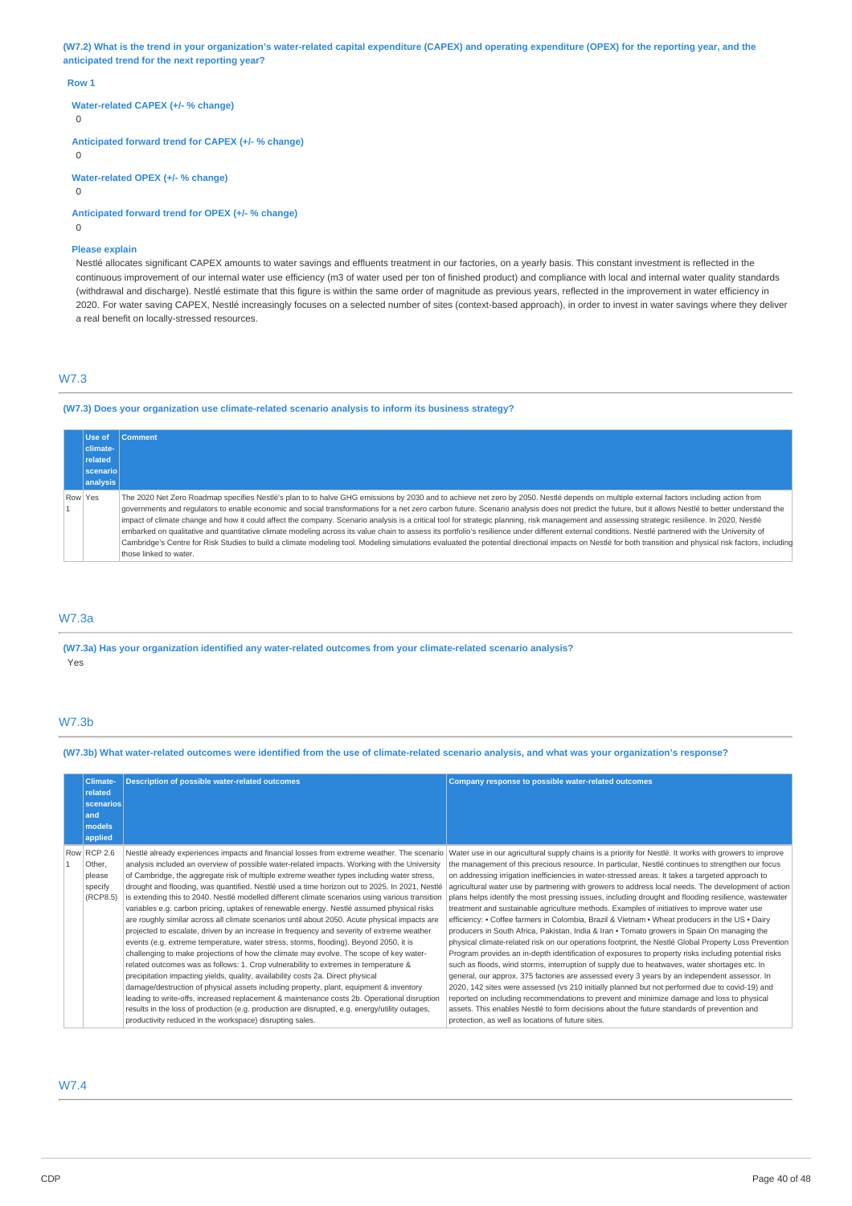(W7.2) What is the trend in your organization's water-related capital expenditure (CAPEX) and operating expenditure (OPEX) for the reporting year, and the **anticipated trend for the next reporting year?**

#### **Row 1**

**Water-related CAPEX (+/- % change)**

 $\Omega$ 

**Anticipated forward trend for CAPEX (+/- % change)**

 $\Omega$ 

**Water-related OPEX (+/- % change)**

 $\cap$ 

**Anticipated forward trend for OPEX (+/- % change)**

 $\Omega$ 

### **Please explain**

Nestlé allocates significant CAPEX amounts to water savings and effluents treatment in our factories, on a yearly basis. This constant investment is reflected in the continuous improvement of our internal water use efficiency (m3 of water used per ton of finished product) and compliance with local and internal water quality standards (withdrawal and discharge). Nestlé estimate that this figure is within the same order of magnitude as previous years, reflected in the improvement in water efficiency in 2020. For water saving CAPEX, Nestlé increasingly focuses on a selected number of sites (context-based approach), in order to invest in water savings where they deliver a real benefit on locally-stressed resources.

## W7.3

**(W7.3) Does your organization use climate-related scenario analysis to inform its business strategy?**

|         | Use of          | <b>Comment</b>                                                                                                                                                                                                                                                                                                                                                                                                                                                                                                                                                                                                                                                                                                                                                                                                                                                                                                                                                                                                                               |
|---------|-----------------|----------------------------------------------------------------------------------------------------------------------------------------------------------------------------------------------------------------------------------------------------------------------------------------------------------------------------------------------------------------------------------------------------------------------------------------------------------------------------------------------------------------------------------------------------------------------------------------------------------------------------------------------------------------------------------------------------------------------------------------------------------------------------------------------------------------------------------------------------------------------------------------------------------------------------------------------------------------------------------------------------------------------------------------------|
|         | climate-        |                                                                                                                                                                                                                                                                                                                                                                                                                                                                                                                                                                                                                                                                                                                                                                                                                                                                                                                                                                                                                                              |
|         | related         |                                                                                                                                                                                                                                                                                                                                                                                                                                                                                                                                                                                                                                                                                                                                                                                                                                                                                                                                                                                                                                              |
|         | <b>scenario</b> |                                                                                                                                                                                                                                                                                                                                                                                                                                                                                                                                                                                                                                                                                                                                                                                                                                                                                                                                                                                                                                              |
|         | analysis        |                                                                                                                                                                                                                                                                                                                                                                                                                                                                                                                                                                                                                                                                                                                                                                                                                                                                                                                                                                                                                                              |
| Row Yes |                 | The 2020 Net Zero Roadmap specifies Nestlé's plan to to halve GHG emissions by 2030 and to achieve net zero by 2050. Nestlé depends on multiple external factors including action from<br>governments and regulators to enable economic and social transformations for a net zero carbon future. Scenario analysis does not predict the future, but it allows Nestlé to better understand the<br>impact of climate change and how it could affect the company. Scenario analysis is a critical tool for strategic planning, risk management and assessing strategic resilience. In 2020, Nestlé<br>embarked on qualitative and quantitative climate modeling across its value chain to assess its portfolio's resilience under different external conditions. Nestlé partnered with the University of<br>Cambridge's Centre for Risk Studies to build a climate modeling tool. Modeling simulations evaluated the potential directional impacts on Nestlé for both transition and physical risk factors, including<br>those linked to water. |

## W7.3a

**(W7.3a) Has your organization identified any water-related outcomes from your climate-related scenario analysis?** Yes

## W7.3b

(W7.3b) What water-related outcomes were identified from the use of climate-related scenario analysis, and what was your organization's response?

| Climate-<br>related<br>scenarios<br>land<br>models<br>applied | <b>Description of possible water-related outcomes</b>                                                                                                                                                                                                                                                                                                                                                                                                                                                                                                                                                                                                                                                                                                                                                                                                                                                                                                                                                                                                                                                                                                                                                                                                                                                                                                                                                                                                                                                       | Company response to possible water-related outcomes                                                                                                                                                                                                                                                                                                                                                                                                                                                                                                                                                                                                                                                                                                                                                                                                                                                                                                                                                                                                                                                                                                                                                                                                                                                                                                                                                                                                                                                                                                                                                |  |  |  |
|---------------------------------------------------------------|-------------------------------------------------------------------------------------------------------------------------------------------------------------------------------------------------------------------------------------------------------------------------------------------------------------------------------------------------------------------------------------------------------------------------------------------------------------------------------------------------------------------------------------------------------------------------------------------------------------------------------------------------------------------------------------------------------------------------------------------------------------------------------------------------------------------------------------------------------------------------------------------------------------------------------------------------------------------------------------------------------------------------------------------------------------------------------------------------------------------------------------------------------------------------------------------------------------------------------------------------------------------------------------------------------------------------------------------------------------------------------------------------------------------------------------------------------------------------------------------------------------|----------------------------------------------------------------------------------------------------------------------------------------------------------------------------------------------------------------------------------------------------------------------------------------------------------------------------------------------------------------------------------------------------------------------------------------------------------------------------------------------------------------------------------------------------------------------------------------------------------------------------------------------------------------------------------------------------------------------------------------------------------------------------------------------------------------------------------------------------------------------------------------------------------------------------------------------------------------------------------------------------------------------------------------------------------------------------------------------------------------------------------------------------------------------------------------------------------------------------------------------------------------------------------------------------------------------------------------------------------------------------------------------------------------------------------------------------------------------------------------------------------------------------------------------------------------------------------------------------|--|--|--|
| Row RCP 2.6<br>Other.<br>please<br>specify<br>(RCP8.5)        | Nestlé already experiences impacts and financial losses from extreme weather. The scenario<br>analysis included an overview of possible water-related impacts. Working with the University<br>of Cambridge, the aggregate risk of multiple extreme weather types including water stress,<br>drought and flooding, was quantified. Nestlé used a time horizon out to 2025. In 2021, Nestlé<br>is extending this to 2040. Nestlé modelled different climate scenarios using various transition<br>variables e.g. carbon pricing, uptakes of renewable energy. Nestlé assumed physical risks<br>are roughly similar across all climate scenarios until about 2050. Acute physical impacts are<br>projected to escalate, driven by an increase in frequency and severity of extreme weather<br>events (e.g. extreme temperature, water stress, storms, flooding). Beyond 2050, it is<br>challenging to make projections of how the climate may evolve. The scope of key water-<br>related outcomes was as follows: 1. Crop vulnerability to extremes in temperature &<br>precipitation impacting yields, quality, availability costs 2a. Direct physical<br>damage/destruction of physical assets including property, plant, equipment & inventory<br>leading to write-offs, increased replacement & maintenance costs 2b. Operational disruption<br>results in the loss of production (e.g. production are disrupted, e.g. energy/utility outages,<br>productivity reduced in the workspace) disrupting sales. | Water use in our agricultural supply chains is a priority for Nestlé. It works with growers to improve<br>the management of this precious resource. In particular, Nestlé continues to strengthen our focus<br>on addressing irrigation inefficiencies in water-stressed areas. It takes a targeted approach to<br>agricultural water use by partnering with growers to address local needs. The development of action<br>plans helps identify the most pressing issues, including drought and flooding resilience, wastewater<br>treatment and sustainable agriculture methods. Examples of initiatives to improve water use<br>efficiency: • Coffee farmers in Colombia, Brazil & Vietnam • Wheat producers in the US • Dairy<br>producers in South Africa, Pakistan, India & Iran . Tomato growers in Spain On managing the<br>physical climate-related risk on our operations footprint, the Nestlé Global Property Loss Prevention<br>Program provides an in-depth identification of exposures to property risks including potential risks<br>such as floods, wind storms, interruption of supply due to heatwaves, water shortages etc. In<br>general, our approx. 375 factories are assessed every 3 years by an independent assessor. In<br>2020, 142 sites were assessed (vs 210 initially planned but not performed due to covid-19) and<br>reported on including recommendations to prevent and minimize damage and loss to physical<br>assets. This enables Nestlé to form decisions about the future standards of prevention and<br>protection, as well as locations of future sites. |  |  |  |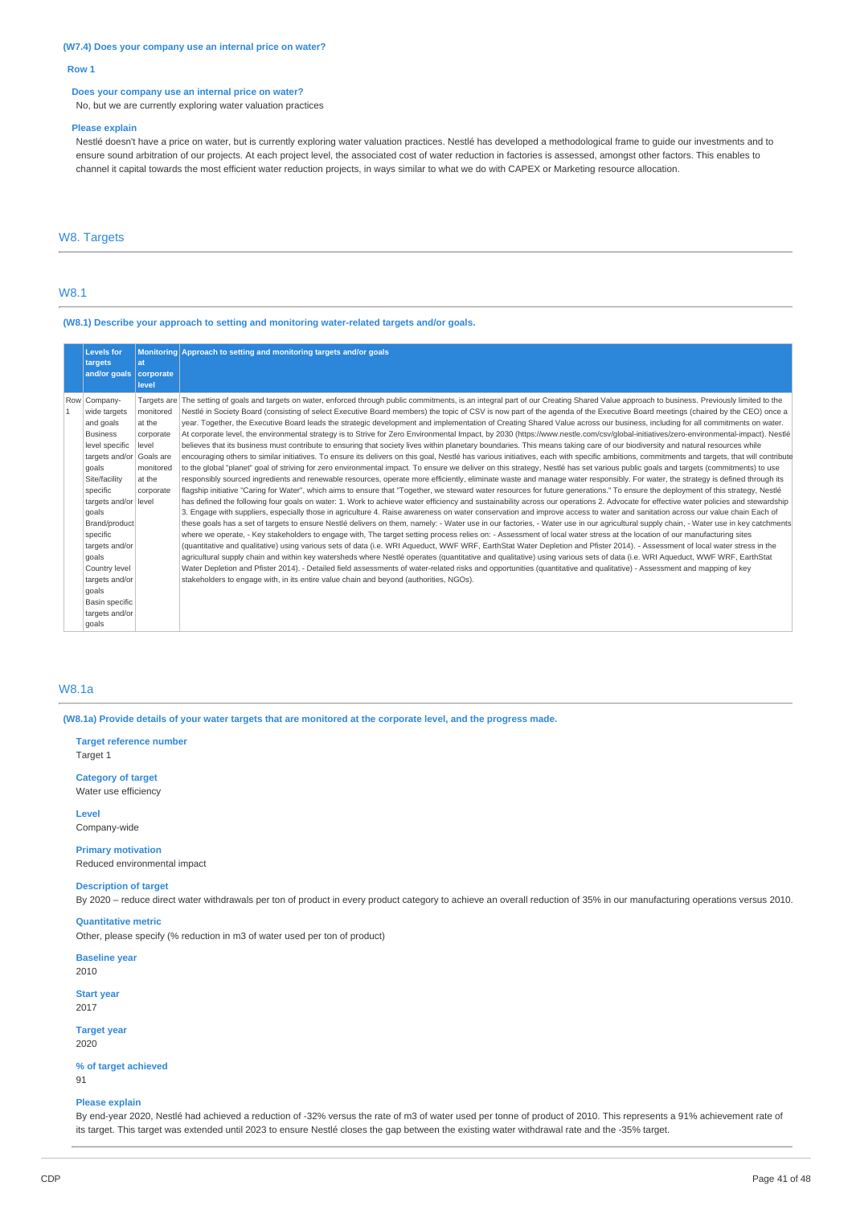#### **(W7.4) Does your company use an internal price on water?**

#### **Row 1**

#### **Does your company use an internal price on water?**

No, but we are currently exploring water valuation practices

#### **Please explain**

Nestlé doesn't have a price on water, but is currently exploring water valuation practices. Nestlé has developed a methodological frame to guide our investments and to ensure sound arbitration of our projects. At each project level, the associated cost of water reduction in factories is assessed, amongst other factors. This enables to channel it capital towards the most efficient water reduction projects, in ways similar to what we do with CAPEX or Marketing resource allocation.

## W8. Targets

## W8.1

**(W8.1) Describe your approach to setting and monitoring water-related targets and/or goals.**

|              | <b>Levels for</b>        |             | Monitoring Approach to setting and monitoring targets and/or goals                                                                                                                          |
|--------------|--------------------------|-------------|---------------------------------------------------------------------------------------------------------------------------------------------------------------------------------------------|
|              | targets                  | lat         |                                                                                                                                                                                             |
|              | and/or goals   corporate |             |                                                                                                                                                                                             |
|              |                          | level       |                                                                                                                                                                                             |
|              | Row   Company-           | Targets are | The setting of goals and targets on water, enforced through public commitments, is an integral part of our Creating Shared Value approach to business. Previously limited to the            |
| $\mathbf{1}$ | wide targets             | monitored   | Nestlé in Society Board (consisting of select Executive Board members) the topic of CSV is now part of the agenda of the Executive Board meetings (chaired by the CEO) once a               |
|              | and goals                | at the      | year. Together, the Executive Board leads the strategic development and implementation of Creating Shared Value across our business, including for all commitments on water.                |
|              | <b>Business</b>          | corporate   | At corporate level, the environmental strategy is to Strive for Zero Environmental Impact, by 2030 (https://www.nestle.com/csv/global-initiatives/zero-environmental-impact). Nestlé        |
|              | level specific           | level       | believes that its business must contribute to ensuring that society lives within planetary boundaries. This means taking care of our biodiversity and natural resources while               |
|              | targets and/or           | Goals are   | encouraging others to similar initiatives. To ensure its delivers on this goal, Nestlé has various initiatives, each with specific ambitions, commitments and targets, that will contribute |
|              | goals                    | monitored   | to the global "planet" goal of striving for zero environmental impact. To ensure we deliver on this strategy, Nestlé has set various public goals and targets (commitments) to use          |
|              | Site/facility            | at the      | responsibly sourced ingredients and renewable resources, operate more efficiently, eliminate waste and manage water responsibly. For water, the strategy is defined through its             |
|              | specific                 | corporate   | flagship initiative "Caring for Water", which aims to ensure that "Together, we steward water resources for future generations." To ensure the deployment of this strategy, Nestlé          |
|              | targets and/or           | level       | has defined the following four goals on water: 1. Work to achieve water efficiency and sustainability across our operations 2. Advocate for effective water policies and stewardship        |
|              | goals                    |             | 3. Engage with suppliers, especially those in agriculture 4. Raise awareness on water conservation and improve access to water and sanitation across our value chain Each of                |
|              | Brand/product            |             | these goals has a set of targets to ensure Nestlé delivers on them, namely: - Water use in our factories, - Water use in our agricultural supply chain, - Water use in key catchments       |
|              | specific                 |             | where we operate, - Key stakeholders to engage with, The target setting process relies on: - Assessment of local water stress at the location of our manufacturing sites                    |
|              | targets and/or           |             | (quantitative and qualitative) using various sets of data (i.e. WRI Aqueduct, WWF WRF, EarthStat Water Depletion and Pfister 2014). - Assessment of local water stress in the               |
|              | goals                    |             | agricultural supply chain and within key watersheds where Nestlé operates (quantitative and qualitative) using various sets of data (i.e. WRI Aqueduct, WWF WRF, EarthStat                  |
|              | Country level            |             | Water Depletion and Pfister 2014). - Detailed field assessments of water-related risks and opportunities (quantitative and qualitative) - Assessment and mapping of key                     |
|              | targets and/or           |             | stakeholders to engage with, in its entire value chain and beyond (authorities, NGOs).                                                                                                      |
|              | goals                    |             |                                                                                                                                                                                             |
|              | Basin specific           |             |                                                                                                                                                                                             |
|              | targets and/or           |             |                                                                                                                                                                                             |
|              | goals                    |             |                                                                                                                                                                                             |
|              |                          |             |                                                                                                                                                                                             |

## W8.1a

(W8.1a) Provide details of your water targets that are monitored at the corporate level, and the progress made.

**Target reference number** Target 1

**Category of target** Water use efficiency

**Level**

Company-wide

**Primary motivation** Reduced environmental impact

#### **Description of target**

By 2020 – reduce direct water withdrawals per ton of product in every product category to achieve an overall reduction of 35% in our manufacturing operations versus 2010.

## **Quantitative metric**

Other, please specify (% reduction in m3 of water used per ton of product)

**Baseline year** 2010

**Start year**

2017

**Target year** 2020

**% of target achieved** 91

#### **Please explain**

By end-year 2020, Nestlé had achieved a reduction of -32% versus the rate of m3 of water used per tonne of product of 2010. This represents a 91% achievement rate of its target. This target was extended until 2023 to ensure Nestlé closes the gap between the existing water withdrawal rate and the -35% target.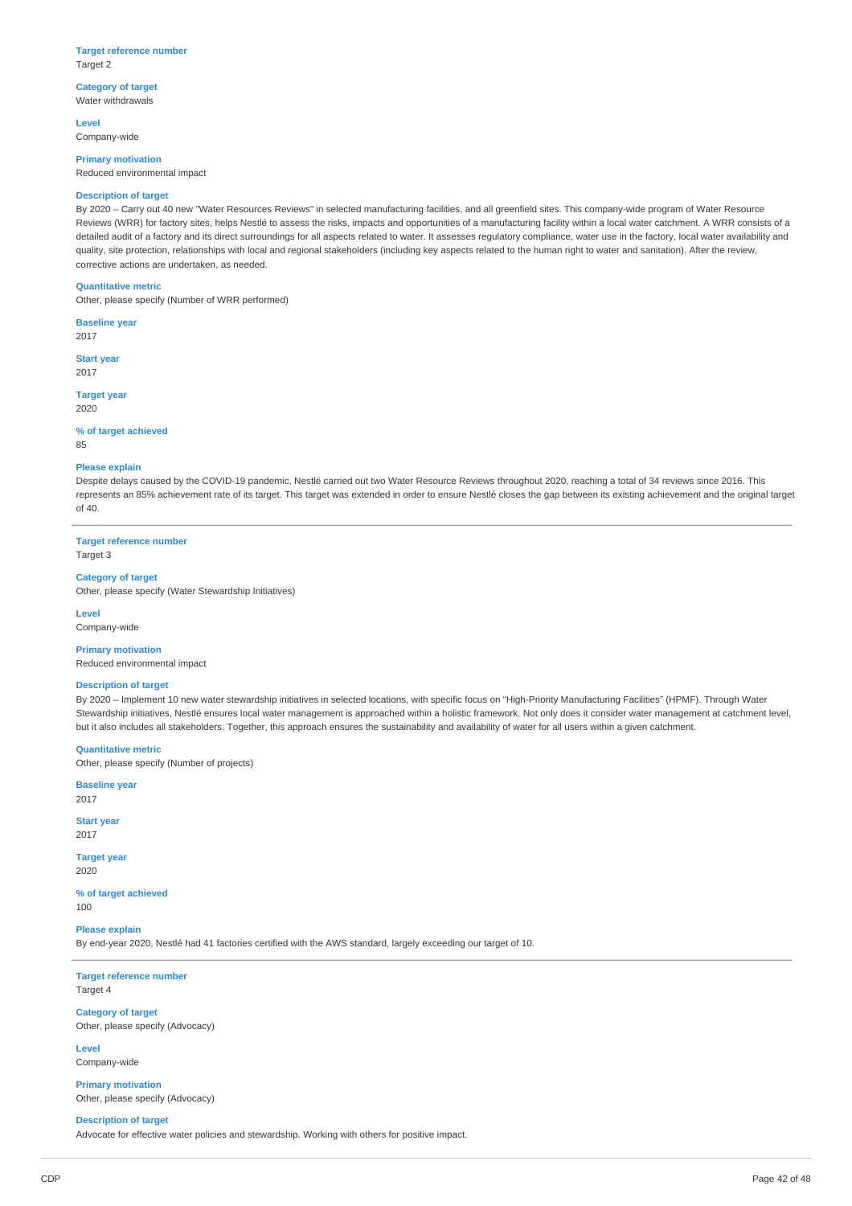#### **Target reference number** Target 2

**Category of target**

Water withdrawals

**Level** Company-wide

**Primary motivation** Reduced environmental impact

### **Description of target**

By 2020 – Carry out 40 new "Water Resources Reviews" in selected manufacturing facilities, and all greenfield sites. This company-wide program of Water Resource Reviews (WRR) for factory sites, helps Nestlé to assess the risks, impacts and opportunities of a manufacturing facility within a local water catchment. A WRR consists of a detailed audit of a factory and its direct surroundings for all aspects related to water. It assesses regulatory compliance, water use in the factory, local water availability and quality, site protection, relationships with local and regional stakeholders (including key aspects related to the human right to water and sanitation). After the review, corrective actions are undertaken, as needed.

### **Quantitative metric**

Other, please specify (Number of WRR performed)

**Baseline year** 2017

**Start year** 2017

**Target year** 2020

#### **% of target achieved** 85

#### **Please explain**

Despite delays caused by the COVID-19 pandemic, Nestlé carried out two Water Resource Reviews throughout 2020, reaching a total of 34 reviews since 2016. This represents an 85% achievement rate of its target. This target was extended in order to ensure Nestlé closes the gap between its existing achievement and the original target of 40.

**Target reference number** Target 3

### **Category of target**

Other, please specify (Water Stewardship Initiatives)

**Level**

Company-wide

**Primary motivation** Reduced environmental impact

### **Description of target**

By 2020 – Implement 10 new water stewardship initiatives in selected locations, with specific focus on "High-Priority Manufacturing Facilities" (HPMF). Through Water Stewardship initiatives, Nestlé ensures local water management is approached within a holistic framework. Not only does it consider water management at catchment level, but it also includes all stakeholders. Together, this approach ensures the sustainability and availability of water for all users within a given catchment.

#### **Quantitative metric**

Other, please specify (Number of projects)

**Baseline year** 2017

**Start year** 2017

**Target year** 2020

**% of target achieved** 100

**Please explain** By end-year 2020, Nestlé had 41 factories certified with the AWS standard, largely exceeding our target of 10.

**Target reference number** Target 4

**Category of target** Other, please specify (Advocacy)

**Level** Company-wide

**Primary motivation** Other, please specify (Advocacy)

**Description of target**

Advocate for effective water policies and stewardship. Working with others for positive impact.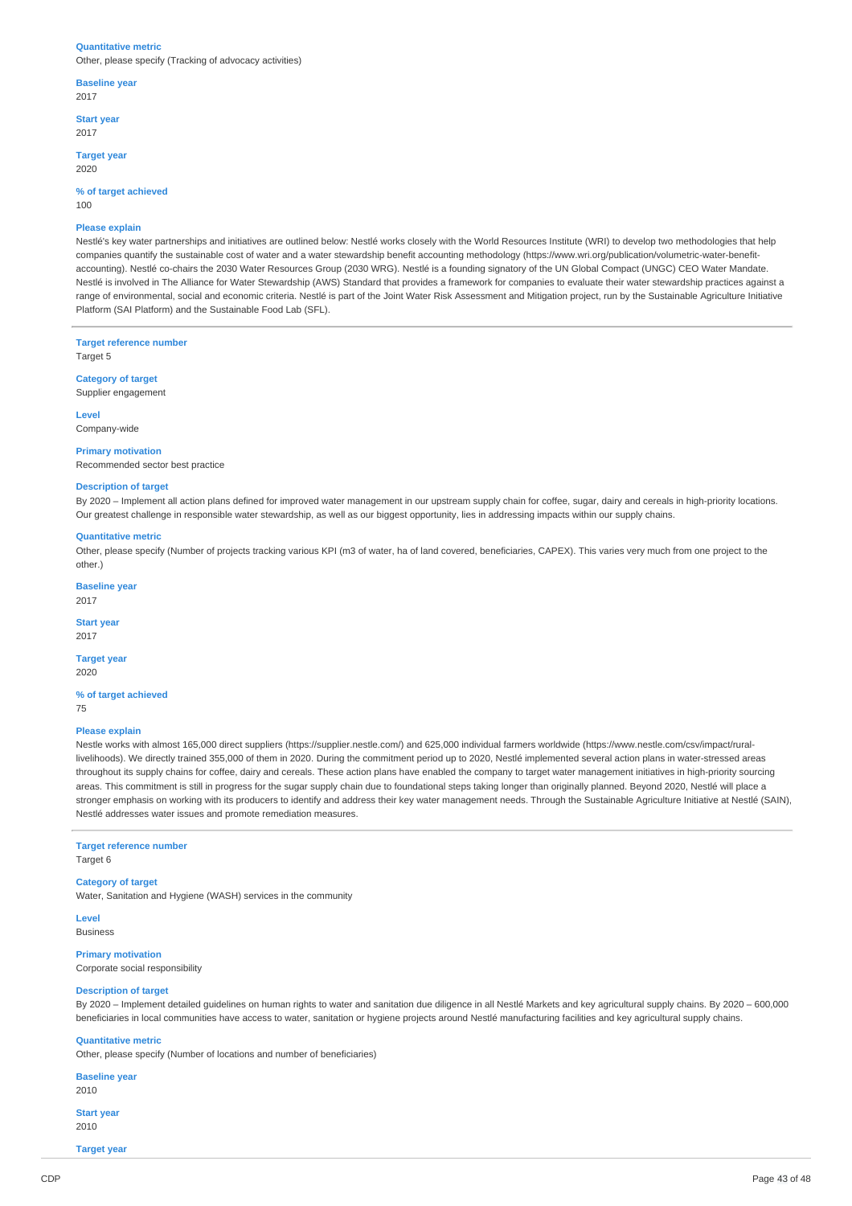#### **Quantitative metric**

Other, please specify (Tracking of advocacy activities)

**Baseline year** 2017

**Start year**

2017

**Target year** 2020

**% of target achieved**

100

#### **Please explain**

Nestlé's key water partnerships and initiatives are outlined below: Nestlé works closely with the World Resources Institute (WRI) to develop two methodologies that help companies quantify the sustainable cost of water and a water stewardship benefit accounting methodology (https://www.wri.org/publication/volumetric-water-benefitaccounting). Nestlé co-chairs the 2030 Water Resources Group (2030 WRG). Nestlé is a founding signatory of the UN Global Compact (UNGC) CEO Water Mandate. Nestlé is involved in The Alliance for Water Stewardship (AWS) Standard that provides a framework for companies to evaluate their water stewardship practices against a range of environmental, social and economic criteria. Nestlé is part of the Joint Water Risk Assessment and Mitigation project, run by the Sustainable Agriculture Initiative Platform (SAI Platform) and the Sustainable Food Lab (SFL).

**Target reference number** Target 5

**Category of target** Supplier engagement

**Level**

Company-wide

#### **Primary motivation**

Recommended sector best practice

## **Description of target**

By 2020 – Implement all action plans defined for improved water management in our upstream supply chain for coffee, sugar, dairy and cereals in high-priority locations. Our greatest challenge in responsible water stewardship, as well as our biggest opportunity, lies in addressing impacts within our supply chains.

#### **Quantitative metric**

Other, please specify (Number of projects tracking various KPI (m3 of water, ha of land covered, beneficiaries, CAPEX). This varies very much from one project to the other.)

**Baseline year** 2017

#### **Start year**

2017

#### **Target year** 2020

**% of target achieved**

75

#### **Please explain**

Nestle works with almost 165,000 direct suppliers (https://supplier.nestle.com/) and 625,000 individual farmers worldwide (https://www.nestle.com/csv/impact/rurallivelihoods). We directly trained 355,000 of them in 2020. During the commitment period up to 2020, Nestlé implemented several action plans in water-stressed areas throughout its supply chains for coffee, dairy and cereals. These action plans have enabled the company to target water management initiatives in high-priority sourcing areas. This commitment is still in progress for the sugar supply chain due to foundational steps taking longer than originally planned. Beyond 2020, Nestlé will place a stronger emphasis on working with its producers to identify and address their key water management needs. Through the Sustainable Agriculture Initiative at Nestlé (SAIN), Nestlé addresses water issues and promote remediation measures.

## **Target reference number**

Target 6

#### **Category of target**

Water, Sanitation and Hygiene (WASH) services in the community

**Level** Business

**Primary motivation**

Corporate social responsibility

#### **Description of target**

By 2020 – Implement detailed guidelines on human rights to water and sanitation due diligence in all Nestlé Markets and key agricultural supply chains. By 2020 – 600,000 beneficiaries in local communities have access to water, sanitation or hygiene projects around Nestlé manufacturing facilities and key agricultural supply chains.

#### **Quantitative metric**

Other, please specify (Number of locations and number of beneficiaries)

**Baseline year** 2010

**Start year** 2010

**Target year**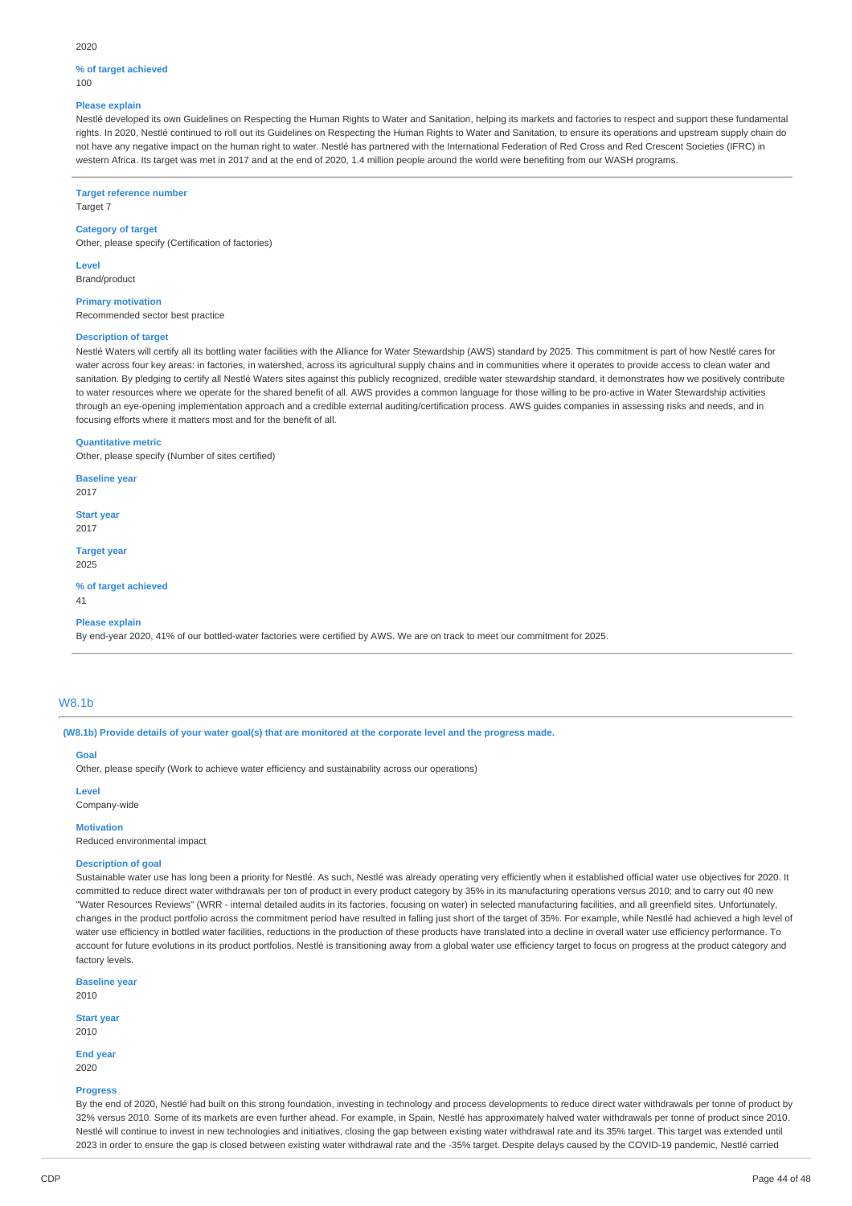#### 2020

## **% of target achieved**

 $100$ 

## **Please explain**

Nestlé developed its own Guidelines on Respecting the Human Rights to Water and Sanitation, helping its markets and factories to respect and support these fundamental rights. In 2020, Nestlé continued to roll out its Guidelines on Respecting the Human Rights to Water and Sanitation, to ensure its operations and upstream supply chain do not have any negative impact on the human right to water. Nestlé has partnered with the International Federation of Red Cross and Red Crescent Societies (IFRC) in western Africa. Its target was met in 2017 and at the end of 2020, 1.4 million people around the world were benefiting from our WASH programs.

**Target reference number**

Target 7

## **Category of target**

Other, please specify (Certification of factories)

**Level** Brand/product

**Primary motivation**

Recommended sector best practice

### **Description of target**

Nestlé Waters will certify all its bottling water facilities with the Alliance for Water Stewardship (AWS) standard by 2025. This commitment is part of how Nestlé cares for water across four key areas: in factories, in watershed, across its agricultural supply chains and in communities where it operates to provide access to clean water and sanitation. By pledging to certify all Nestlé Waters sites against this publicly recognized, credible water stewardship standard, it demonstrates how we positively contribute to water resources where we operate for the shared benefit of all. AWS provides a common language for those willing to be pro-active in Water Stewardship activities through an eye-opening implementation approach and a credible external auditing/certification process. AWS guides companies in assessing risks and needs, and in focusing efforts where it matters most and for the benefit of all.

#### **Quantitative metric**

Other, please specify (Number of sites certified)

**Baseline year** 2017

**Start year** 2017

**Target year** 2025

**% of target achieved**

## **Please explain**

By end-year 2020, 41% of our bottled-water factories were certified by AWS. We are on track to meet our commitment for 2025.

### W8.1b

41

(W8.1b) Provide details of your water goal(s) that are monitored at the corporate level and the progress made.

## **Goal**

Other, please specify (Work to achieve water efficiency and sustainability across our operations)

## **Level**

Company-wide

#### **Motivation**

Reduced environmental impact

#### **Description of goal**

Sustainable water use has long been a priority for Nestlé. As such, Nestlé was already operating very efficiently when it established official water use objectives for 2020. It committed to reduce direct water withdrawals per ton of product in every product category by 35% in its manufacturing operations versus 2010; and to carry out 40 new "Water Resources Reviews" (WRR - internal detailed audits in its factories, focusing on water) in selected manufacturing facilities, and all greenfield sites. Unfortunately, changes in the product portfolio across the commitment period have resulted in falling just short of the target of 35%. For example, while Nestlé had achieved a high level of water use efficiency in bottled water facilities, reductions in the production of these products have translated into a decline in overall water use efficiency performance. To account for future evolutions in its product portfolios, Nestlé is transitioning away from a global water use efficiency target to focus on progress at the product category and factory levels.

**Baseline year**

2010

**Start year**

2010

**End year** 2020

#### **Progress**

By the end of 2020, Nestlé had built on this strong foundation, investing in technology and process developments to reduce direct water withdrawals per tonne of product by 32% versus 2010. Some of its markets are even further ahead. For example, in Spain, Nestlé has approximately halved water withdrawals per tonne of product since 2010. Nestlé will continue to invest in new technologies and initiatives, closing the gap between existing water withdrawal rate and its 35% target. This target was extended until 2023 in order to ensure the gap is closed between existing water withdrawal rate and the -35% target. Despite delays caused by the COVID-19 pandemic, Nestlé carried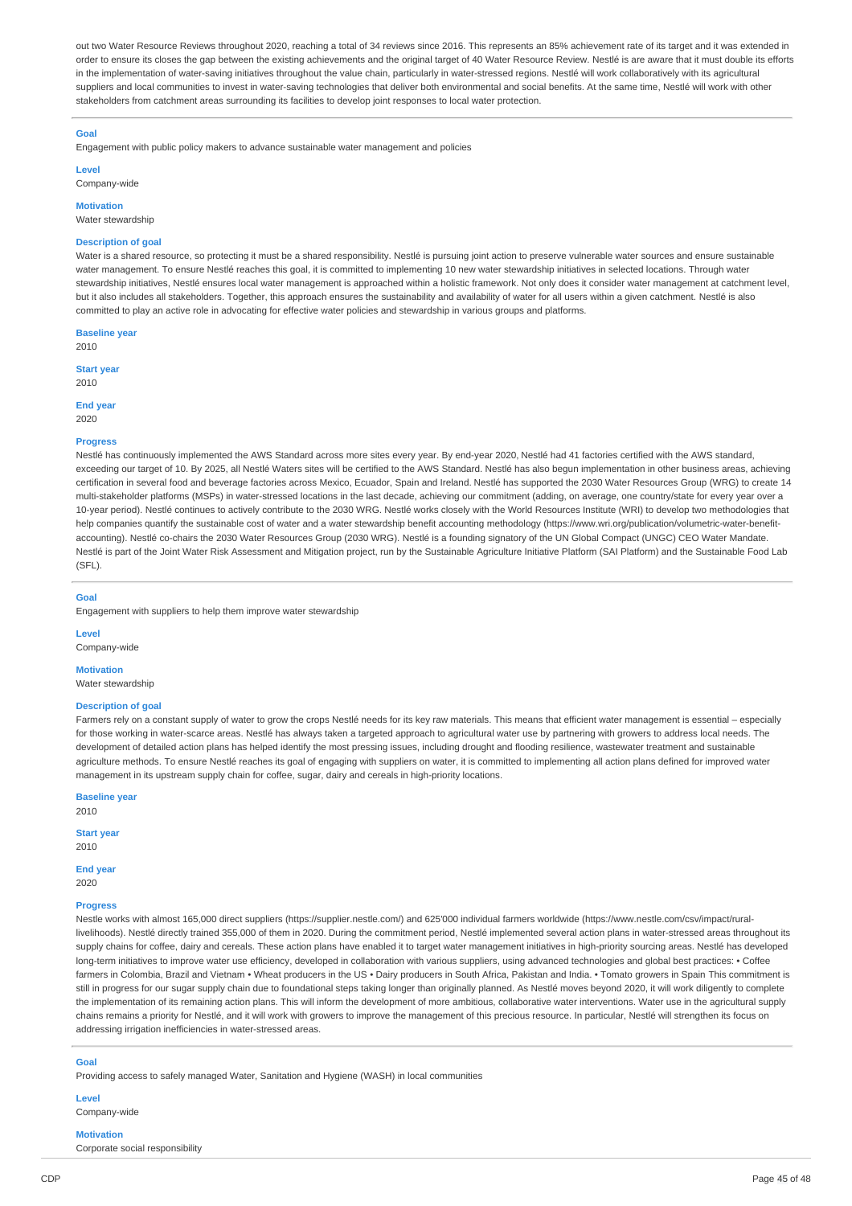out two Water Resource Reviews throughout 2020, reaching a total of 34 reviews since 2016. This represents an 85% achievement rate of its target and it was extended in order to ensure its closes the gap between the existing achievements and the original target of 40 Water Resource Review. Nestlé is are aware that it must double its efforts in the implementation of water-saving initiatives throughout the value chain, particularly in water-stressed regions. Nestlé will work collaboratively with its agricultural suppliers and local communities to invest in water-saving technologies that deliver both environmental and social benefits. At the same time, Nestlé will work with other stakeholders from catchment areas surrounding its facilities to develop joint responses to local water protection.

### **Goal**

Engagement with public policy makers to advance sustainable water management and policies

**Level** Company-wide

**Motivation**

Water stewardship

### **Description of goal**

Water is a shared resource, so protecting it must be a shared responsibility. Nestlé is pursuing joint action to preserve vulnerable water sources and ensure sustainable water management. To ensure Nestlé reaches this goal, it is committed to implementing 10 new water stewardship initiatives in selected locations. Through water stewardship initiatives, Nestlé ensures local water management is approached within a holistic framework. Not only does it consider water management at catchment level, but it also includes all stakeholders. Together, this approach ensures the sustainability and availability of water for all users within a given catchment. Nestlé is also committed to play an active role in advocating for effective water policies and stewardship in various groups and platforms.

**Baseline year** 2010

**Start year**

2010

**End year** 2020

#### **Progress**

Nestlé has continuously implemented the AWS Standard across more sites every year. By end-year 2020, Nestlé had 41 factories certified with the AWS standard. exceeding our target of 10. By 2025, all Nestlé Waters sites will be certified to the AWS Standard. Nestlé has also begun implementation in other business areas, achieving certification in several food and beverage factories across Mexico, Ecuador, Spain and Ireland. Nestlé has supported the 2030 Water Resources Group (WRG) to create 14 multi-stakeholder platforms (MSPs) in water-stressed locations in the last decade, achieving our commitment (adding, on average, one country/state for every year over a 10-year period). Nestlé continues to actively contribute to the 2030 WRG. Nestlé works closely with the World Resources Institute (WRI) to develop two methodologies that help companies quantify the sustainable cost of water and a water stewardship benefit accounting methodology (https://www.wri.org/publication/volumetric-water-benefitaccounting). Nestlé co-chairs the 2030 Water Resources Group (2030 WRG). Nestlé is a founding signatory of the UN Global Compact (UNGC) CEO Water Mandate. Nestlé is part of the Joint Water Risk Assessment and Mitigation project, run by the Sustainable Agriculture Initiative Platform (SAI Platform) and the Sustainable Food Lab  $(SFI)$ 

### **Goal**

Engagement with suppliers to help them improve water stewardship

**Level** Company-wide

## **Motivation**

Water stewardshir

#### **Description of goal**

Farmers rely on a constant supply of water to grow the crops Nestlé needs for its key raw materials. This means that efficient water management is essential – especially for those working in water-scarce areas. Nestlé has always taken a targeted approach to agricultural water use by partnering with growers to address local needs. The development of detailed action plans has helped identify the most pressing issues, including drought and flooding resilience, wastewater treatment and sustainable agriculture methods. To ensure Nestlé reaches its goal of engaging with suppliers on water, it is committed to implementing all action plans defined for improved water management in its upstream supply chain for coffee, sugar, dairy and cereals in high-priority locations.

**Baseline year**

2010 **Start year**

2010

## **End year**

2020

**Progress**

Nestle works with almost 165,000 direct suppliers (https://supplier.nestle.com/) and 625'000 individual farmers worldwide (https://www.nestle.com/csv/impact/rurallivelihoods). Nestlé directly trained 355,000 of them in 2020. During the commitment period, Nestlé implemented several action plans in water-stressed areas throughout its supply chains for coffee, dairy and cereals. These action plans have enabled it to target water management initiatives in high-priority sourcing areas. Nestlé has developed long-term initiatives to improve water use efficiency, developed in collaboration with various suppliers, using advanced technologies and global best practices: • Coffee farmers in Colombia, Brazil and Vietnam • Wheat producers in the US • Dairy producers in South Africa, Pakistan and India. • Tomato growers in Spain This commitment is still in progress for our sugar supply chain due to foundational steps taking longer than originally planned. As Nestlé moves beyond 2020, it will work diligently to complete the implementation of its remaining action plans. This will inform the development of more ambitious, collaborative water interventions. Water use in the agricultural supply chains remains a priority for Nestlé, and it will work with growers to improve the management of this precious resource. In particular, Nestlé will strengthen its focus on addressing irrigation inefficiencies in water-stressed areas.

### **Goal**

Providing access to safely managed Water, Sanitation and Hygiene (WASH) in local communities

#### **Level** Company-wide

**Motivation** Corporate social responsibility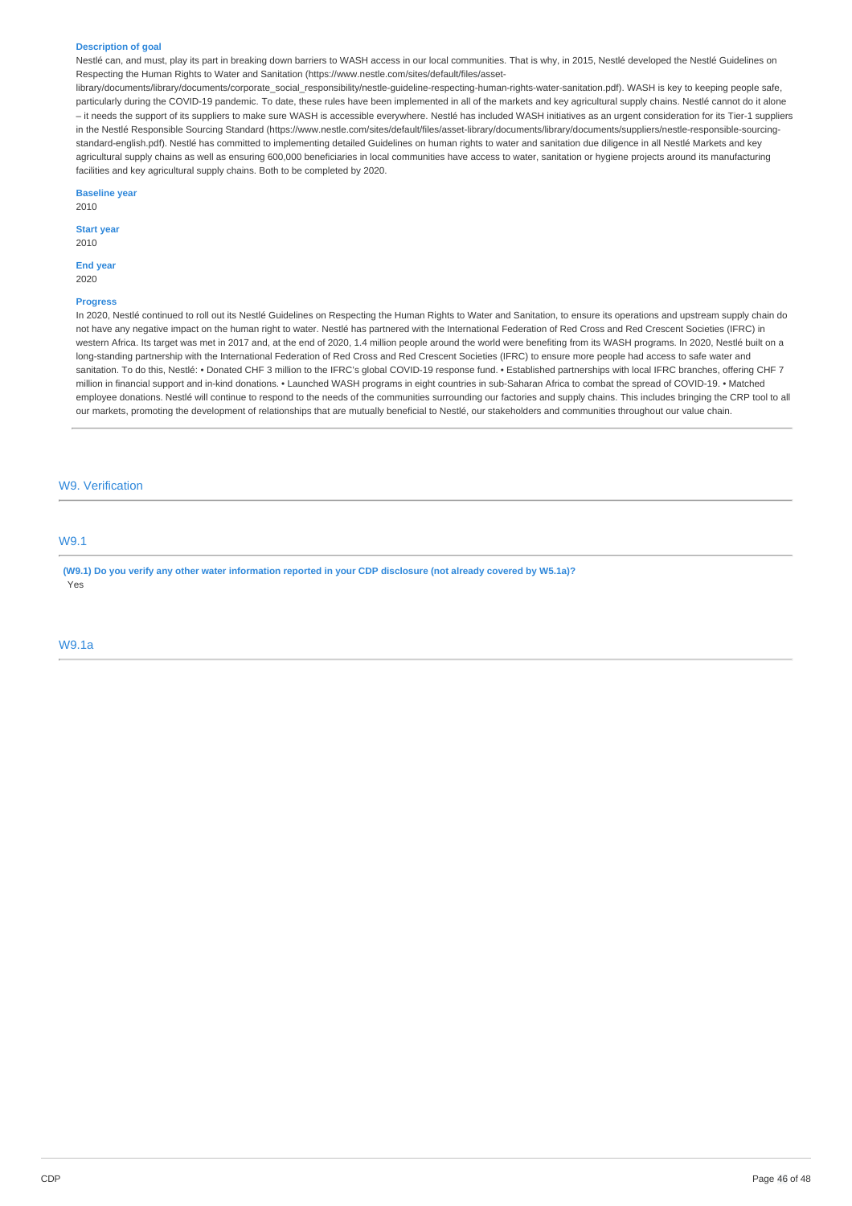#### **Description of goal**

Nestlé can, and must, play its part in breaking down barriers to WASH access in our local communities. That is why, in 2015, Nestlé developed the Nestlé Guidelines on Respecting the Human Rights to Water and Sanitation (https://www.nestle.com/sites/default/files/asset-

library/documents/library/documents/corporate\_social\_responsibility/nestle-guideline-respecting-human-rights-water-sanitation.pdf). WASH is key to keeping people safe, particularly during the COVID-19 pandemic. To date, these rules have been implemented in all of the markets and key agricultural supply chains. Nestlé cannot do it alone – it needs the support of its suppliers to make sure WASH is accessible everywhere. Nestlé has included WASH initiatives as an urgent consideration for its Tier-1 suppliers in the Nestlé Responsible Sourcing Standard (https://www.nestle.com/sites/default/files/asset-library/documents/library/documents/suppliers/nestle-responsible-sourcingstandard-english.pdf). Nestlé has committed to implementing detailed Guidelines on human rights to water and sanitation due diligence in all Nestlé Markets and key agricultural supply chains as well as ensuring 600,000 beneficiaries in local communities have access to water, sanitation or hygiene projects around its manufacturing facilities and key agricultural supply chains. Both to be completed by 2020.

#### **Baseline year**

2010

### **Start year**

2010

## End **year**

2020

## **Progress**

In 2020, Nestlé continued to roll out its Nestlé Guidelines on Respecting the Human Rights to Water and Sanitation, to ensure its operations and upstream supply chain do not have any negative impact on the human right to water. Nestlé has partnered with the International Federation of Red Cross and Red Crescent Societies (IFRC) in western Africa. Its target was met in 2017 and, at the end of 2020, 1.4 million people around the world were benefiting from its WASH programs. In 2020, Nestlé built on a long-standing partnership with the International Federation of Red Cross and Red Crescent Societies (IFRC) to ensure more people had access to safe water and sanitation. To do this, Nestlé: • Donated CHF 3 million to the IFRC's global COVID-19 response fund. • Established partnerships with local IFRC branches, offering CHF 7 million in financial support and in-kind donations. • Launched WASH programs in eight countries in sub-Saharan Africa to combat the spread of COVID-19. • Matched employee donations. Nestlé will continue to respond to the needs of the communities surrounding our factories and supply chains. This includes bringing the CRP tool to all our markets, promoting the development of relationships that are mutually beneficial to Nestlé, our stakeholders and communities throughout our value chain.

## W9. Verification

## W9.1

(W9.1) Do you verify any other water information reported in your CDP disclosure (not already covered by W5.1a)? Yes

### W9.1a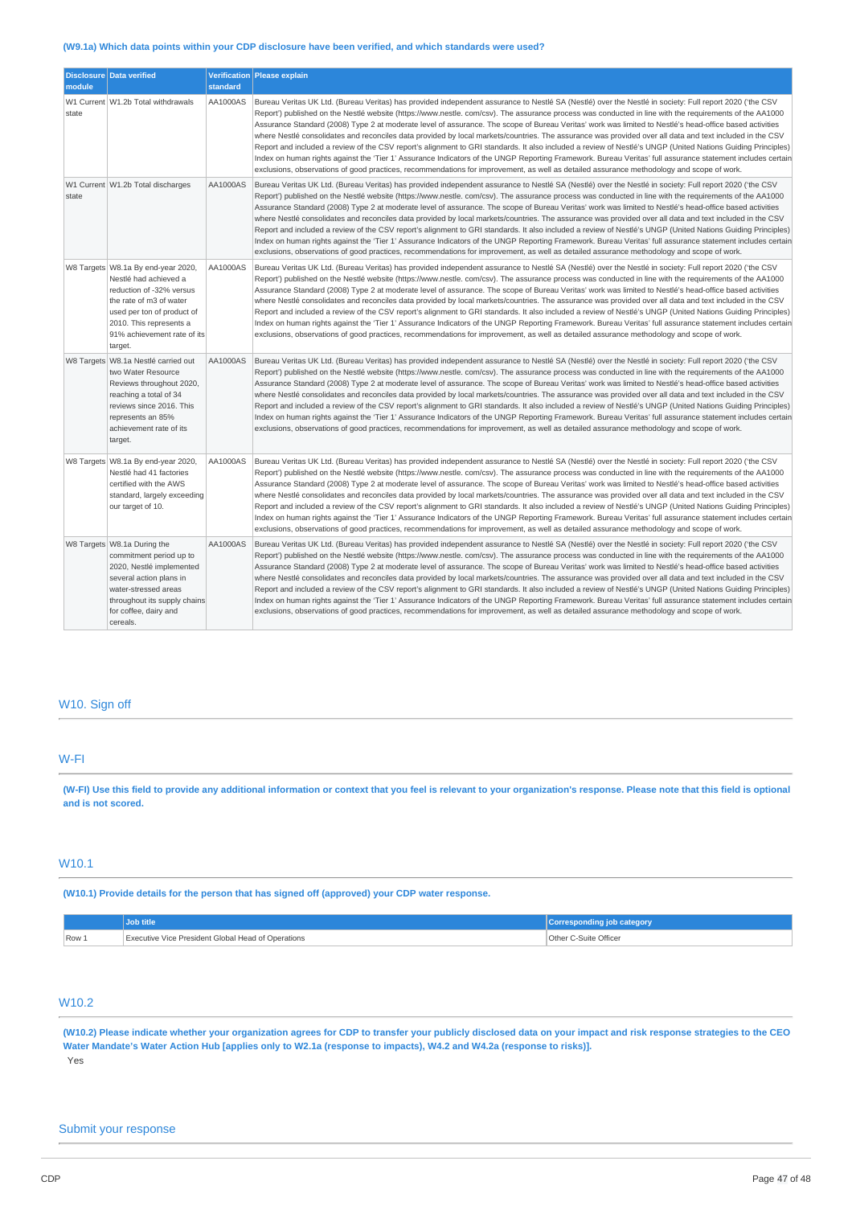## **(W9.1a) Which data points within your CDP disclosure have been verified, and which standards were used?**

| module | Disclosure Data verified                                                                                                                                                                                                | standard | Verification Please explain                                                                                                                                                                                                                                                                                                                                                                                                                                                                                                                                                                                                                                                                                                                                                                                                                                                                                                                                                                                                                                                                                         |
|--------|-------------------------------------------------------------------------------------------------------------------------------------------------------------------------------------------------------------------------|----------|---------------------------------------------------------------------------------------------------------------------------------------------------------------------------------------------------------------------------------------------------------------------------------------------------------------------------------------------------------------------------------------------------------------------------------------------------------------------------------------------------------------------------------------------------------------------------------------------------------------------------------------------------------------------------------------------------------------------------------------------------------------------------------------------------------------------------------------------------------------------------------------------------------------------------------------------------------------------------------------------------------------------------------------------------------------------------------------------------------------------|
| state  | W1 Current W1.2b Total withdrawals                                                                                                                                                                                      | AA1000AS | Bureau Veritas UK Ltd. (Bureau Veritas) has provided independent assurance to Nestlé SA (Nestlé) over the Nestlé in society: Full report 2020 ('the CSV<br>Report') published on the Nestlé website (https://www.nestle.com/csv). The assurance process was conducted in line with the requirements of the AA1000<br>Assurance Standard (2008) Type 2 at moderate level of assurance. The scope of Bureau Veritas' work was limited to Nestlé's head-office based activities<br>where Nestlé consolidates and reconciles data provided by local markets/countries. The assurance was provided over all data and text included in the CSV<br>Report and included a review of the CSV report's alignment to GRI standards. It also included a review of Nestlé's UNGP (United Nations Guiding Principles)<br>Index on human rights against the 'Tier 1' Assurance Indicators of the UNGP Reporting Framework. Bureau Veritas' full assurance statement includes certain<br>exclusions, observations of good practices, recommendations for improvement, as well as detailed assurance methodology and scope of work.  |
| state  | W1 Current W1.2b Total discharges                                                                                                                                                                                       | AA1000AS | Bureau Veritas UK Ltd. (Bureau Veritas) has provided independent assurance to Nestlé SA (Nestlé) over the Nestlé in society: Full report 2020 ('the CSV<br>Report') published on the Nestlé website (https://www.nestle.com/csv). The assurance process was conducted in line with the requirements of the AA1000<br>Assurance Standard (2008) Type 2 at moderate level of assurance. The scope of Bureau Veritas' work was limited to Nestlé's head-office based activities<br>where Nestlé consolidates and reconciles data provided by local markets/countries. The assurance was provided over all data and text included in the CSV<br>Report and included a review of the CSV report's alignment to GRI standards. It also included a review of Nestlé's UNGP (United Nations Guiding Principles)<br>Index on human rights against the 'Tier 1' Assurance Indicators of the UNGP Reporting Framework. Bureau Veritas' full assurance statement includes certain<br>exclusions, observations of good practices, recommendations for improvement, as well as detailed assurance methodology and scope of work.  |
|        | W8 Targets   W8.1a By end-year 2020,<br>Nestlé had achieved a<br>reduction of -32% versus<br>the rate of m3 of water<br>used per ton of product of<br>2010. This represents a<br>91% achievement rate of its<br>target. | AA1000AS | Bureau Veritas UK Ltd. (Bureau Veritas) has provided independent assurance to Nestlé SA (Nestlé) over the Nestlé in society: Full report 2020 ('the CSV<br>Report') published on the Nestlé website (https://www.nestle.com/csv). The assurance process was conducted in line with the requirements of the AA1000<br>Assurance Standard (2008) Type 2 at moderate level of assurance. The scope of Bureau Veritas' work was limited to Nestlé's head-office based activities<br>where Nestlé consolidates and reconciles data provided by local markets/countries. The assurance was provided over all data and text included in the CSV<br>Report and included a review of the CSV report's alignment to GRI standards. It also included a review of Nestlé's UNGP (United Nations Guiding Principles)<br>Index on human rights against the 'Tier 1' Assurance Indicators of the UNGP Reporting Framework. Bureau Veritas' full assurance statement includes certain<br>exclusions, observations of good practices, recommendations for improvement, as well as detailed assurance methodology and scope of work.  |
|        | W8 Targets W8.1a Nestlé carried out<br>two Water Resource<br>Reviews throughout 2020,<br>reaching a total of 34<br>reviews since 2016. This<br>represents an 85%<br>achievement rate of its<br>target.                  | AA1000AS | Bureau Veritas UK Ltd. (Bureau Veritas) has provided independent assurance to Nestlé SA (Nestlé) over the Nestlé in society: Full report 2020 ('the CSV<br>Report') published on the Nestlé website (https://www.nestle.com/csv). The assurance process was conducted in line with the requirements of the AA1000<br>Assurance Standard (2008) Type 2 at moderate level of assurance. The scope of Bureau Veritas' work was limited to Nestlé's head-office based activities<br>where Nestlé consolidates and reconciles data provided by local markets/countries. The assurance was provided over all data and text included in the CSV<br>Report and included a review of the CSV report's alignment to GRI standards. It also included a review of Nestlé's UNGP (United Nations Guiding Principles)<br>Index on human rights against the 'Tier 1' Assurance Indicators of the UNGP Reporting Framework. Bureau Veritas' full assurance statement includes certain<br>exclusions, observations of good practices, recommendations for improvement, as well as detailed assurance methodology and scope of work.  |
|        | W8 Targets W8.1a By end-year 2020,<br>Nestlé had 41 factories<br>certified with the AWS<br>standard, largely exceeding<br>our target of 10.                                                                             | AA1000AS | Bureau Veritas UK Ltd. (Bureau Veritas) has provided independent assurance to Nestlé SA (Nestlé) over the Nestlé in society: Full report 2020 ('the CSV<br>Report') published on the Nestlé website (https://www.nestle.com/csv). The assurance process was conducted in line with the requirements of the AA1000<br>Assurance Standard (2008) Type 2 at moderate level of assurance. The scope of Bureau Veritas' work was limited to Nestlé's head-office based activities<br>where Nestlé consolidates and reconciles data provided by local markets/countries. The assurance was provided over all data and text included in the CSV<br>Report and included a review of the CSV report's alignment to GRI standards. It also included a review of Nestlé's UNGP (United Nations Guiding Principles)<br>Index on human rights against the 'Tier 1' Assurance Indicators of the UNGP Reporting Framework. Bureau Veritas' full assurance statement includes certain<br>exclusions, observations of good practices, recommendations for improvement, as well as detailed assurance methodology and scope of work.  |
|        | W8 Targets W8.1a During the<br>commitment period up to<br>2020, Nestlé implemented<br>several action plans in<br>water-stressed areas<br>throughout its supply chains<br>for coffee, dairy and<br>cereals.              | AA1000AS | Bureau Veritas UK Ltd. (Bureau Veritas) has provided independent assurance to Nestlé SA (Nestlé) over the Nestlé in society: Full report 2020 ('the CSV<br>Report') published on the Nestlé website (https://www.nestle. com/csv). The assurance process was conducted in line with the requirements of the AA1000<br>Assurance Standard (2008) Type 2 at moderate level of assurance. The scope of Bureau Veritas' work was limited to Nestlé's head-office based activities<br>where Nestlé consolidates and reconciles data provided by local markets/countries. The assurance was provided over all data and text included in the CSV<br>Report and included a review of the CSV report's alignment to GRI standards. It also included a review of Nestlé's UNGP (United Nations Guiding Principles)<br>Index on human rights against the 'Tier 1' Assurance Indicators of the UNGP Reporting Framework. Bureau Veritas' full assurance statement includes certain<br>exclusions, observations of good practices, recommendations for improvement, as well as detailed assurance methodology and scope of work. |

## W10. Sign off

## W-FI

(W-FI) Use this field to provide any additional information or context that you feel is relevant to your organization's response. Please note that this field is optional **and is not scored.**

## W10.1

**(W10.1) Provide details for the person that has signed off (approved) your CDP water response.**

|       | <b>Job title</b>                                   | iob categor<br><b>Corresponding</b> |
|-------|----------------------------------------------------|-------------------------------------|
| Row 1 | Executive Vice President Global Head of Operations | Other C-Suite Officer               |

## W10.2

(W10.2) Please indicate whether your organization agrees for CDP to transfer your publicly disclosed data on your impact and risk response strategies to the CEO Water Mandate's Water Action Hub [applies only to W2.1a (response to impacts), W4.2 and W4.2a (response to risks)]. Yes

## Submit your response